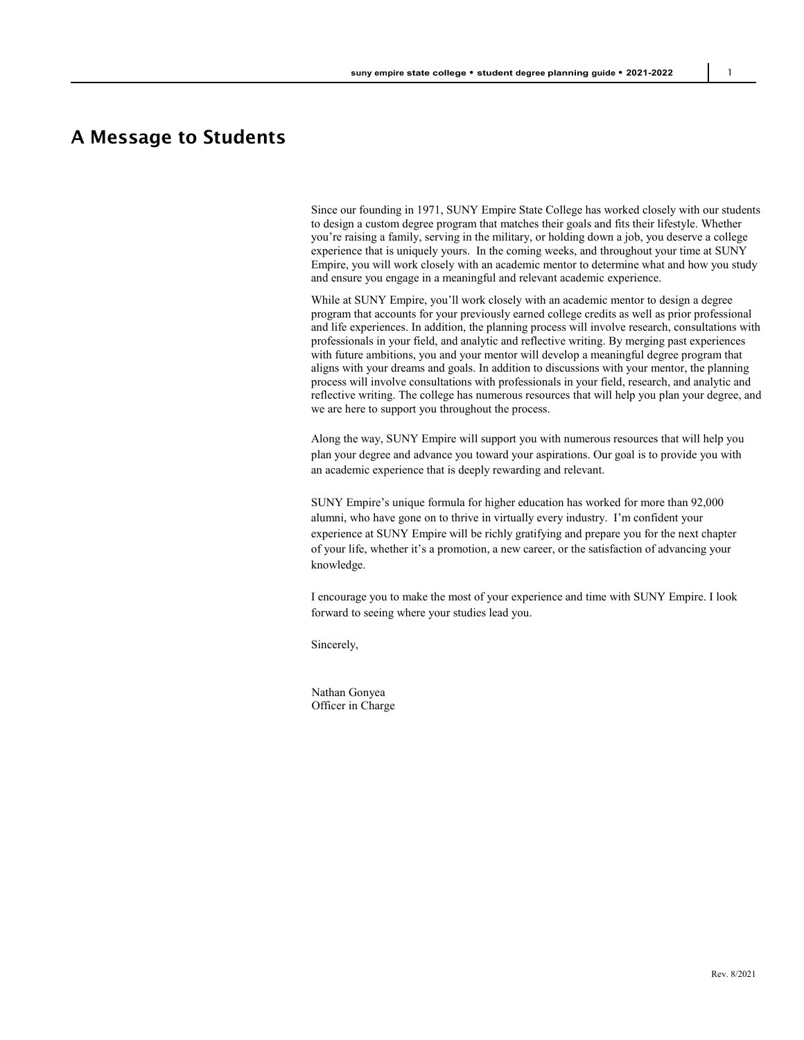## A Message to Students

Since our founding in 1971, SUNY Empire State College has worked closely with our students to design a custom degree program that matches their goals and fits their lifestyle. Whether you're raising a family, serving in the military, or holding down a job, you deserve a college experience that is uniquely yours. In the coming weeks, and throughout your time at SUNY Empire, you will work closely with an academic mentor to determine what and how you study and ensure you engage in a meaningful and relevant academic experience.

While at SUNY Empire, you'll work closely with an academic mentor to design a degree program that accounts for your previously earned college credits as well as prior professional and life experiences. In addition, the planning process will involve research, consultations with professionals in your field, and analytic and reflective writing. By merging past experiences with future ambitions, you and your mentor will develop a meaningful degree program that aligns with your dreams and goals. In addition to discussions with your mentor, the planning process will involve consultations with professionals in your field, research, and analytic and reflective writing. The college has numerous resources that will help you plan your degree, and we are here to support you throughout the process.

Along the way, SUNY Empire will support you with numerous resources that will help you plan your degree and advance you toward your aspirations. Our goal is to provide you with an academic experience that is deeply rewarding and relevant.

SUNY Empire's unique formula for higher education has worked for more than 92,000 alumni, who have gone on to thrive in virtually every industry. I'm confident your experience at SUNY Empire will be richly gratifying and prepare you for the next chapter of your life, whether it's a promotion, a new career, or the satisfaction of advancing your knowledge.

I encourage you to make the most of your experience and time with SUNY Empire. I look forward to seeing where your studies lead you.

Sincerely,

Nathan Gonyea Officer in Charge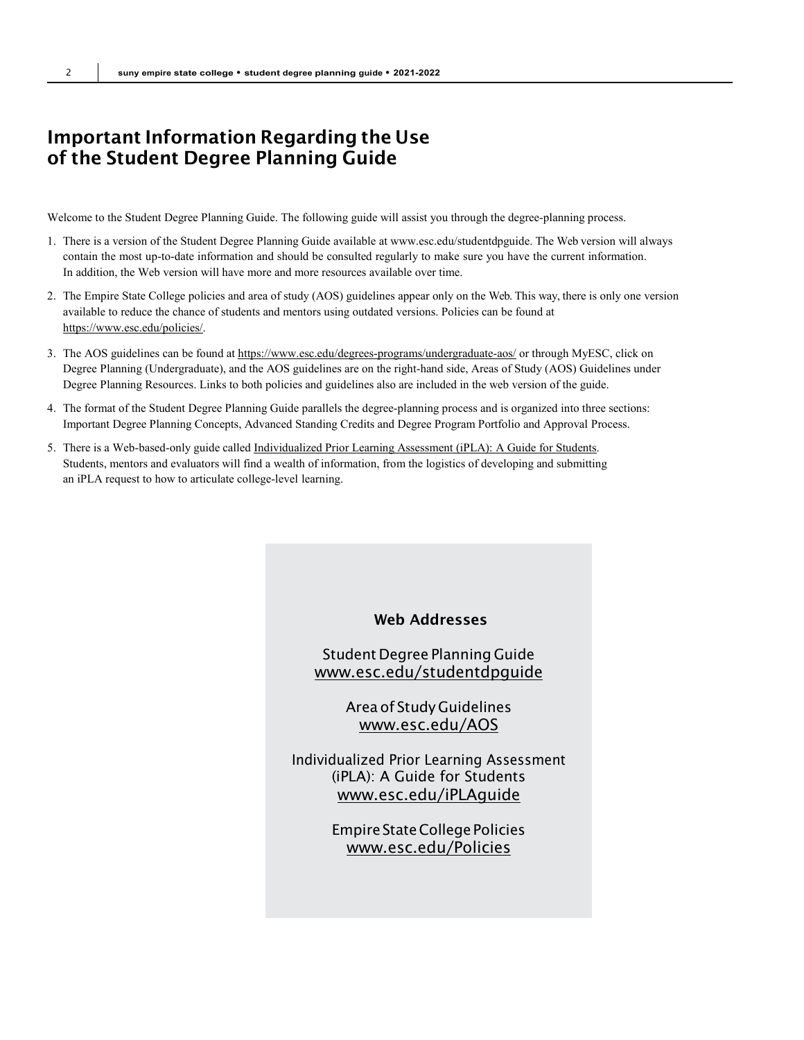## Important Information Regarding the Use of the Student Degree Planning Guide

Welcome to the Student Degree Planning Guide. The following guide will assist you through the degree-planning process.

- 1. There is a version of the Student Degree Planning Guide available a[t www.esc.edu/studentdpguide. T](http://www.esc.edu/studentdpguide)he Web version will always contain the most up-to-date information and should be consulted regularly to make sure you have the current information. In addition, the Web version will have more and more resources available over time.
- 2. The Empire State College policies and area of study (AOS) guidelines appear only on the Web. This way, there is only one version available to reduce the chance of students and mentors using outdated versions. Policies can be found at [https://www.esc.edu/policies/.](https://www.esc.edu/policies/)
- 3. The AOS guidelines can be found a[t https://www.esc.edu/degrees-programs/undergraduate-aos/](https://www.esc.edu/degrees-programs/undergraduate-aos/) or through MyESC, click on Degree Planning (Undergraduate), and the AOS guidelines are on the right-hand side, Areas of Study (AOS) Guidelines under Degree Planning Resources. Links to both policies and guidelines also are included in the web version of the guide.
- 4. The format of the Student Degree Planning Guide parallels the degree-planning process and is organized into three sections: Important Degree Planning Concepts, Advanced Standing Credits and Degree Program Portfolio and Approval Process.
- 5. There is a Web-based-only guide calle[d Individualized Prior Learning Assessment \(iPLA\): A Guide for Students.](https://www.esc.edu/media/academic-affairs/ocar/2013-14/iPLA-2013-2014.pdf)  Students, mentors and evaluators will find a wealth of information, from the logistics of developing and submitting an iPLA request to how to articulate college-level learning.

### Web Addresses

## Student Degree Planning Guide [www.esc.edu/studentdpguide](http://www.esc.edu/studentdpguide)

Area of Study Guidelines [www.esc.edu/AOS](http://www.esc.edu/AOS)

Individualized Prior Learning Assessment (iPLA): A Guide for Students [www.esc.edu/iPLAguide](http://www.esc.edu/iPLAguide)

> Empire State College Policies [www.esc.edu/Policies](http://www.esc.edu/Policies)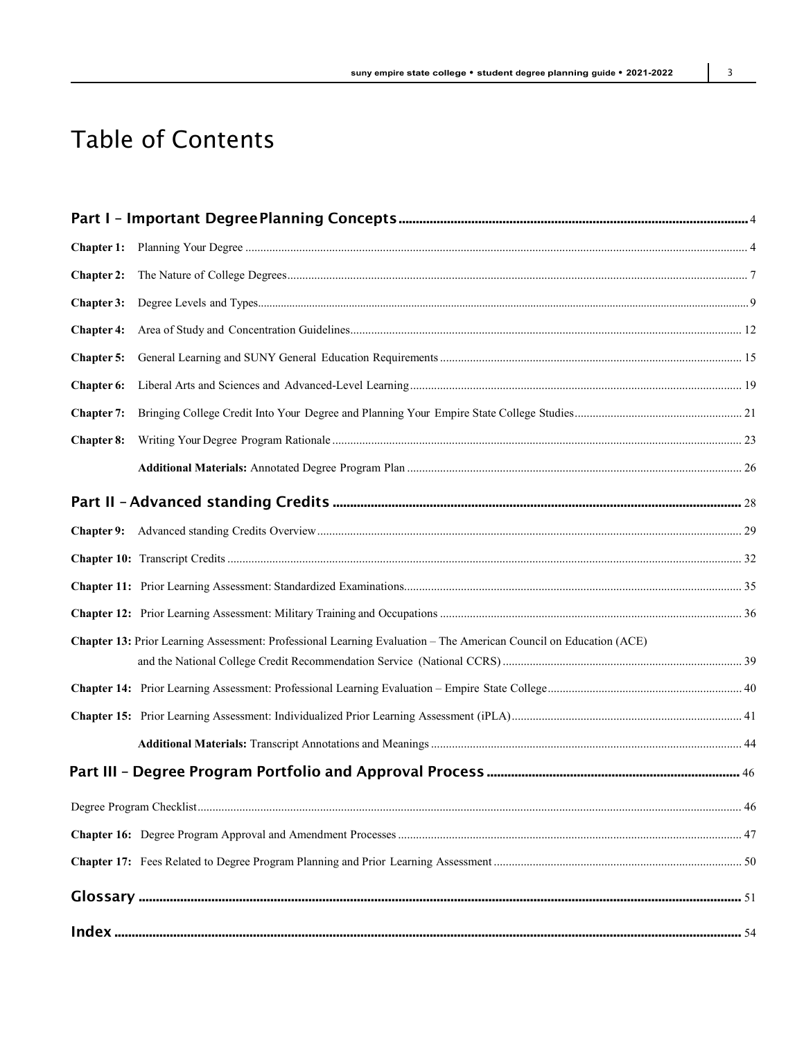# Table of Contents

| <b>Chapter 2:</b> |                                                                                                                   |  |
|-------------------|-------------------------------------------------------------------------------------------------------------------|--|
|                   |                                                                                                                   |  |
| <b>Chapter 4:</b> |                                                                                                                   |  |
| <b>Chapter 5:</b> |                                                                                                                   |  |
| <b>Chapter 6:</b> |                                                                                                                   |  |
| <b>Chapter 7:</b> |                                                                                                                   |  |
| <b>Chapter 8:</b> |                                                                                                                   |  |
|                   |                                                                                                                   |  |
|                   |                                                                                                                   |  |
|                   |                                                                                                                   |  |
|                   |                                                                                                                   |  |
|                   |                                                                                                                   |  |
|                   |                                                                                                                   |  |
|                   | Chapter 13: Prior Learning Assessment: Professional Learning Evaluation – The American Council on Education (ACE) |  |
|                   |                                                                                                                   |  |
|                   |                                                                                                                   |  |
|                   |                                                                                                                   |  |
|                   |                                                                                                                   |  |
|                   |                                                                                                                   |  |
|                   |                                                                                                                   |  |
|                   |                                                                                                                   |  |
|                   |                                                                                                                   |  |
|                   |                                                                                                                   |  |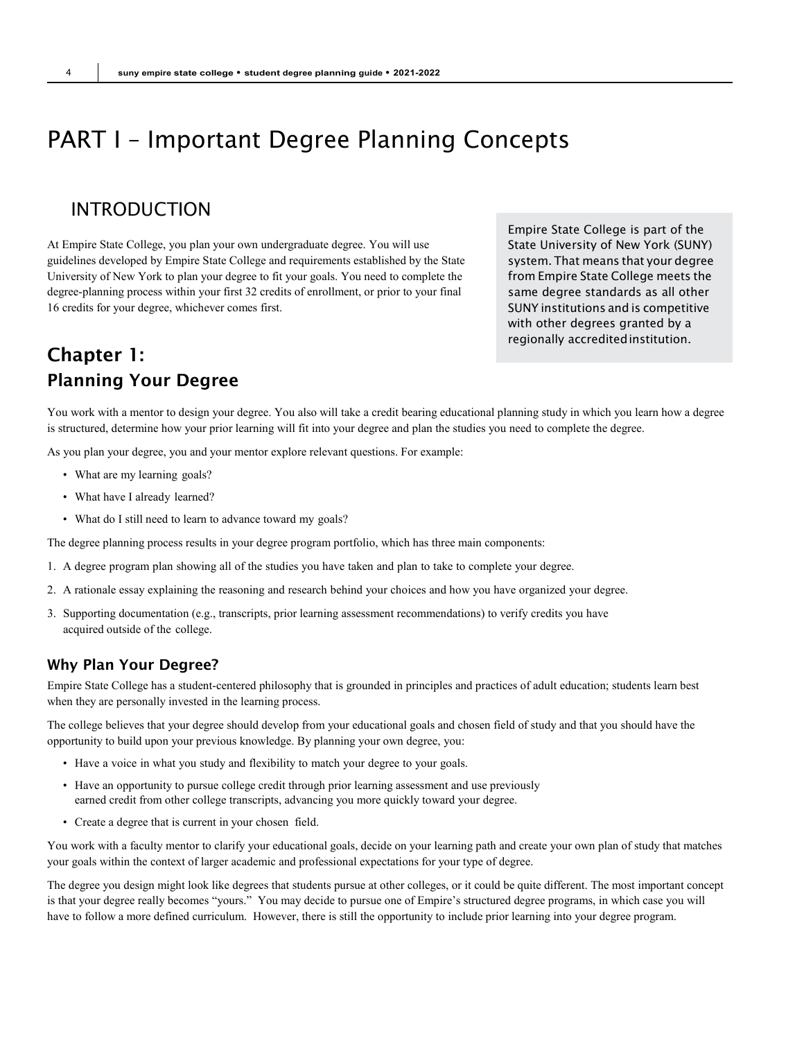# <span id="page-3-0"></span>PART I – Important Degree Planning Concepts

## INTRODUCTION

At Empire State College, you plan your own undergraduate degree. You will use guidelines developed by Empire State College and requirements established by the State University of New York to plan your degree to fit your goals. You need to complete the degree-planning process within your first 32 credits of enrollment, or prior to your final 16 credits for your degree, whichever comes first.

Empire State College is part of the State University of New York (SUNY) system. That means that your degree from Empire State College meets the same degree standards as all other SUNY institutions and is competitive with other degrees granted by a regionally accreditedinstitution.

## Chapter 1: Planning Your Degree

You work with a mentor to design your degree. You also will take a credit bearing educational planning study in which you learn how a degree is structured, determine how your prior learning will fit into your degree and plan the studies you need to complete the degree.

As you plan your degree, you and your mentor explore relevant questions. For example:

- What are my learning goals?
- What have I already learned?
- What do I still need to learn to advance toward my goals?

The degree planning process results in your degree program portfolio, which has three main components:

- 1. A degree program plan showing all of the studies you have taken and plan to take to complete your degree.
- 2. A rationale essay explaining the reasoning and research behind your choices and how you have organized your degree.
- 3. Supporting documentation (e.g., transcripts, prior learning assessment recommendations) to verify credits you have acquired outside of the college.

#### Why Plan Your Degree?

Empire State College has a student-centered philosophy that is grounded in principles and practices of adult education; students learn best when they are personally invested in the learning process.

The college believes that your degree should develop from your educational goals and chosen field of study and that you should have the opportunity to build upon your previous knowledge. By planning your own degree, you:

- Have a voice in what you study and flexibility to match your degree to your goals.
- Have an opportunity to pursue college credit through prior learning assessment and use previously earned credit from other college transcripts, advancing you more quickly toward your degree.
- Create a degree that is current in your chosen field.

You work with a faculty mentor to clarify your educational goals, decide on your learning path and create your own plan of study that matches your goals within the context of larger academic and professional expectations for your type of degree.

The degree you design might look like degrees that students pursue at other colleges, or it could be quite different. The most important concept is that your degree really becomes "yours." You may decide to pursue one of Empire's structured degree programs, in which case you will have to follow a more defined curriculum. However, there is still the opportunity to include prior learning into your degree program.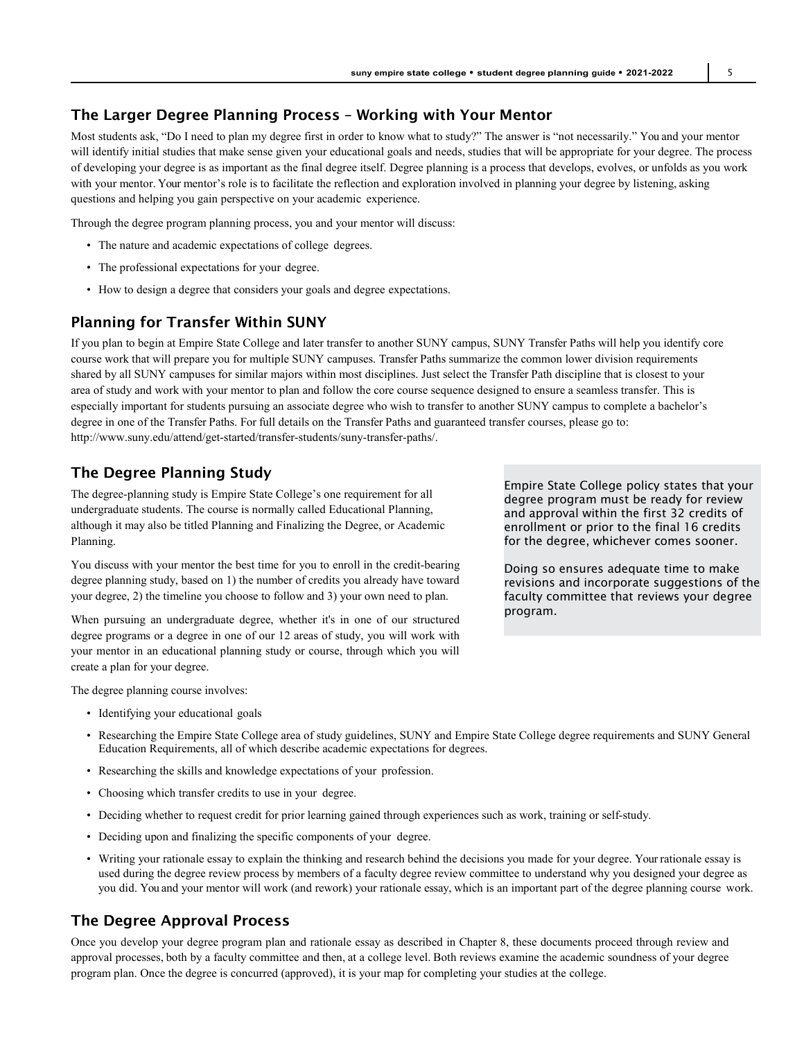## The Larger Degree Planning Process – Working with Your Mentor

Most students ask, "Do I need to plan my degree first in order to know what to study?" The answer is "not necessarily." You and your mentor will identify initial studies that make sense given your educational goals and needs, studies that will be appropriate for your degree. The process of developing your degree is as important as the final degree itself. Degree planning is a process that develops, evolves, or unfolds as you work with your mentor. Your mentor's role is to facilitate the reflection and exploration involved in planning your degree by listening, asking questions and helping you gain perspective on your academic experience.

Through the degree program planning process, you and your mentor will discuss:

- The nature and academic expectations of college degrees.
- The professional expectations for your degree.
- How to design a degree that considers your goals and degree expectations.

#### Planning for Transfer Within SUNY

If you plan to begin at Empire State College and later transfer to another SUNY campus, SUNY Transfer Paths will help you identify core course work that will prepare you for multiple SUNY campuses. Transfer Paths summarize the common lower division requirements shared by all SUNY campuses for similar majors within most disciplines. Just select the Transfer Path discipline that is closest to your area of study and work with your mentor to plan and follow the core course sequence designed to ensure a seamless transfer. This is especially important for students pursuing an associate degree who wish to transfer to another SUNY campus to complete a bachelor's degree in one of the Transfer Paths. For full details on the Transfer Paths and guaranteed transfer courses, please go to: [http://www.suny.edu/attend/get-started/transfer-students/suny-transfer-paths/.](http://www.suny.edu/attend/get-started/transfer-students/suny-transfer-paths/)

#### The Degree Planning Study

The degree-planning study is Empire State College's one requirement for all undergraduate students. The course is normally called Educational Planning, although it may also be titled Planning and Finalizing the Degree, or Academic Planning.

You discuss with your mentor the best time for you to enroll in the credit-bearing degree planning study, based on 1) the number of credits you already have toward your degree, 2) the timeline you choose to follow and 3) your own need to plan.

When pursuing an undergraduate degree, whether it's in one of our structured degree programs or a degree in one of our 12 areas of study, you will work with your mentor in an educational planning study or course, through which you will create a plan for your degree.

The degree planning course involves:

- Identifying your educational goals
- Researching the Empire State College area of study guidelines, SUNY and Empire State College degree requirements and SUNY General Education Requirements, all of which describe academic expectations for degrees.
- Researching the skills and knowledge expectations of your profession.
- Choosing which transfer credits to use in your degree.
- Deciding whether to request credit for prior learning gained through experiences such as work, training or self-study.
- Deciding upon and finalizing the specific components of your degree.
- Writing your rationale essay to explain the thinking and research behind the decisions you made for your degree. Your rationale essay is used during the degree review process by members of a faculty degree review committee to understand why you designed your degree as you did. You and your mentor will work (and rework) your rationale essay, which is an important part of the degree planning course work.

### The Degree Approval Process

Once you develop your degree program plan and rationale essay as described in Chapter 8, these documents proceed through review and approval processes, both by a faculty committee and then, at a college level. Both reviews examine the academic soundness of your degree program plan. Once the degree is concurred (approved), it is your map for completing your studies at the college.

Empire State College policy states that your degree program must be ready for review and approval within the first 32 credits of enrollment or prior to the final 16 credits for the degree, whichever comes sooner.

Doing so ensures adequate time to make revisions and incorporate suggestions of the faculty committee that reviews your degree program.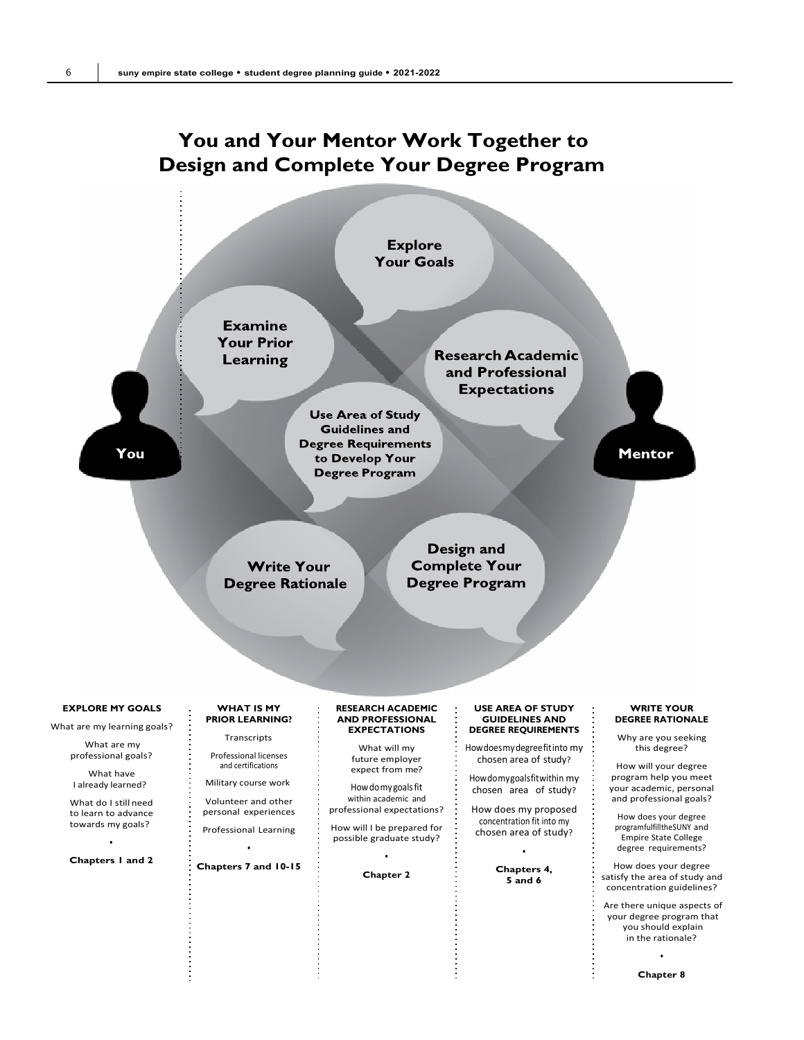## **You and Your Mentor Work Together to Design and Complete Your Degree Program**



**Chapter 8**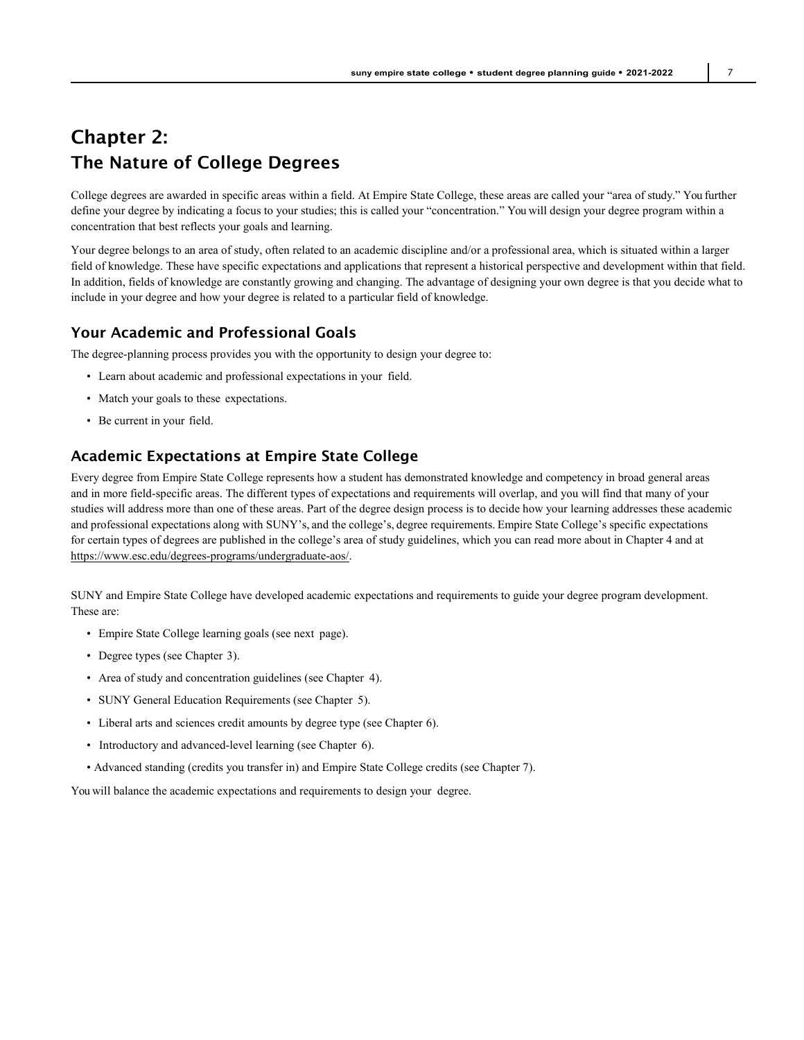## Chapter 2: The Nature of College Degrees

College degrees are awarded in specific areas within a field. At Empire State College, these areas are called your "area of study." You further define your degree by indicating a focus to your studies; this is called your "concentration." You will design your degree program within a concentration that best reflects your goals and learning.

Your degree belongs to an area of study, often related to an academic discipline and/or a professional area, which is situated within a larger field of knowledge. These have specific expectations and applications that represent a historical perspective and development within that field. In addition, fields of knowledge are constantly growing and changing. The advantage of designing your own degree is that you decide what to include in your degree and how your degree is related to a particular field of knowledge.

## Your Academic and Professional Goals

The degree-planning process provides you with the opportunity to design your degree to:

- Learn about academic and professional expectations in your field.
- Match your goals to these expectations.
- Be current in your field.

## Academic Expectations at Empire State College

Every degree from Empire State College represents how a student has demonstrated knowledge and competency in broad general areas and in more field-specific areas. The different types of expectations and requirements will overlap, and you will find that many of your studies will address more than one of these areas. Part of the degree design process is to decide how your learning addresses these academic and professional expectations along with SUNY's, and the college's, degree requirements. Empire State College's specific expectations for certain types of degrees are published in the college's area of study guidelines, which you can read more about in Chapter 4 and at [https://www.esc.edu/degrees-programs/undergraduate-aos/.](https://www.esc.edu/degrees-programs/undergraduate-aos/)

SUNY and Empire State College have developed academic expectations and requirements to guide your degree program development. These are:

- Empire State College learning goals (see next page).
- Degree types (see Chapter 3).
- Area of study and concentration guidelines (see Chapter 4).
- SUNY General Education Requirements (see Chapter 5).
- Liberal arts and sciences credit amounts by degree type (see Chapter 6).
- Introductory and advanced-level learning (see Chapter 6).
- Advanced standing (credits you transfer in) and Empire State College credits (see Chapter 7).

You will balance the academic expectations and requirements to design your degree.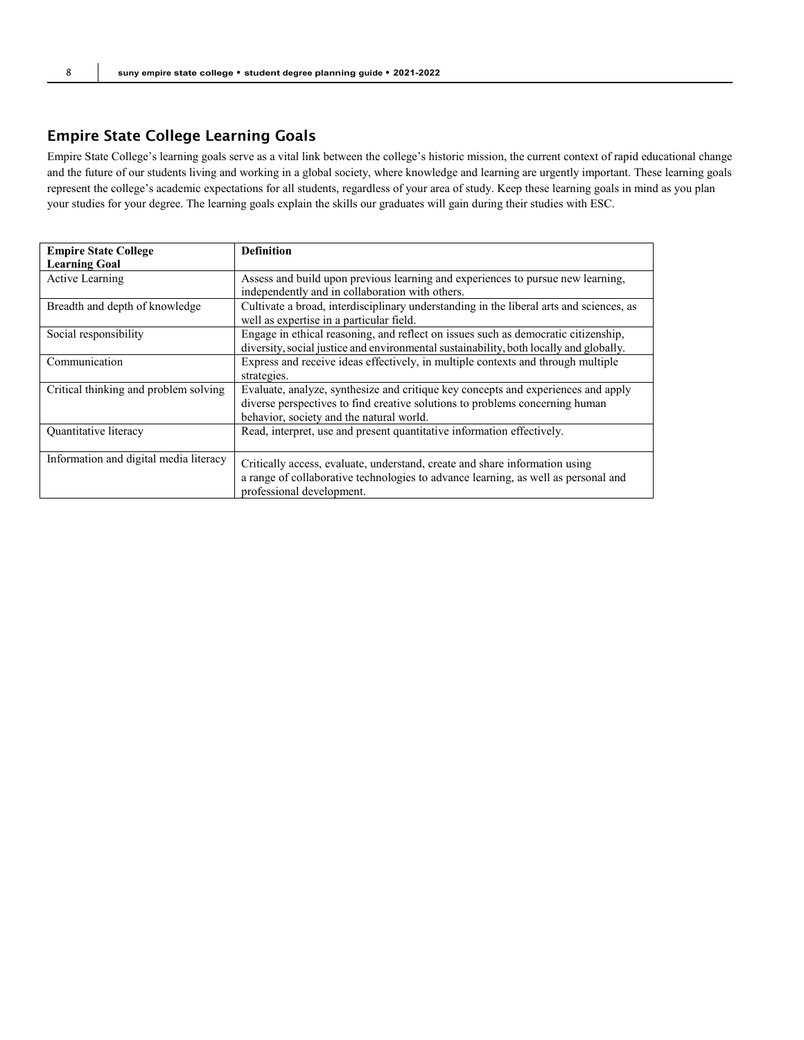## Empire State College Learning Goals

Empire State College's learning goals serve as a vital link between the college's historic mission, the current context of rapid educational change and the future of our students living and working in a global society, where knowledge and learning are urgently important. These learning goals represent the college's academic expectations for all students, regardless of your area of study. Keep these learning goals in mind as you plan your studies for your degree. The learning goals explain the skills our graduates will gain during their studies with ESC.

| <b>Empire State College</b>            | <b>Definition</b>                                                                       |
|----------------------------------------|-----------------------------------------------------------------------------------------|
| <b>Learning Goal</b>                   |                                                                                         |
| Active Learning                        | Assess and build upon previous learning and experiences to pursue new learning,         |
|                                        | independently and in collaboration with others.                                         |
| Breadth and depth of knowledge         | Cultivate a broad, interdisciplinary understanding in the liberal arts and sciences, as |
|                                        | well as expertise in a particular field.                                                |
| Social responsibility                  | Engage in ethical reasoning, and reflect on issues such as democratic citizenship,      |
|                                        | diversity, social justice and environmental sustainability, both locally and globally.  |
| Communication                          | Express and receive ideas effectively, in multiple contexts and through multiple        |
|                                        | strategies.                                                                             |
| Critical thinking and problem solving  | Evaluate, analyze, synthesize and critique key concepts and experiences and apply       |
|                                        | diverse perspectives to find creative solutions to problems concerning human            |
|                                        | behavior, society and the natural world.                                                |
| Quantitative literacy                  | Read, interpret, use and present quantitative information effectively.                  |
|                                        |                                                                                         |
| Information and digital media literacy | Critically access, evaluate, understand, create and share information using             |
|                                        | a range of collaborative technologies to advance learning, as well as personal and      |
|                                        | professional development.                                                               |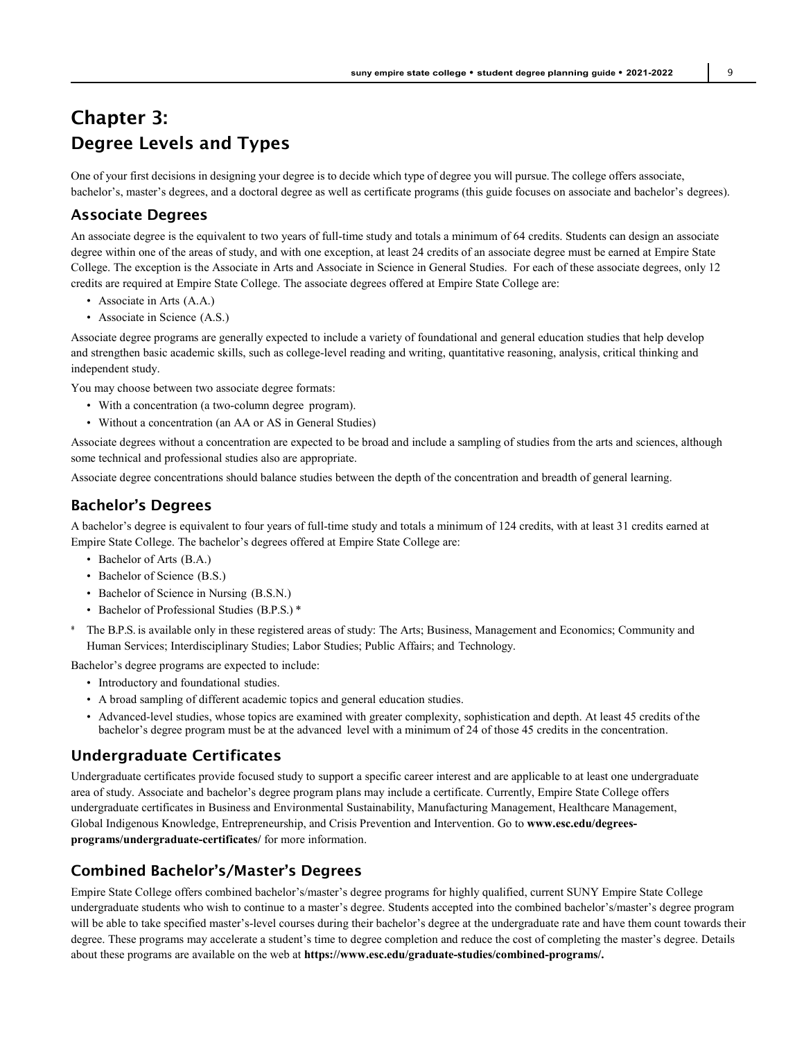## Chapter 3: Degree Levels and Types

One of your first decisions in designing your degree is to decide which type of degree you will pursue.The college offers associate, bachelor's, master's degrees, and a doctoral degree as well as certificate programs (this guide focuses on associate and bachelor's degrees).

## Associate Degrees

An associate degree is the equivalent to two years of full-time study and totals a minimum of 64 credits. Students can design an associate degree within one of the areas of study, and with one exception, at least 24 credits of an associate degree must be earned at Empire State College. The exception is the Associate in Arts and Associate in Science in General Studies. For each of these associate degrees, only 12 credits are required at Empire State College. The associate degrees offered at Empire State College are:

- Associate in Arts (A.A.)
- Associate in Science (A.S.)

Associate degree programs are generally expected to include a variety of foundational and general education studies that help develop and strengthen basic academic skills, such as college-level reading and writing, quantitative reasoning, analysis, critical thinking and independent study.

You may choose between two associate degree formats:

- With a concentration (a two-column degree program).
- Without a concentration (an AA or AS in General Studies)

Associate degrees without a concentration are expected to be broad and include a sampling of studies from the arts and sciences, although some technical and professional studies also are appropriate.

Associate degree concentrations should balance studies between the depth of the concentration and breadth of general learning.

## Bachelor's Degrees

A bachelor's degree is equivalent to four years of full-time study and totals a minimum of 124 credits, with at least 31 credits earned at Empire State College. The bachelor's degrees offered at Empire State College are:

- Bachelor of Arts (B.A.)
- Bachelor of Science (B.S.)
- Bachelor of Science in Nursing (B.S.N.)
- Bachelor of Professional Studies (B.P.S.) \*
- \* The B.P.S. is available only in these registered areas of study: The Arts; Business, Management and Economics; Community and Human Services; Interdisciplinary Studies; Labor Studies; Public Affairs; and Technology.

Bachelor's degree programs are expected to include:

- Introductory and foundational studies.
- A broad sampling of different academic topics and general education studies.
- Advanced-level studies, whose topics are examined with greater complexity, sophistication and depth. At least 45 credits ofthe bachelor's degree program must be at the advanced level with a minimum of 24 of those 45 credits in the concentration.

## Undergraduate Certificates

Undergraduate certificates provide focused study to support a specific career interest and are applicable to at least one undergraduate area of study. Associate and bachelor's degree program plans may include a certificate. Currently, Empire State College offers undergraduate certificates in Business and Environmental Sustainability, Manufacturing Management, Healthcare Management, Global Indigenous Knowledge, Entrepreneurship, and Crisis Prevention and Intervention. Go to **[www.esc.edu/degrees](http://www.esc.edu/degrees-programs/undergraduate-certificates/)[programs/undergraduate-certificates/](http://www.esc.edu/degrees-programs/undergraduate-certificates/)** for more information.

## Combined Bachelor's/Master's Degrees

Empire State College offers combined bachelor's/master's degree programs for highly qualified, current SUNY Empire State College undergraduate students who wish to continue to a master's degree. Students accepted into the combined bachelor's/master's degree program will be able to take specified master's-level courses during their bachelor's degree at the undergraduate rate and have them count towards their degree. These programs may accelerate a student's time to degree completion and reduce the cost of completing the master's degree. Details about these programs are available on the web at **ht[tps://www.esc.edu/graduate-studies/combined-pro](http://www.esc.edu/graduate-studies/combined-programs/)g[rams/.](http://www.esc.edu/graduate-studies/combined-programs/)**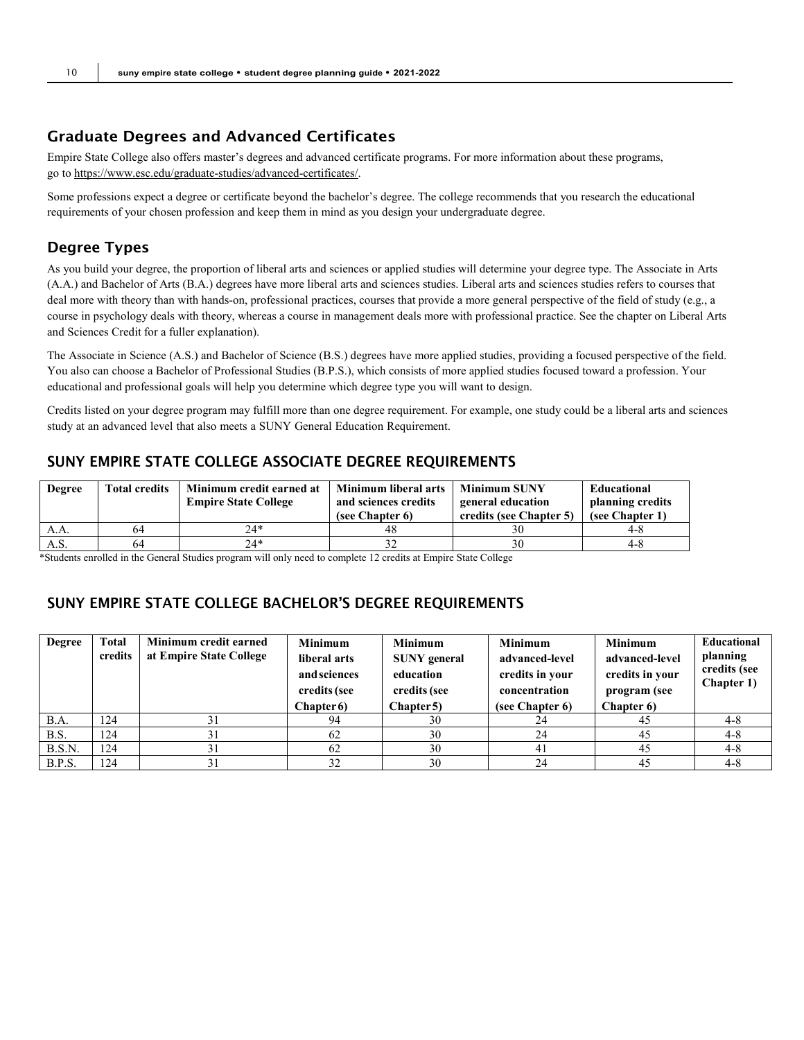## Graduate Degrees and Advanced Certificates

Empire State College also offers master's degrees and advanced certificate programs. For more information about these programs, go to [https://www.esc.edu/graduate-studies/advanced-certificates/.](https://www.esc.edu/graduate-studies/advanced-certificates/)

Some professions expect a degree or certificate beyond the bachelor's degree. The college recommends that you research the educational requirements of your chosen profession and keep them in mind as you design your undergraduate degree.

## Degree Types

As you build your degree, the proportion of liberal arts and sciences or applied studies will determine your degree type. The Associate in Arts (A.A.) and Bachelor of Arts (B.A.) degrees have more liberal arts and sciences studies. Liberal arts and sciences studies refers to courses that deal more with theory than with hands-on, professional practices, courses that provide a more general perspective of the field of study (e.g., a course in psychology deals with theory, whereas a course in management deals more with professional practice. See the chapter on Liberal Arts and Sciences Credit for a fuller explanation).

The Associate in Science (A.S.) and Bachelor of Science (B.S.) degrees have more applied studies, providing a focused perspective of the field. You also can choose a Bachelor of Professional Studies (B.P.S.), which consists of more applied studies focused toward a profession. Your educational and professional goals will help you determine which degree type you will want to design.

Credits listed on your degree program may fulfill more than one degree requirement. For example, one study could be a liberal arts and sciences study at an advanced level that also meets a SUNY General Education Requirement.

## SUNY EMPIRE STATE COLLEGE ASSOCIATE DEGREE REQUIREMENTS

| Degree | <b>Total credits</b> | Minimum credit earned at    | Minimum liberal arts | <b>Minimum SUNY</b>     | Educational      |
|--------|----------------------|-----------------------------|----------------------|-------------------------|------------------|
|        |                      | <b>Empire State College</b> | and sciences credits | general education       | planning credits |
|        |                      |                             | (see Chapter 6)      | credits (see Chapter 5) | (see Chapter 1)  |
| A.A.   | 64                   | 24*                         | 48                   |                         | 4-8              |
| A.S.   | 64                   | $74*$                       |                      | 30                      | 4-⊱              |

\*Students enrolled in the General Studies program will only need to complete 12 credits at Empire State College

## SUNY EMPIRE STATE COLLEGE BACHELOR'S DEGREE REQUIREMENTS

| <b>Degree</b> | Total<br>credits | Minimum credit earned<br>at Empire State College | <b>Minimum</b><br>liberal arts<br>and sciences<br>credits (see<br><b>Chapter 6)</b> | <b>Minimum</b><br><b>SUNY</b> general<br>education<br>credits (see<br>Chapter 5) | <b>Minimum</b><br>advanced-level<br>credits in your<br>concentration<br>(see Chapter 6) | <b>Minimum</b><br>advanced-level<br>credits in your<br>program (see<br>Chapter 6) | <b>Educational</b><br>planning<br>credits (see<br><b>Chapter 1)</b> |
|---------------|------------------|--------------------------------------------------|-------------------------------------------------------------------------------------|----------------------------------------------------------------------------------|-----------------------------------------------------------------------------------------|-----------------------------------------------------------------------------------|---------------------------------------------------------------------|
| <b>B.A.</b>   | 124              |                                                  | 94                                                                                  | 30                                                                               |                                                                                         | 45                                                                                | $4 - 8$                                                             |
| B.S.          | 124              |                                                  | 62                                                                                  | 30                                                                               | 24                                                                                      | 45                                                                                | $4 - 8$                                                             |
| B.S.N.        | 124              |                                                  | 62                                                                                  | 30                                                                               | 41                                                                                      | 45                                                                                | $4 - 8$                                                             |
| B.P.S.        | 124              |                                                  | 32                                                                                  | 30                                                                               | 24                                                                                      | 45                                                                                | $4 - 8$                                                             |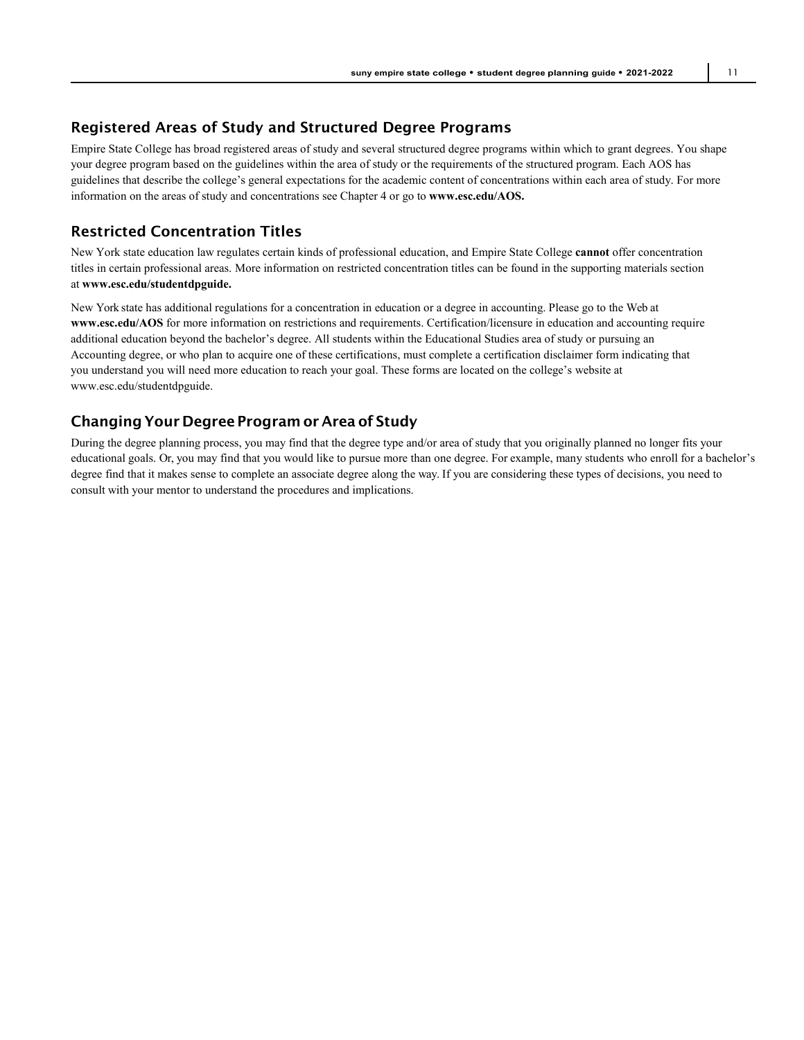## Registered Areas of Study and Structured Degree Programs

Empire State College has broad registered areas of study and several structured degree programs within which to grant degrees. You shape your degree program based on the guidelines within the area of study or the requirements of the structured program. Each AOS has guidelines that describe the college's general expectations for the academic content of concentrations within each area of study. For more information on the areas of study and concentrations see Chapter 4 or go to **[www.esc.edu/AOS.](http://www.esc.edu/AOS)**

## Restricted Concentration Titles

New York state education law regulates certain kinds of professional education, and Empire State College **cannot** offer concentration titles in certain professional areas. More information on restricted concentration titles can be found in the supporting materials section at **[www.esc.edu/studentdpguide.](http://www.esc.edu/studentdpguide)**

New York state has additional regulations for a concentration in education or a degree in accounting. Please go to the Web at **[www.esc.edu/AOS](http://www.esc.edu/AOS)** for more information on restrictions and requirements. Certification/licensure in education and accounting require additional education beyond the bachelor's degree. All students within the Educational Studies area of study or pursuing an Accounting degree, or who plan to acquire one of these certifications, must complete a certification disclaimer form indicating that you understand you will need more education to reach your goal. These forms are located on the college's website at [www.esc.edu/studentdpguide.](http://www.esc.edu/studentdpguide)

## ChangingYour Degree Program or Area of Study

During the degree planning process, you may find that the degree type and/or area of study that you originally planned no longer fits your educational goals. Or, you may find that you would like to pursue more than one degree. For example, many students who enroll for a bachelor's degree find that it makes sense to complete an associate degree along the way. If you are considering these types of decisions, you need to consult with your mentor to understand the procedures and implications.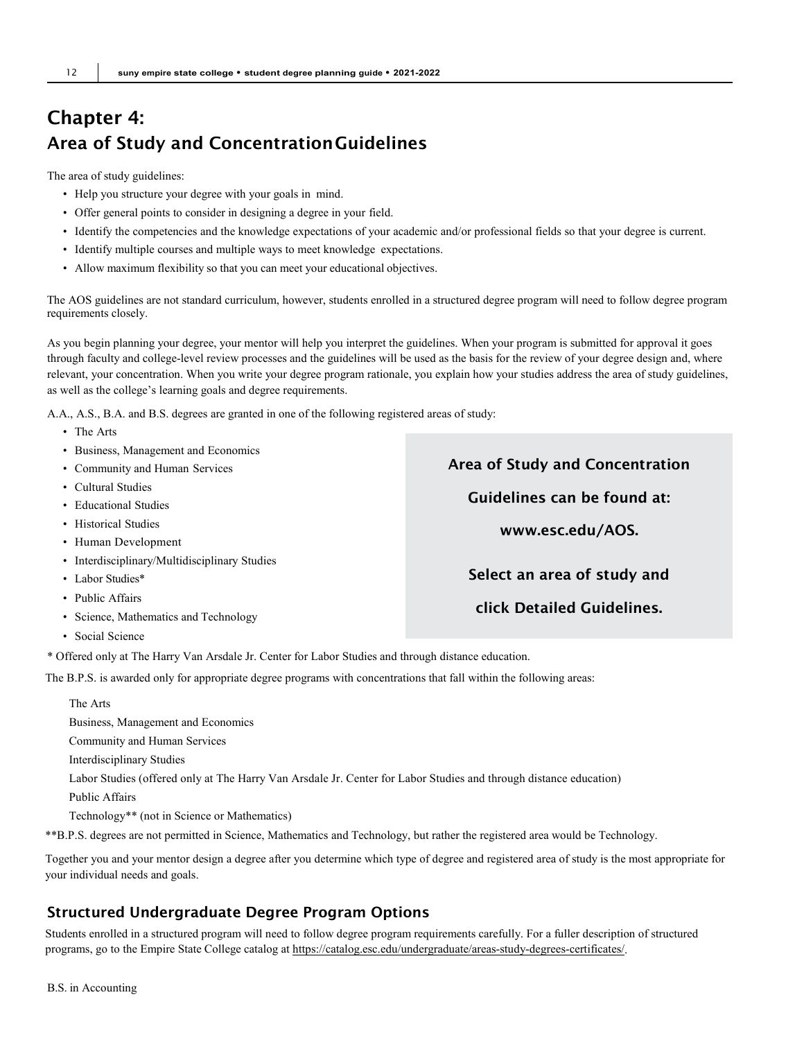## Chapter 4: Area of Study and ConcentrationGuidelines

The area of study guidelines:

- Help you structure your degree with your goals in mind.
- Offer general points to consider in designing a degree in your field.
- Identify the competencies and the knowledge expectations of your academic and/or professional fields so that your degree is current.
- Identify multiple courses and multiple ways to meet knowledge expectations.
- Allow maximum flexibility so that you can meet your educational objectives.

The AOS guidelines are not standard curriculum, however, students enrolled in a structured degree program will need to follow degree program requirements closely.

As you begin planning your degree, your mentor will help you interpret the guidelines. When your program is submitted for approval it goes through faculty and college-level review processes and the guidelines will be used as the basis for the review of your degree design and, where relevant, your concentration. When you write your degree program rationale, you explain how your studies address the area of study guidelines, as well as the college's learning goals and degree requirements.

A.A., A.S., B.A. and B.S. degrees are granted in one of the following registered areas of study:

- The Arts
- Business, Management and Economics
- Community and Human Services
- Cultural Studies
- Educational Studies
- Historical Studies
- Human Development
- Interdisciplinary/Multidisciplinary Studies
- Labor Studies\*
- Public Affairs
- Science, Mathematics and Technology
- Social Science

\* Offered only at The Harry Van Arsdale Jr. Center for Labor Studies and through distance education.

The B.P.S. is awarded only for appropriate degree programs with concentrations that fall within the following areas:

The Arts Business, Management and Economics Community and Human Services Interdisciplinary Studies Labor Studies (offered only at The Harry Van Arsdale Jr. Center for Labor Studies and through distance education) Public Affairs Technology\*\* (not in Science or Mathematics) \*\*B.P.S. degrees are not permitted in Science, Mathematics and Technology, but rather the registered area would be Technology.

Together you and your mentor design a degree after you determine which type of degree and registered area of study is the most appropriate for your individual needs and goals.

## Structured Undergraduate Degree Program Options

Students enrolled in a structured program will need to follow degree program requirements carefully. For a fuller description of structured programs, go to the Empire State College catalog at [https://catalog.esc.edu/undergraduate/areas-study-degrees-certificates/.](https://catalog.esc.edu/undergraduate/areas-study-degrees-certificates/)

Area of Study and Concentration Guidelines can be found at: [www.esc.edu/AOS.](http://www.esc.edu/AOS) Select an area of study and click Detailed Guidelines.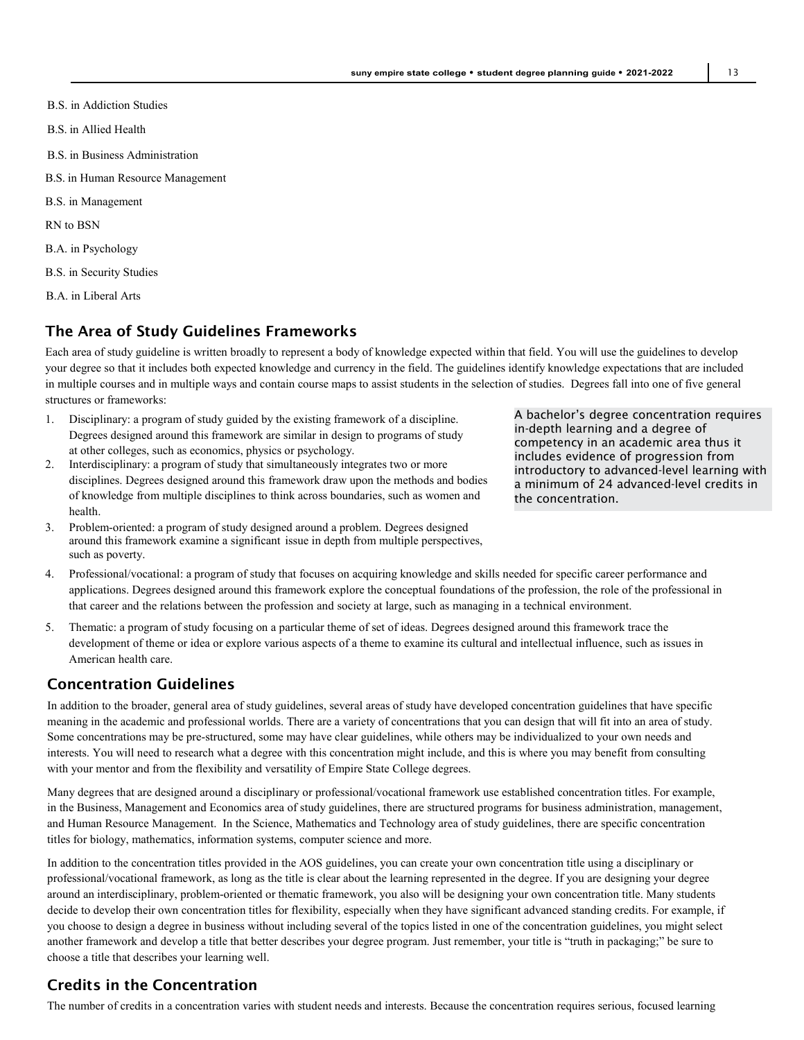- B.S. in Addiction Studies
- B.S. in Allied Health
- B.S. in Business Administration
- B.S. in Human Resource Management
- B.S. in Management
- RN to BSN
- B.A. in Psychology
- B.S. in Security Studies
- B.A. in Liberal Arts

## The Area of Study Guidelines Frameworks

Each area of study guideline is written broadly to represent a body of knowledge expected within that field. You will use the guidelines to develop your degree so that it includes both expected knowledge and currency in the field. The guidelines identify knowledge expectations that are included in multiple courses and in multiple ways and contain course maps to assist students in the selection of studies. Degrees fall into one of five general structures or frameworks:

- 1. Disciplinary: a program of study guided by the existing framework of a discipline. Degrees designed around this framework are similar in design to programs of study at other colleges, such as economics, physics or psychology.
- 2. Interdisciplinary: a program of study that simultaneously integrates two or more disciplines. Degrees designed around this framework draw upon the methods and bodies of knowledge from multiple disciplines to think across boundaries, such as women and health.
- 3. Problem-oriented: a program of study designed around a problem. Degrees designed around this framework examine a significant issue in depth from multiple perspectives, such as poverty.

A bachelor's degree concentration requires in-depth learning and a degree of competency in an academic area thus it includes evidence of progression from introductory to advanced-level learning with a minimum of 24 advanced-level credits in the concentration.

- 4. Professional/vocational: a program of study that focuses on acquiring knowledge and skills needed for specific career performance and applications. Degrees designed around this framework explore the conceptual foundations of the profession, the role of the professional in that career and the relations between the profession and society at large, such as managing in a technical environment.
- 5. Thematic: a program of study focusing on a particular theme of set of ideas. Degrees designed around this framework trace the development of theme or idea or explore various aspects of a theme to examine its cultural and intellectual influence, such as issues in American health care.

#### Concentration Guidelines

In addition to the broader, general area of study guidelines, several areas of study have developed concentration guidelines that have specific meaning in the academic and professional worlds. There are a variety of concentrations that you can design that will fit into an area of study. Some concentrations may be pre-structured, some may have clear guidelines, while others may be individualized to your own needs and interests. You will need to research what a degree with this concentration might include, and this is where you may benefit from consulting with your mentor and from the flexibility and versatility of Empire State College degrees.

Many degrees that are designed around a disciplinary or professional/vocational framework use established concentration titles. For example, in the Business, Management and Economics area of study guidelines, there are structured programs for business administration, management, and Human Resource Management. In the Science, Mathematics and Technology area of study guidelines, there are specific concentration titles for biology, mathematics, information systems, computer science and more.

In addition to the concentration titles provided in the AOS guidelines, you can create your own concentration title using a disciplinary or professional/vocational framework, as long as the title is clear about the learning represented in the degree. If you are designing your degree around an interdisciplinary, problem-oriented or thematic framework, you also will be designing your own concentration title. Many students decide to develop their own concentration titles for flexibility, especially when they have significant advanced standing credits. For example, if you choose to design a degree in business without including several of the topics listed in one of the concentration guidelines, you might select another framework and develop a title that better describes your degree program. Just remember, your title is "truth in packaging;" be sure to choose a title that describes your learning well.

#### Credits in the Concentration

The number of credits in a concentration varies with student needs and interests. Because the concentration requires serious, focused learning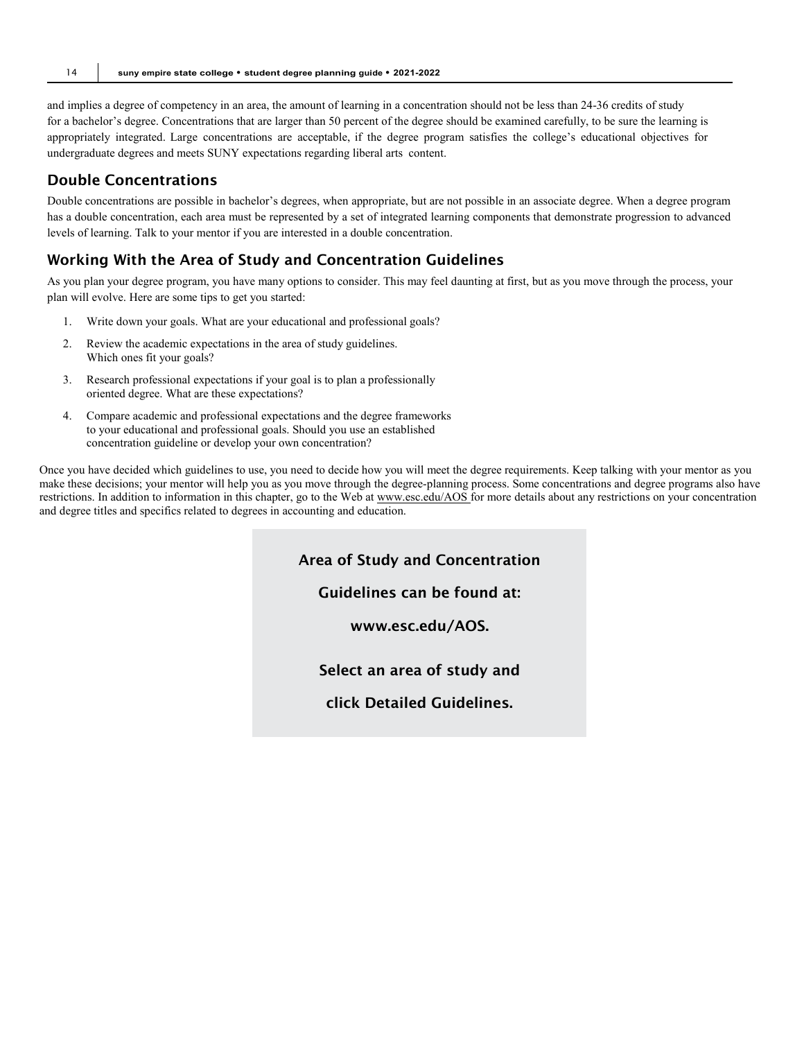and implies a degree of competency in an area, the amount of learning in a concentration should not be less than 24-36 credits of study for a bachelor's degree. Concentrations that are larger than 50 percent of the degree should be examined carefully, to be sure the learning is appropriately integrated. Large concentrations are acceptable, if the degree program satisfies the college's educational objectives for undergraduate degrees and meets SUNY expectations regarding liberal arts content.

## Double Concentrations

Double concentrations are possible in bachelor's degrees, when appropriate, but are not possible in an associate degree. When a degree program has a double concentration, each area must be represented by a set of integrated learning components that demonstrate progression to advanced levels of learning. Talk to your mentor if you are interested in a double concentration.

## Working With the Area of Study and Concentration Guidelines

As you plan your degree program, you have many options to consider. This may feel daunting at first, but as you move through the process, your plan will evolve. Here are some tips to get you started:

- 1. Write down your goals. What are your educational and professional goals?
- 2. Review the academic expectations in the area of study guidelines. Which ones fit your goals?
- 3. Research professional expectations if your goal is to plan a professionally oriented degree. What are these expectations?
- 4. Compare academic and professional expectations and the degree frameworks to your educational and professional goals. Should you use an established concentration guideline or develop your own concentration?

Once you have decided which guidelines to use, you need to decide how you will meet the degree requirements. Keep talking with your mentor as you make these decisions; your mentor will help you as you move through the degree-planning process. Some concentrations and degree programs also have restrictions. In addition to information in this chapter, go to the Web at [www.esc.edu/AOS f](http://www.esc.edu/AOS)or more details about any restrictions on your concentration and degree titles and specifics related to degrees in accounting and education.

Area of Study and Concentration

Guidelines can be found at:

[www.esc.edu/AOS.](http://www.esc.edu/AOS)

Select an area of study and

click Detailed Guidelines.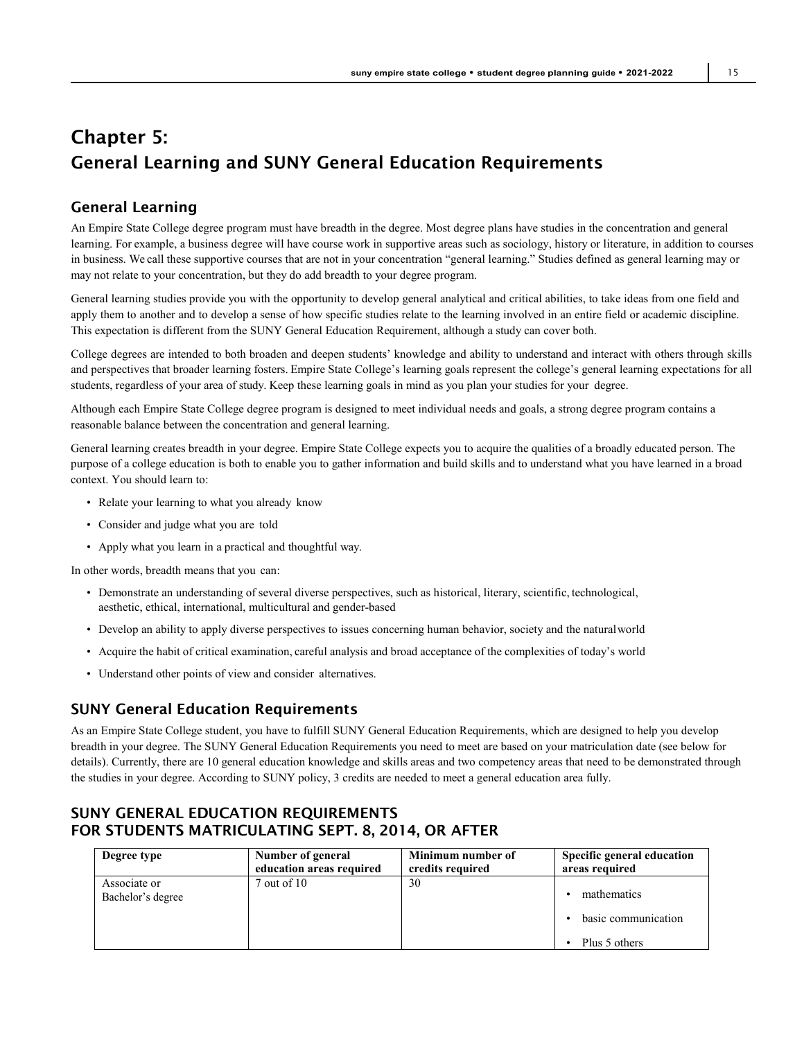## Chapter 5: General Learning and SUNY General Education Requirements

## General Learning

An Empire State College degree program must have breadth in the degree. Most degree plans have studies in the concentration and general learning. For example, a business degree will have course work in supportive areas such as sociology, history or literature, in addition to courses in business. We call these supportive courses that are not in your concentration "general learning." Studies defined as general learning may or may not relate to your concentration, but they do add breadth to your degree program.

General learning studies provide you with the opportunity to develop general analytical and critical abilities, to take ideas from one field and apply them to another and to develop a sense of how specific studies relate to the learning involved in an entire field or academic discipline. This expectation is different from the SUNY General Education Requirement, although a study can cover both.

College degrees are intended to both broaden and deepen students' knowledge and ability to understand and interact with others through skills and perspectives that broader learning fosters. Empire State College's learning goals represent the college's general learning expectations for all students, regardless of your area of study. Keep these learning goals in mind as you plan your studies for your degree.

Although each Empire State College degree program is designed to meet individual needs and goals, a strong degree program contains a reasonable balance between the concentration and general learning.

General learning creates breadth in your degree. Empire State College expects you to acquire the qualities of a broadly educated person. The purpose of a college education is both to enable you to gather information and build skills and to understand what you have learned in a broad context. You should learn to:

- Relate your learning to what you already know
- Consider and judge what you are told
- Apply what you learn in a practical and thoughtful way.

In other words, breadth means that you can:

- Demonstrate an understanding of several diverse perspectives, such as historical, literary, scientific, technological, aesthetic, ethical, international, multicultural and gender-based
- Develop an ability to apply diverse perspectives to issues concerning human behavior, society and the naturalworld
- Acquire the habit of critical examination, careful analysis and broad acceptance of the complexities of today's world
- Understand other points of view and consider alternatives.

## SUNY General Education Requirements

As an Empire State College student, you have to fulfill SUNY General Education Requirements, which are designed to help you develop breadth in your degree. The SUNY General Education Requirements you need to meet are based on your matriculation date (see below for details). Currently, there are 10 general education knowledge and skills areas and two competency areas that need to be demonstrated through the studies in your degree. According to SUNY policy, 3 credits are needed to meet a general education area fully.

## SUNY GENERAL EDUCATION REQUIREMENTS FOR STUDENTS MATRICULATING SEPT. 8, 2014, OR AFTER

| Degree type                       | Number of general        | Minimum number of | Specific general education                          |
|-----------------------------------|--------------------------|-------------------|-----------------------------------------------------|
|                                   | education areas required | credits required  | areas required                                      |
| Associate or<br>Bachelor's degree | $7$ out of $10$          | 30                | mathematics<br>basic communication<br>Plus 5 others |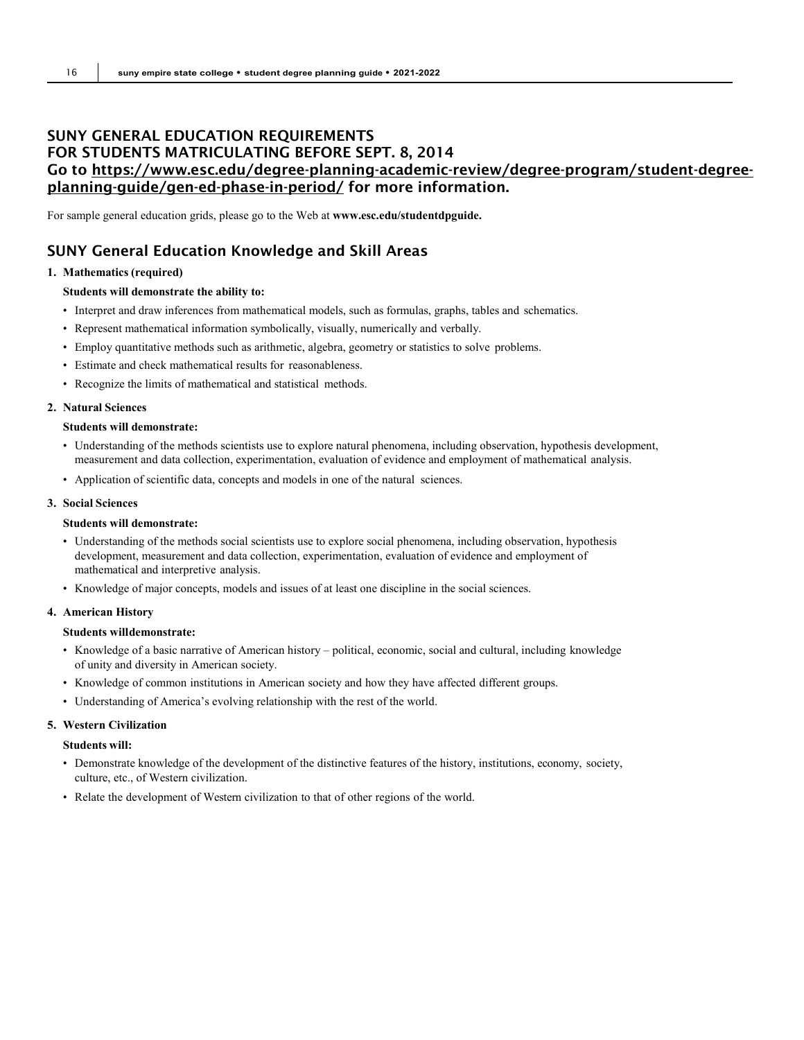## SUNY GENERAL EDUCATION REQUIREMENTS FOR STUDENTS MATRICULATING BEFORE SEPT. 8, 2014 Go to [https://www.esc.edu/degree-planning-academic-review/degree-program/student-degree](https://www.esc.edu/degree-planning-academic-review/degree-program/student-degree-planning-guide/gen-ed-phase-in-period/)[planning-guide/gen-ed-phase-in-period/](https://www.esc.edu/degree-planning-academic-review/degree-program/student-degree-planning-guide/gen-ed-phase-in-period/) for more information.

For sample general education grids, please go to the Web at **[www.esc.edu/studentdpguide.](http://www.esc.edu/studentdpguide)**

## SUNY General Education Knowledge and Skill Areas

#### **1. Mathematics (required)**

#### **Students will demonstrate the ability to:**

- Interpret and draw inferences from mathematical models, such as formulas, graphs, tables and schematics.
- Represent mathematical information symbolically, visually, numerically and verbally.
- Employ quantitative methods such as arithmetic, algebra, geometry or statistics to solve problems.
- Estimate and check mathematical results for reasonableness.
- Recognize the limits of mathematical and statistical methods.

#### **2. Natural Sciences**

#### **Students will demonstrate:**

- Understanding of the methods scientists use to explore natural phenomena, including observation, hypothesis development, measurement and data collection, experimentation, evaluation of evidence and employment of mathematical analysis.
- Application of scientific data, concepts and models in one of the natural sciences.

#### **3. Social Sciences**

#### **Students will demonstrate:**

- Understanding of the methods social scientists use to explore social phenomena, including observation, hypothesis development, measurement and data collection, experimentation, evaluation of evidence and employment of mathematical and interpretive analysis.
- Knowledge of major concepts, models and issues of at least one discipline in the social sciences.

#### **4. American History**

#### **Students willdemonstrate:**

- Knowledge of a basic narrative of American history political, economic, social and cultural, including knowledge of unity and diversity in American society.
- Knowledge of common institutions in American society and how they have affected different groups.
- Understanding of America's evolving relationship with the rest of the world.

#### **5. Western Civilization**

#### **Students will:**

- Demonstrate knowledge of the development of the distinctive features of the history, institutions, economy, society, culture, etc., of Western civilization.
- Relate the development of Western civilization to that of other regions of the world.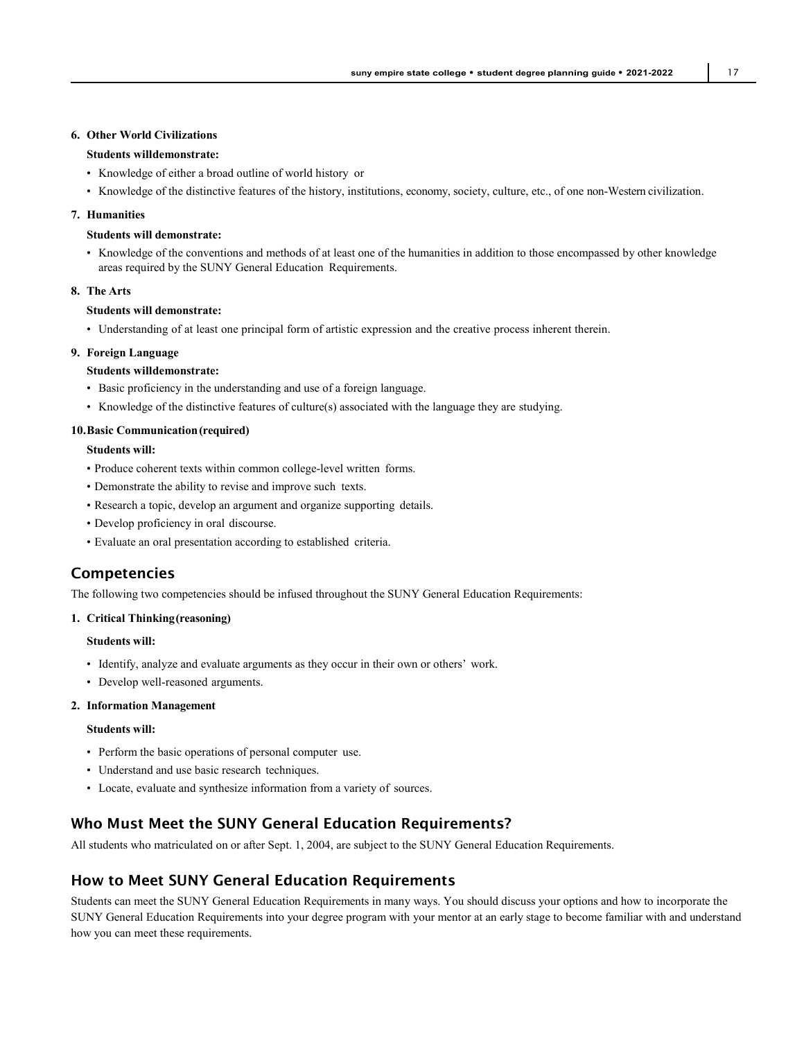#### **6. Other World Civilizations**

#### **Students willdemonstrate:**

- Knowledge of either a broad outline of world history or
- Knowledge of the distinctive features of the history, institutions, economy, society, culture, etc., of one non-Western civilization.

#### **7. Humanities**

#### **Students will demonstrate:**

• Knowledge of the conventions and methods of at least one of the humanities in addition to those encompassed by other knowledge areas required by the SUNY General Education Requirements.

#### **8. The Arts**

#### **Students will demonstrate:**

• Understanding of at least one principal form of artistic expression and the creative process inherent therein.

#### **9. Foreign Language**

#### **Students willdemonstrate:**

- Basic proficiency in the understanding and use of a foreign language.
- Knowledge of the distinctive features of culture(s) associated with the language they are studying.

#### **10.Basic Communication(required)**

#### **Students will:**

- Produce coherent texts within common college-level written forms.
- Demonstrate the ability to revise and improve such texts.
- Research a topic, develop an argument and organize supporting details.
- Develop proficiency in oral discourse.
- Evaluate an oral presentation according to established criteria.

## Competencies

The following two competencies should be infused throughout the SUNY General Education Requirements:

#### **1. Critical Thinking(reasoning)**

#### **Students will:**

- Identify, analyze and evaluate arguments as they occur in their own or others' work.
- Develop well-reasoned arguments.

#### **2. Information Management**

#### **Students will:**

- Perform the basic operations of personal computer use.
- Understand and use basic research techniques.
- Locate, evaluate and synthesize information from a variety of sources.

#### Who Must Meet the SUNY General Education Requirements?

All students who matriculated on or after Sept. 1, 2004, are subject to the SUNY General Education Requirements.

#### How to Meet SUNY General Education Requirements

Students can meet the SUNY General Education Requirements in many ways. You should discuss your options and how to incorporate the SUNY General Education Requirements into your degree program with your mentor at an early stage to become familiar with and understand how you can meet these requirements.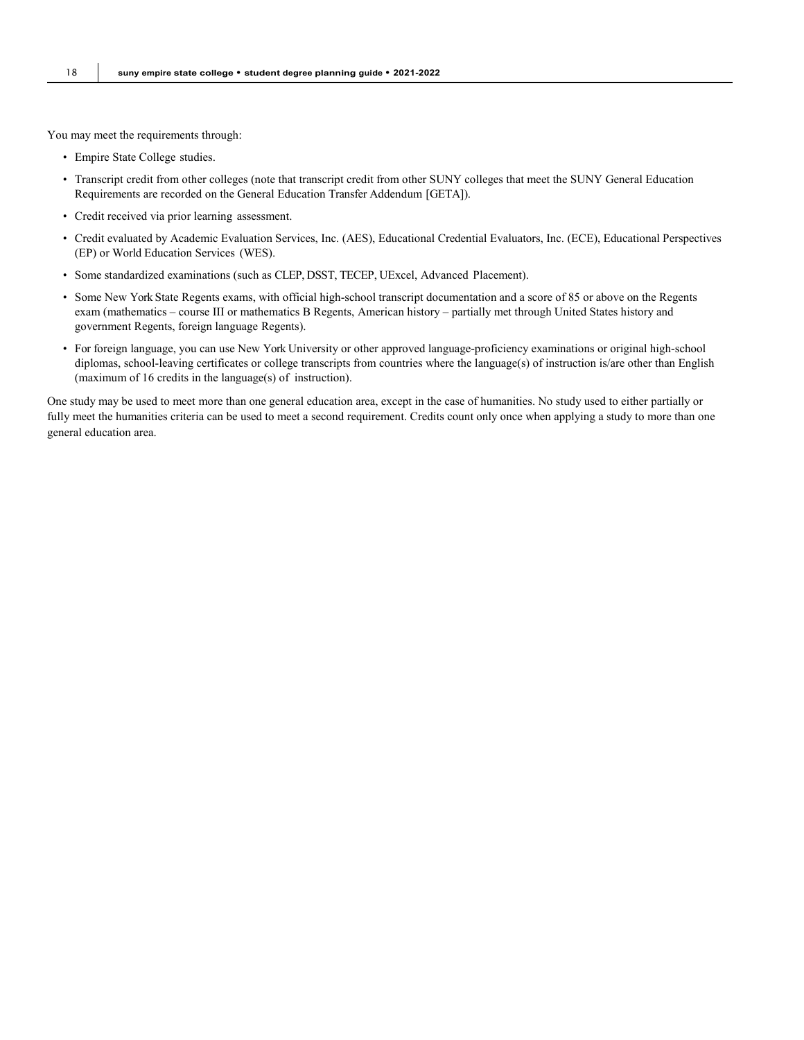You may meet the requirements through:

- Empire State College studies.
- Transcript credit from other colleges (note that transcript credit from other SUNY colleges that meet the SUNY General Education Requirements are recorded on the General Education Transfer Addendum [GETA]).
- Credit received via prior learning assessment.
- Credit evaluated by Academic Evaluation Services, Inc. (AES), Educational Credential Evaluators, Inc. (ECE), Educational Perspectives (EP) or World Education Services (WES).
- Some standardized examinations (such as CLEP, DSST, TECEP, UExcel, Advanced Placement).
- Some New York State Regents exams, with official high-school transcript documentation and a score of 85 or above on the Regents exam (mathematics – course III or mathematics B Regents, American history – partially met through United States history and government Regents, foreign language Regents).
- For foreign language, you can use New York University or other approved language-proficiency examinations or original high-school diplomas, school-leaving certificates or college transcripts from countries where the language(s) of instruction is/are other than English (maximum of 16 credits in the language(s) of instruction).

One study may be used to meet more than one general education area, except in the case of humanities. No study used to either partially or fully meet the humanities criteria can be used to meet a second requirement. Credits count only once when applying a study to more than one general education area.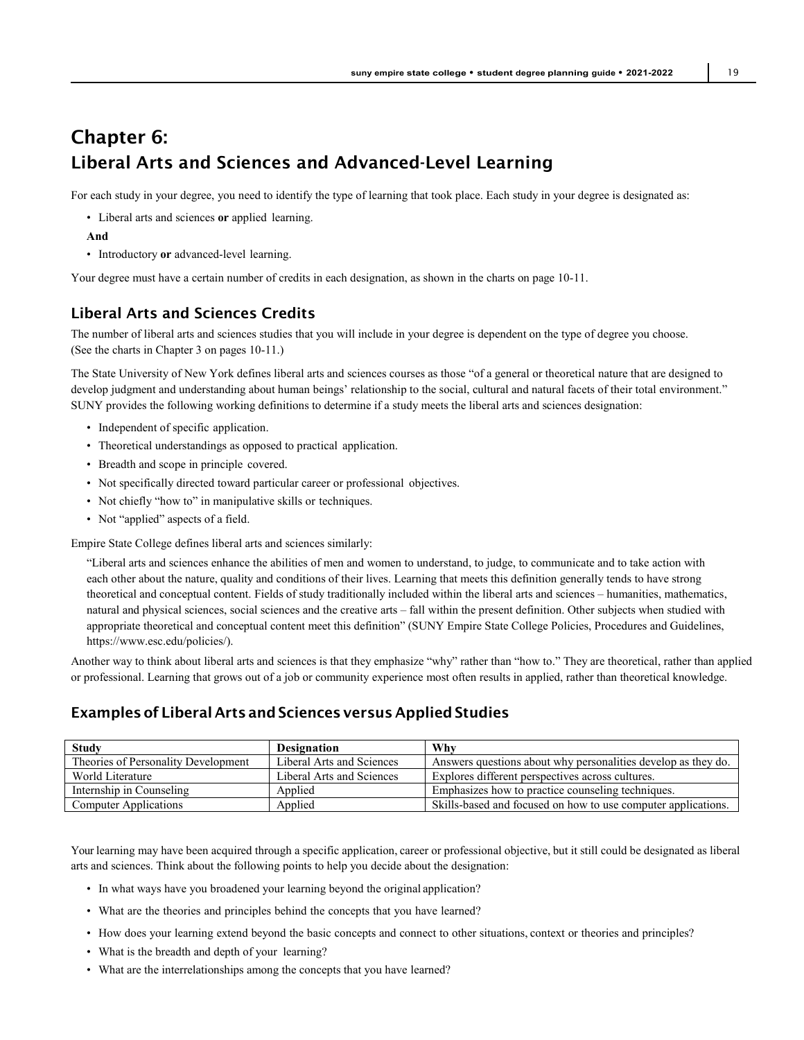## Chapter 6: Liberal Arts and Sciences and Advanced-Level Learning

For each study in your degree, you need to identify the type of learning that took place. Each study in your degree is designated as:

- Liberal arts and sciences **or** applied learning.
- **And**
- Introductory **or** advanced-level learning.

Your degree must have a certain number of credits in each designation, as shown in the charts on page 10-11.

## Liberal Arts and Sciences Credits

The number of liberal arts and sciences studies that you will include in your degree is dependent on the type of degree you choose. (See the charts in Chapter 3 on pages 10-11.)

The State University of New York defines liberal arts and sciences courses as those "of a general or theoretical nature that are designed to develop judgment and understanding about human beings' relationship to the social, cultural and natural facets of their total environment." SUNY provides the following working definitions to determine if a study meets the liberal arts and sciences designation:

- Independent of specific application.
- Theoretical understandings as opposed to practical application.
- Breadth and scope in principle covered.
- Not specifically directed toward particular career or professional objectives.
- Not chiefly "how to" in manipulative skills or techniques.
- Not "applied" aspects of a field.

Empire State College defines liberal arts and sciences similarly:

"Liberal arts and sciences enhance the abilities of men and women to understand, to judge, to communicate and to take action with each other about the nature, quality and conditions of their lives. Learning that meets this definition generally tends to have strong theoretical and conceptual content. Fields of study traditionally included within the liberal arts and sciences – humanities, mathematics, natural and physical sciences, social sciences and the creative arts – fall within the present definition. Other subjects when studied with appropriate theoretical and conceptual content meet this definition" (SUNY Empire State College Policies, Procedures and Guidelines, https://www.esc.edu/policies/).

Another way to think about liberal arts and sciences is that they emphasize "why" rather than "how to." They are theoretical, rather than applied or professional. Learning that grows out of a job or community experience most often results in applied, rather than theoretical knowledge.

## Examples of Liberal Arts and Sciences versus Applied Studies

| <b>Study</b>                        | <b>Designation</b>        | Why                                                           |
|-------------------------------------|---------------------------|---------------------------------------------------------------|
| Theories of Personality Development | Liberal Arts and Sciences | Answers questions about why personalities develop as they do. |
| World Literature                    | Liberal Arts and Sciences | Explores different perspectives across cultures.              |
| Internship in Counseling            | Applied                   | Emphasizes how to practice counseling techniques.             |
| Computer Applications               | Applied                   | Skills-based and focused on how to use computer applications. |

Your learning may have been acquired through a specific application, career or professional objective, but it still could be designated as liberal arts and sciences. Think about the following points to help you decide about the designation:

- In what ways have you broadened your learning beyond the original application?
- What are the theories and principles behind the concepts that you have learned?
- How does your learning extend beyond the basic concepts and connect to other situations, context or theories and principles?
- What is the breadth and depth of your learning?
- What are the interrelationships among the concepts that you have learned?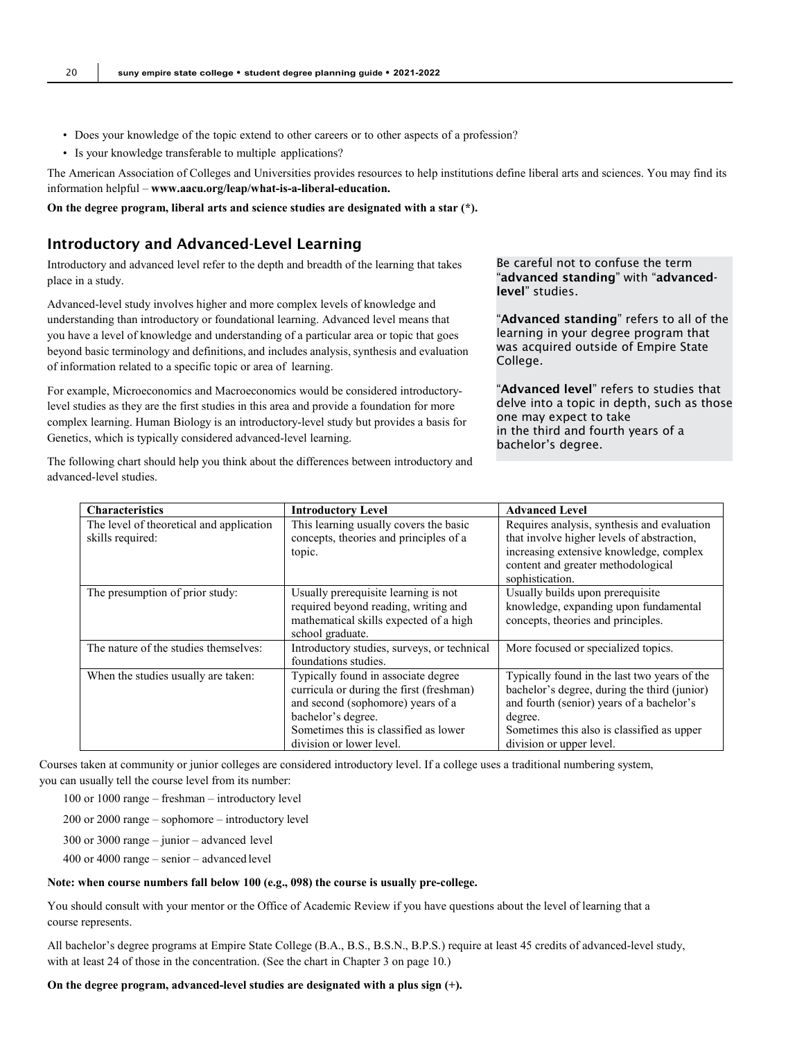- Does your knowledge of the topic extend to other careers or to other aspects of a profession?
- Is your knowledge transferable to multiple applications?

The American Association of Colleges and Universities provides resources to help institutions define liberal arts and sciences. You may find its information helpful – **[www.aacu.org/leap/what-is-a-liberal-education.](http://www.aacu.org/leap/what-is-a-liberal-education)**

**On the degree program, liberal arts and science studies are designated with a star (\*).**

#### Introductory and Advanced-Level Learning

Introductory and advanced level refer to the depth and breadth of the learning that takes place in a study.

Advanced-level study involves higher and more complex levels of knowledge and understanding than introductory or foundational learning. Advanced level means that you have a level of knowledge and understanding of a particular area or topic that goes beyond basic terminology and definitions, and includes analysis, synthesis and evaluation of information related to a specific topic or area of learning.

For example, Microeconomics and Macroeconomics would be considered introductorylevel studies as they are the first studies in this area and provide a foundation for more complex learning. Human Biology is an introductory-level study but provides a basis for Genetics, which is typically considered advanced-level learning.

The following chart should help you think about the differences between introductory and

Be careful not to confuse the term "advanced standing" with "advancedlevel" studies.

"Advanced standing" refers to all of the learning in your degree program that was acquired outside of Empire State College.

"Advanced level" refers to studies that delve into a topic in depth, such as those one may expect to take in the third and fourth years of a bachelor's degree.

| <b>Characteristics</b>                                       | <b>Introductory Level</b>                                                                                                                                                                                       | <b>Advanced Level</b>                                                                                                                                                                                                          |
|--------------------------------------------------------------|-----------------------------------------------------------------------------------------------------------------------------------------------------------------------------------------------------------------|--------------------------------------------------------------------------------------------------------------------------------------------------------------------------------------------------------------------------------|
| The level of theoretical and application<br>skills required: | This learning usually covers the basic<br>concepts, theories and principles of a<br>topic.                                                                                                                      | Requires analysis, synthesis and evaluation<br>that involve higher levels of abstraction,<br>increasing extensive knowledge, complex<br>content and greater methodological<br>sophistication.                                  |
| The presumption of prior study:                              | Usually prerequisite learning is not<br>required beyond reading, writing and<br>mathematical skills expected of a high<br>school graduate.                                                                      | Usually builds upon prerequisite<br>knowledge, expanding upon fundamental<br>concepts, theories and principles.                                                                                                                |
| The nature of the studies themselves:                        | Introductory studies, surveys, or technical<br>foundations studies.                                                                                                                                             | More focused or specialized topics.                                                                                                                                                                                            |
| When the studies usually are taken:                          | Typically found in associate degree<br>curricula or during the first (freshman)<br>and second (sophomore) years of a<br>bachelor's degree.<br>Sometimes this is classified as lower<br>division or lower level. | Typically found in the last two years of the<br>bachelor's degree, during the third (junior)<br>and fourth (senior) years of a bachelor's<br>degree.<br>Sometimes this also is classified as upper<br>division or upper level. |

Courses taken at community or junior colleges are considered introductory level. If a college uses a traditional numbering system, you can usually tell the course level from its number:

- 100 or 1000 range freshman introductory level
- 200 or 2000 range sophomore introductory level
- 300 or 3000 range junior advanced level
- 400 or 4000 range senior advanced level

#### **Note: when course numbers fall below 100 (e.g., 098) the course is usually pre-college.**

You should consult with your mentor or the Office of Academic Review if you have questions about the level of learning that a course represents.

All bachelor's degree programs at Empire State College (B.A., B.S., B.S.N., B.P.S.) require at least 45 credits of advanced-level study, with at least 24 of those in the concentration. (See the chart in Chapter 3 on page 10.)

#### **On the degree program, advanced-level studies are designated with a plus sign (+).**

advanced-level studies.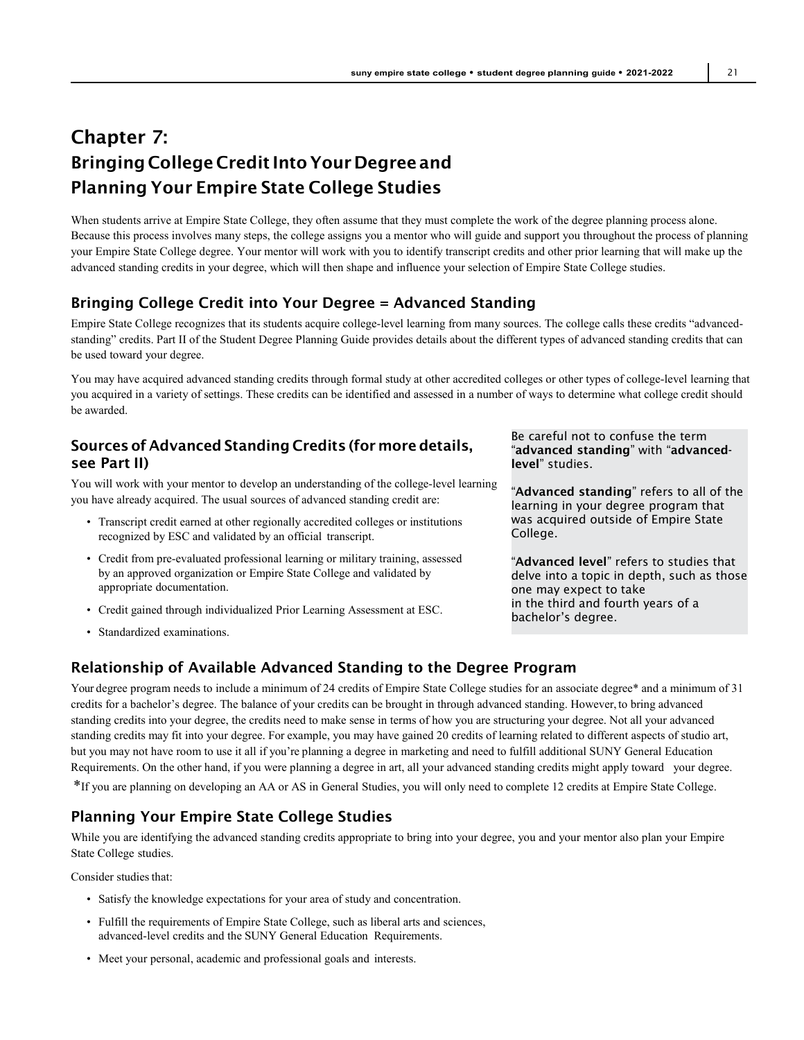## Chapter 7: Bringing College Credit IntoYourDegree and Planning Your Empire State College Studies

When students arrive at Empire State College, they often assume that they must complete the work of the degree planning process alone. Because this process involves many steps, the college assigns you a mentor who will guide and support you throughout the process of planning your Empire State College degree. Your mentor will work with you to identify transcript credits and other prior learning that will make up the advanced standing credits in your degree, which will then shape and influence your selection of Empire State College studies.

## Bringing College Credit into Your Degree = Advanced Standing

Empire State College recognizes that its students acquire college-level learning from many sources. The college calls these credits "advancedstanding" credits. Part II of the Student Degree Planning Guide provides details about the different types of advanced standing credits that can be used toward your degree.

You may have acquired advanced standing credits through formal study at other accredited colleges or other types of college-level learning that you acquired in a variety of settings. These credits can be identified and assessed in a number of ways to determine what college credit should be awarded.

## Sources of Advanced Standing Credits (for moredetails, see Part II)

You will work with your mentor to develop an understanding of the college-level learning you have already acquired. The usual sources of advanced standing credit are:

- Transcript credit earned at other regionally accredited colleges or institutions recognized by ESC and validated by an official transcript.
- Credit from pre-evaluated professional learning or military training, assessed by an approved organization or Empire State College and validated by appropriate documentation.
- Credit gained through individualized Prior Learning Assessment at ESC.
- Standardized examinations.

Be careful not to confuse the term "advanced standing" with "advancedlevel" studies.

"Advanced standing" refers to all of the learning in your degree program that was acquired outside of Empire State College.

"Advanced level" refers to studies that delve into a topic in depth, such as those one may expect to take in the third and fourth years of a bachelor's degree.

## Relationship of Available Advanced Standing to the Degree Program

Your degree program needs to include a minimum of 24 credits of Empire State College studies for an associate degree\* and a minimum of 31 credits for a bachelor's degree. The balance of your credits can be brought in through advanced standing. However,to bring advanced standing credits into your degree, the credits need to make sense in terms of how you are structuring your degree. Not all your advanced standing credits may fit into your degree. For example, you may have gained 20 credits of learning related to different aspects of studio art, but you may not have room to use it all if you're planning a degree in marketing and need to fulfill additional SUNY General Education Requirements. On the other hand, if you were planning a degree in art, all your advanced standing credits might apply toward your degree. \*If you are planning on developing an AA or AS in General Studies, you will only need to complete 12 credits at Empire State College.

## Planning Your Empire State College Studies

While you are identifying the advanced standing credits appropriate to bring into your degree, you and your mentor also plan your Empire State College studies.

Consider studies that:

- Satisfy the knowledge expectations for your area of study and concentration.
- Fulfill the requirements of Empire State College, such as liberal arts and sciences, advanced-level credits and the SUNY General Education Requirements.
- Meet your personal, academic and professional goals and interests.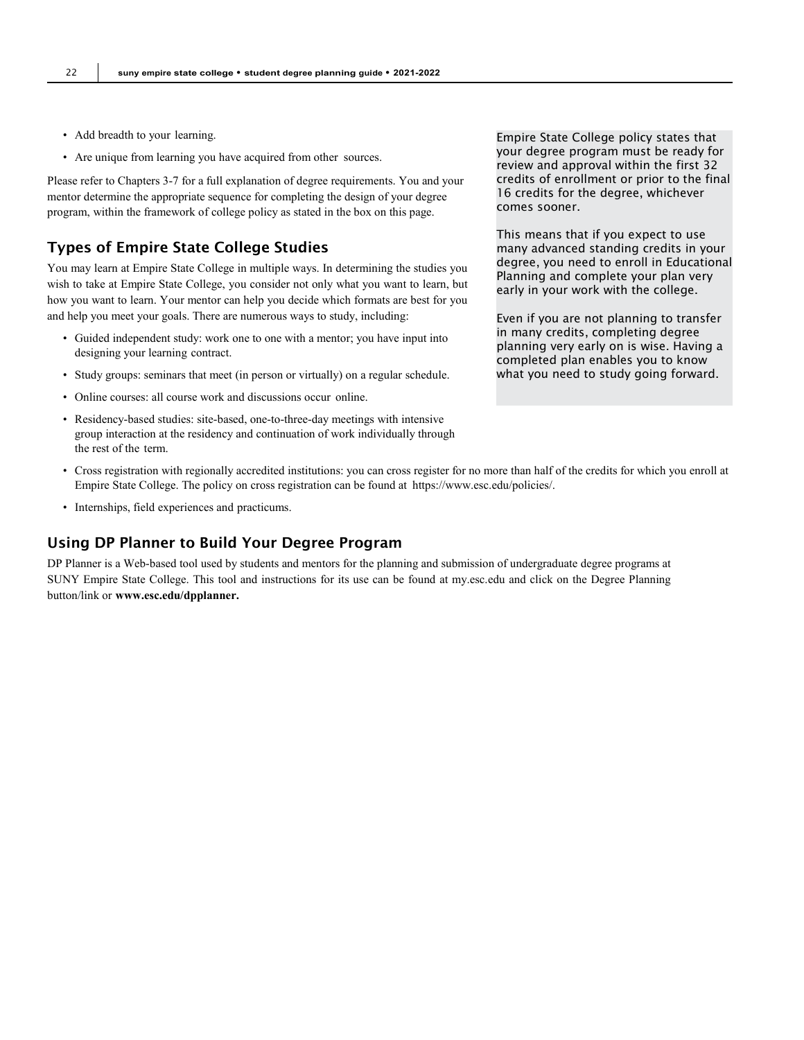- Add breadth to your learning.
- Are unique from learning you have acquired from other sources.

Please refer to Chapters 3-7 for a full explanation of degree requirements. You and your mentor determine the appropriate sequence for completing the design of your degree program, within the framework of college policy as stated in the box on this page.

## Types of Empire State College Studies

You may learn at Empire State College in multiple ways. In determining the studies you wish to take at Empire State College, you consider not only what you want to learn, but how you want to learn. Your mentor can help you decide which formats are best for you and help you meet your goals. There are numerous ways to study, including:

- Guided independent study: work one to one with a mentor; you have input into designing your learning contract.
- Study groups: seminars that meet (in person or virtually) on a regular schedule.
- Online courses: all course work and discussions occur online.
- Residency-based studies: site-based, one-to-three-day meetings with intensive group interaction at the residency and continuation of work individually through the rest of the term.
- Cross registration with regionally accredited institutions: you can cross register for no more than half of the credits for which you enroll at Empire State College. The policy on cross registration can be found at https://www.esc.edu/policies/.
- Internships, field experiences and practicums.

### Using DP Planner to Build Your Degree Program

DP Planner is a Web-based tool used by students and mentors for the planning and submission of undergraduate degree programs at SUNY Empire State College. This tool and instructions for its use can be found at my.esc.edu and click on the Degree Planning button/link or **[www.esc.edu/dpplanner.](http://www.esc.edu/dpplanner)**

Empire State College policy states that your degree program must be ready for review and approval within the first 32 credits of enrollment or prior to the final 16 credits for the degree, whichever comes sooner.

This means that if you expect to use many advanced standing credits in your degree, you need to enroll in Educational Planning and complete your plan very early in your work with the college.

Even if you are not planning to transfer in many credits, completing degree planning very early on is wise. Having a completed plan enables you to know what you need to study going forward.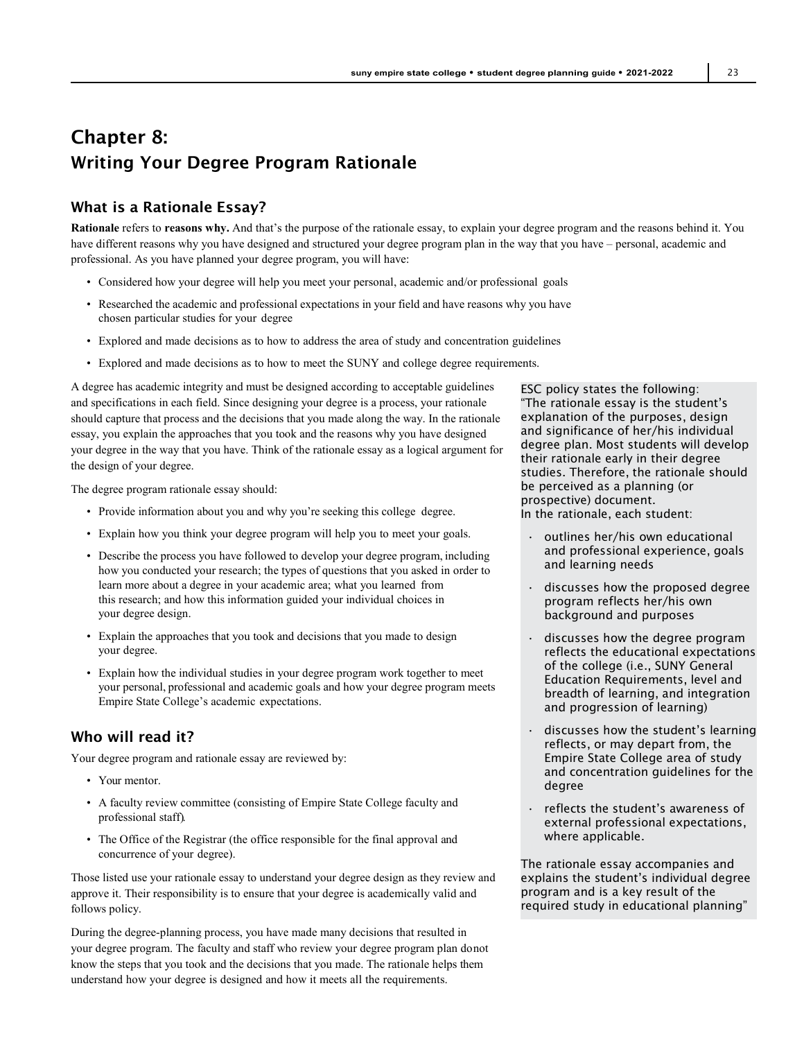## Chapter 8: Writing Your Degree Program Rationale

## What is a Rationale Essay?

**Rationale** refers to **reasons why.** And that's the purpose of the rationale essay, to explain your degree program and the reasons behind it. You have different reasons why you have designed and structured your degree program plan in the way that you have – personal, academic and professional. As you have planned your degree program, you will have:

- Considered how your degree will help you meet your personal, academic and/or professional goals
- Researched the academic and professional expectations in your field and have reasons why you have chosen particular studies for your degree
- Explored and made decisions as to how to address the area of study and concentration guidelines
- Explored and made decisions as to how to meet the SUNY and college degree requirements.

A degree has academic integrity and must be designed according to acceptable guidelines and specifications in each field. Since designing your degree is a process, your rationale should capture that process and the decisions that you made along the way. In the rationale essay, you explain the approaches that you took and the reasons why you have designed your degree in the way that you have. Think of the rationale essay as a logical argument for the design of your degree.

The degree program rationale essay should:

- Provide information about you and why you're seeking this college degree.
- Explain how you think your degree program will help you to meet your goals.
- Describe the process you have followed to develop your degree program, including how you conducted your research; the types of questions that you asked in order to learn more about a degree in your academic area; what you learned from this research; and how this information guided your individual choices in your degree design.
- Explain the approaches that you took and decisions that you made to design your degree.
- Explain how the individual studies in your degree program work together to meet your personal, professional and academic goals and how your degree program meets Empire State College's academic expectations.

#### Who will read it?

Your degree program and rationale essay are reviewed by:

- Your mentor.
- A faculty review committee (consisting of Empire State College faculty and professional staff).
- The Office of the Registrar (the office responsible for the final approval and concurrence of your degree).

Those listed use your rationale essay to understand your degree design as they review and approve it. Their responsibility is to ensure that your degree is academically valid and follows policy.

During the degree-planning process, you have made many decisions that resulted in your degree program. The faculty and staff who review your degree program plan donot know the steps that you took and the decisions that you made. The rationale helps them understand how your degree is designed and how it meets all the requirements.

ESC policy states the following: "The rationale essay is the student's explanation of the purposes, design and significance of her/his individual degree plan. Most students will develop their rationale early in their degree studies. Therefore, the rationale should be perceived as a planning (or prospective) document.

In the rationale, each student:

- outlines her/his own educational and professional experience, goals and learning needs
- discusses how the proposed degree program reflects her/his own background and purposes
- discusses how the degree program reflects the educational expectations of the college (i.e., SUNY General Education Requirements, level and breadth of learning, and integration and progression of learning)
- discusses how the student's learning reflects, or may depart from, the Empire State College area of study and concentration guidelines for the degree
- reflects the student's awareness of external professional expectations, where applicable.

The rationale essay accompanies and explains the student's individual degree program and is a key result of the required study in educational planning"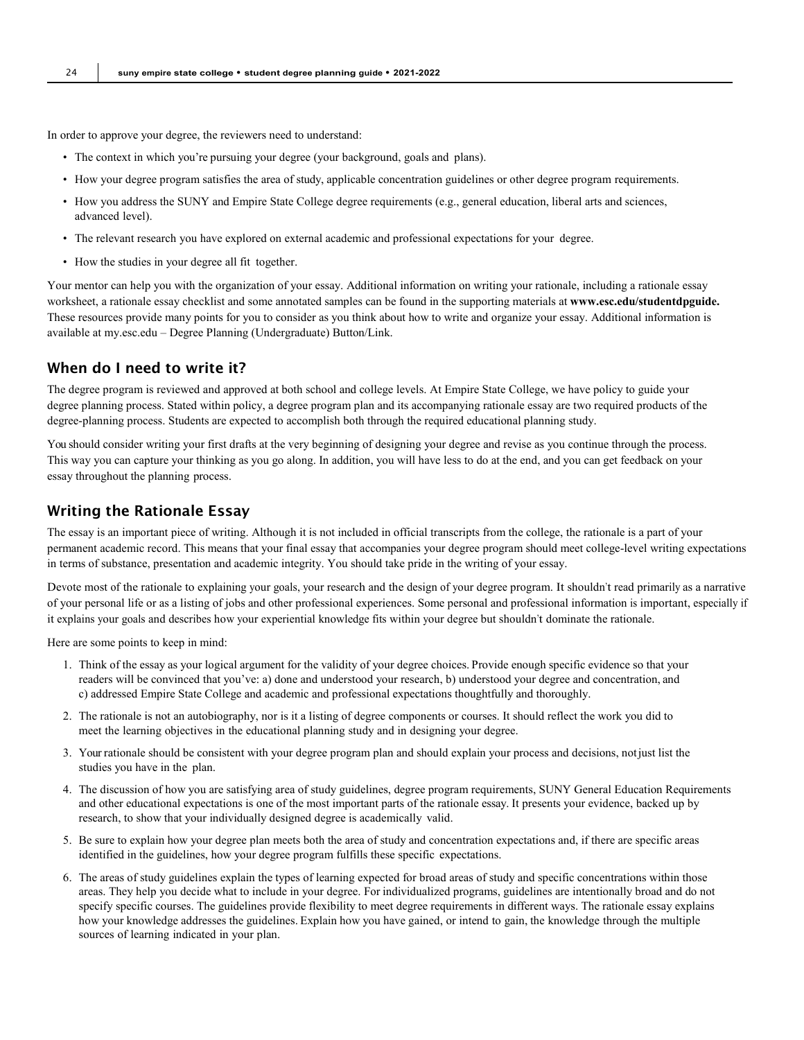In order to approve your degree, the reviewers need to understand:

- The context in which you're pursuing your degree (your background, goals and plans).
- How your degree program satisfies the area of study, applicable concentration guidelines or other degree program requirements.
- How you address the SUNY and Empire State College degree requirements (e.g., general education, liberal arts and sciences, advanced level).
- The relevant research you have explored on external academic and professional expectations for your degree.
- How the studies in your degree all fit together.

Your mentor can help you with the organization of your essay. Additional information on writing your rationale, including a rationale essay worksheet, a rationale essay checklist and some annotated samples can be found in the supporting materials at **[www.esc.edu/studentdpguide.](http://www.esc.edu/studentdpguide)** These resources provide many points for you to consider as you think about how to write and organize your essay. Additional information is available at my.esc.edu – Degree Planning (Undergraduate) Button/Link.

### When do I need to write it?

The degree program is reviewed and approved at both school and college levels. At Empire State College, we have policy to guide your degree planning process. Stated within policy, a degree program plan and its accompanying rationale essay are two required products of the degree-planning process. Students are expected to accomplish both through the required educational planning study.

You should consider writing your first drafts at the very beginning of designing your degree and revise as you continue through the process. This way you can capture your thinking as you go along. In addition, you will have less to do at the end, and you can get feedback on your essay throughout the planning process.

#### Writing the Rationale Essay

The essay is an important piece of writing. Although it is not included in official transcripts from the college, the rationale is a part of your permanent academic record. This means that your final essay that accompanies your degree program should meet college-level writing expectations in terms of substance, presentation and academic integrity. You should take pride in the writing of your essay.

Devote most of the rationale to explaining your goals, your research and the design of your degree program. It shouldn't read primarily as a narrative of your personal life or as a listing of jobs and other professional experiences. Some personal and professional information is important, especially if it explains your goals and describes how your experiential knowledge fits within your degree but shouldn't dominate the rationale.

Here are some points to keep in mind:

- 1. Think of the essay as your logical argument for the validity of your degree choices. Provide enough specific evidence so that your readers will be convinced that you've: a) done and understood your research, b) understood your degree and concentration, and c) addressed Empire State College and academic and professional expectations thoughtfully and thoroughly.
- 2. The rationale is not an autobiography, nor is it a listing of degree components or courses. It should reflect the work you did to meet the learning objectives in the educational planning study and in designing your degree.
- 3. Your rationale should be consistent with your degree program plan and should explain your process and decisions, notjust list the studies you have in the plan.
- 4. The discussion of how you are satisfying area of study guidelines, degree program requirements, SUNY General Education Requirements and other educational expectations is one of the most important parts of the rationale essay. It presents your evidence, backed up by research, to show that your individually designed degree is academically valid.
- 5. Be sure to explain how your degree plan meets both the area of study and concentration expectations and, if there are specific areas identified in the guidelines, how your degree program fulfills these specific expectations.
- 6. The areas of study guidelines explain the types of learning expected for broad areas of study and specific concentrations within those areas. They help you decide what to include in your degree. For individualized programs, guidelines are intentionally broad and do not specify specific courses. The guidelines provide flexibility to meet degree requirements in different ways. The rationale essay explains how your knowledge addresses the guidelines. Explain how you have gained, or intend to gain, the knowledge through the multiple sources of learning indicated in your plan.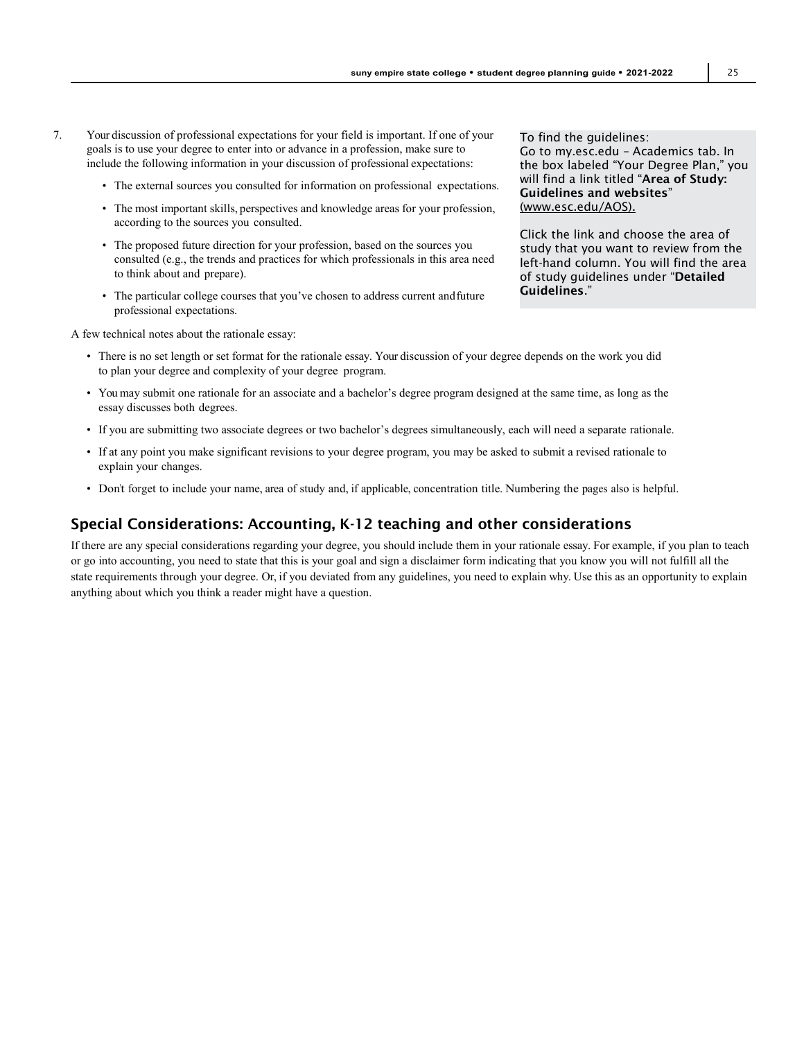- 7. Your discussion of professional expectations for your field is important. If one of your goals is to use your degree to enter into or advance in a profession, make sure to include the following information in your discussion of professional expectations:
	- The external sources you consulted for information on professional expectations.
	- The most important skills, perspectives and knowledge areas for your profession, according to the sources you consulted.
	- The proposed future direction for your profession, based on the sources you consulted (e.g., the trends and practices for which professionals in this area need to think about and prepare).
	- The particular college courses that you've chosen to address current andfuture professional expectations.

A few technical notes about the rationale essay:

To find the guidelines: Go to my.esc.edu – Academics tab. In the box labeled "Your Degree Plan," you will find a link titled "Area of Study: Guidelines and websites" [\(www.esc.edu/AOS\).](http://(www.esc.edu/AOS).)

Click the link and choose the area of study that you want to review from the left-hand column. You will find the area of study guidelines under "Detailed Guidelines."

- There is no set length or set format for the rationale essay. Your discussion of your degree depends on the work you did to plan your degree and complexity of your degree program.
- You may submit one rationale for an associate and a bachelor's degree program designed at the same time, as long as the essay discusses both degrees.
- If you are submitting two associate degrees or two bachelor's degrees simultaneously, each will need a separate rationale.
- If at any point you make significant revisions to your degree program, you may be asked to submit a revised rationale to explain your changes.
- Don't forget to include your name, area of study and, if applicable, concentration title. Numbering the pages also is helpful.

## Special Considerations: Accounting, K-12 teaching and other considerations

If there are any special considerations regarding your degree, you should include them in your rationale essay. For example, if you plan to teach or go into accounting, you need to state that this is your goal and sign a disclaimer form indicating that you know you will not fulfill all the state requirements through your degree. Or, if you deviated from any guidelines, you need to explain why. Use this as an opportunity to explain anything about which you think a reader might have a question.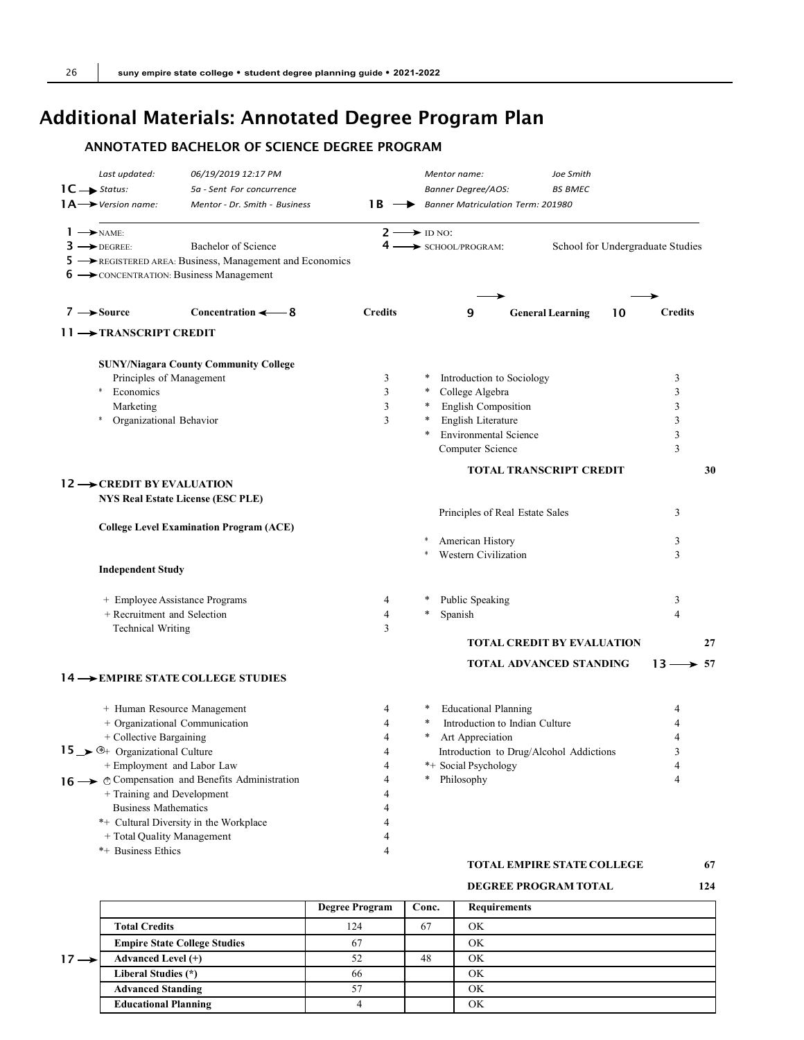## Additional Materials: Annotated Degree Program Plan

## ANNOTATED BACHELOR OF SCIENCE DEGREE PROGRAM

| Last updated:<br>$1C \rightarrow$ Status:<br>$1A \rightarrow$ Version name: | 06/19/2019 12:17 PM<br>5a - Sent For concurrence<br>Mentor - Dr. Smith - Business                  | 1 B                           |        | Mentor name:<br>Banner Degree/AOS: | Joe Smith<br><b>BS BMEC</b><br>Banner Matriculation Term: 201980 |                                  |
|-----------------------------------------------------------------------------|----------------------------------------------------------------------------------------------------|-------------------------------|--------|------------------------------------|------------------------------------------------------------------|----------------------------------|
|                                                                             |                                                                                                    |                               |        |                                    |                                                                  |                                  |
| $1 \rightarrow \text{NAME}$<br>$3 \rightarrow$ DEGREE:                      | Bachelor of Science                                                                                | $2 \rightarrow$ ID NO:<br>4 – |        |                                    |                                                                  | School for Undergraduate Studies |
|                                                                             | 5 -> REGISTERED AREA: Business, Management and Economics<br>6 - CONCENTRATION: Business Management |                               |        | SCHOOL/PROGRAM:                    |                                                                  |                                  |
| $7 \rightarrow$ Source                                                      | Concentration $\leftarrow$ 8                                                                       | <b>Credits</b>                |        | 9                                  | <b>General Learning</b>                                          | <b>Credits</b><br>10             |
| $11 \rightarrow$ TRANSCRIPT CREDIT                                          |                                                                                                    |                               |        |                                    |                                                                  |                                  |
|                                                                             | <b>SUNY/Niagara County Community College</b>                                                       |                               |        |                                    |                                                                  |                                  |
| Principles of Management                                                    |                                                                                                    | 3                             | ∗      | Introduction to Sociology          |                                                                  | 3                                |
| Economics<br>*                                                              |                                                                                                    | 3                             | $\ast$ | College Algebra                    |                                                                  | 3                                |
| Marketing                                                                   |                                                                                                    | 3                             | $\ast$ | English Composition                |                                                                  | 3                                |
| *<br>Organizational Behavior                                                |                                                                                                    | 3                             | $\ast$ | English Literature                 |                                                                  | 3                                |
|                                                                             |                                                                                                    |                               |        | <b>Environmental Science</b>       |                                                                  | 3                                |
|                                                                             |                                                                                                    |                               |        | Computer Science                   |                                                                  | 3                                |
|                                                                             |                                                                                                    |                               |        |                                    | <b>TOTAL TRANSCRIPT CREDIT</b>                                   | 30                               |
| $12 \rightarrow$ CREDIT BY EVALUATION                                       |                                                                                                    |                               |        |                                    |                                                                  |                                  |
|                                                                             | <b>NYS Real Estate License (ESC PLE)</b>                                                           |                               |        |                                    |                                                                  |                                  |
|                                                                             |                                                                                                    |                               |        |                                    | Principles of Real Estate Sales                                  | 3                                |
|                                                                             | <b>College Level Examination Program (ACE)</b>                                                     |                               |        |                                    |                                                                  |                                  |
|                                                                             |                                                                                                    |                               |        | American History                   |                                                                  | 3                                |
|                                                                             |                                                                                                    |                               | *      | Western Civilization               |                                                                  | 3                                |
| <b>Independent Study</b>                                                    |                                                                                                    |                               |        |                                    |                                                                  |                                  |
|                                                                             | + Employee Assistance Programs                                                                     | 4                             |        | Public Speaking                    |                                                                  | 3                                |
| + Recruitment and Selection                                                 |                                                                                                    | 4                             | *      | Spanish                            |                                                                  | $\overline{4}$                   |
| <b>Technical Writing</b>                                                    |                                                                                                    | 3                             |        |                                    |                                                                  |                                  |
|                                                                             |                                                                                                    |                               |        |                                    | <b>TOTAL CREDIT BY EVALUATION</b>                                | 27                               |
|                                                                             | 14 -> EMPIRE STATE COLLEGE STUDIES                                                                 |                               |        |                                    | <b>TOTAL ADVANCED STANDING</b>                                   | $13 \rightarrow 57$              |
|                                                                             |                                                                                                    |                               |        |                                    |                                                                  |                                  |
|                                                                             | + Human Resource Management                                                                        | 4                             |        | <b>Educational Planning</b>        |                                                                  | 4                                |
|                                                                             | + Organizational Communication                                                                     | 4                             |        |                                    | Introduction to Indian Culture                                   |                                  |
| + Collective Bargaining                                                     |                                                                                                    | 4                             |        | Art Appreciation                   |                                                                  | 4                                |
| 15 $\rightarrow$ $\rightarrow$ Organizational Culture                       |                                                                                                    | Δ                             |        |                                    | Introduction to Drug/Alcohol Addictions                          |                                  |
| + Employment and Labor Law                                                  |                                                                                                    | 4                             |        | *+ Social Psychology               |                                                                  | 4                                |
|                                                                             | 16  ightharpoonup and Benefits Administration                                                      | 4                             |        | * Philosophy                       |                                                                  | 4                                |
| + Training and Development                                                  |                                                                                                    |                               |        |                                    |                                                                  |                                  |
| <b>Business Mathematics</b>                                                 |                                                                                                    | 4                             |        |                                    |                                                                  |                                  |
|                                                                             | *+ Cultural Diversity in the Workplace                                                             | Δ                             |        |                                    |                                                                  |                                  |
| + Total Quality Management                                                  |                                                                                                    | 4                             |        |                                    |                                                                  |                                  |
| *+ Business Ethics                                                          |                                                                                                    | 4                             |        |                                    |                                                                  |                                  |
|                                                                             |                                                                                                    |                               |        |                                    | <b>TOTAL EMPIRE STATE COLLEGE</b>                                | 67                               |
|                                                                             |                                                                                                    |                               |        |                                    |                                                                  |                                  |

#### **DEGREE PROGRAM TOTAL 124**

|                  |                                     | <b>Degree Program</b> | Conc. | <b>Requirements</b> |
|------------------|-------------------------------------|-----------------------|-------|---------------------|
|                  | <b>Total Credits</b>                | 124                   | 67    | ΟK                  |
|                  | <b>Empire State College Studies</b> | 67                    |       | ΟK                  |
| $17 \rightarrow$ | <b>Advanced Level (+)</b>           | 52                    | 48    | OK                  |
|                  | Liberal Studies (*)                 | 66                    |       | OK                  |
|                  | <b>Advanced Standing</b>            | 57                    |       | OK                  |
|                  | <b>Educational Planning</b>         |                       |       | OK                  |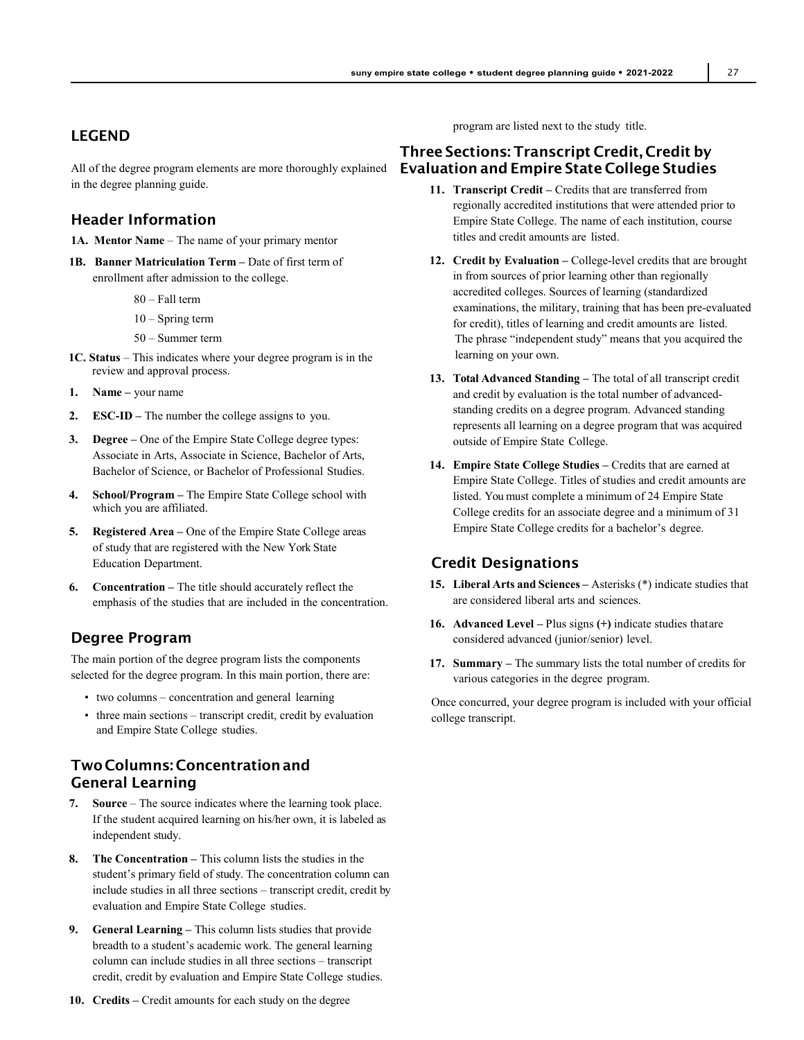## LEGEND

All of the degree program elements are more thoroughly explained in the degree planning guide.

## Header Information

**1A. Mentor Name** – The name of your primary mentor

- **1B. Banner Matriculation Term** Date of first term of enrollment after admission to the college.
	- 80 Fall term
	- 10 Spring term
	- 50 Summer term
- **1C. Status** This indicates where your degree program is in the review and approval process.
- **1. Name** your name
- **2. ESC-ID** The number the college assigns to you.
- **3. Degree** One of the Empire State College degree types: Associate in Arts, Associate in Science, Bachelor of Arts, Bachelor of Science, or Bachelor of Professional Studies.
- **4. School/Program** The Empire State College school with which you are affiliated.
- **5. Registered Area** One of the Empire State College areas of study that are registered with the New York State Education Department.
- **6. Concentration** The title should accurately reflect the emphasis of the studies that are included in the concentration.

## Degree Program

The main portion of the degree program lists the components selected for the degree program. In this main portion, there are:

- two columns concentration and general learning
- three main sections transcript credit, credit by evaluation and Empire State College studies.

## Two Columns: Concentrationand General Learning

- **7. Source** The source indicates where the learning took place. If the student acquired learning on his/her own, it is labeled as independent study.
- **8. The Concentration** This column lists the studies in the student's primary field of study. The concentration column can include studies in all three sections – transcript credit, credit by evaluation and Empire State College studies.
- **9. General Learning** This column lists studies that provide breadth to a student's academic work. The general learning column can include studies in all three sections – transcript credit, credit by evaluation and Empire State College studies.
- **10. Credits** Credit amounts for each study on the degree

program are listed next to the study title.

## Three Sections: Transcript Credit, Credit by Evaluation and Empire State College Studies

- 11. **Transcript Credit** Credits that are transferred from regionally accredited institutions that were attended prior to Empire State College. The name of each institution, course titles and credit amounts are listed.
- **12. Credit by Evaluation** College-level credits that are brought in from sources of prior learning other than regionally accredited colleges. Sources of learning (standardized examinations, the military, training that has been pre-evaluated for credit), titles of learning and credit amounts are listed. The phrase "independent study" means that you acquired the learning on your own.
- **13. Total Advanced Standing** The total of all transcript credit and credit by evaluation is the total number of advancedstanding credits on a degree program. Advanced standing represents all learning on a degree program that was acquired outside of Empire State College.
- **14. Empire State College Studies** Credits that are earned at Empire State College. Titles of studies and credit amounts are listed. You must complete a minimum of 24 Empire State College credits for an associate degree and a minimum of 31 Empire State College credits for a bachelor's degree.

## Credit Designations

- **15. Liberal Arts and Sciences** Asterisks (\*) indicate studies that are considered liberal arts and sciences.
- **16. Advanced Level** Plus signs **(+)** indicate studies thatare considered advanced (junior/senior) level.
- **17. Summary** The summary lists the total number of credits for various categories in the degree program.

Once concurred, your degree program is included with your official college transcript.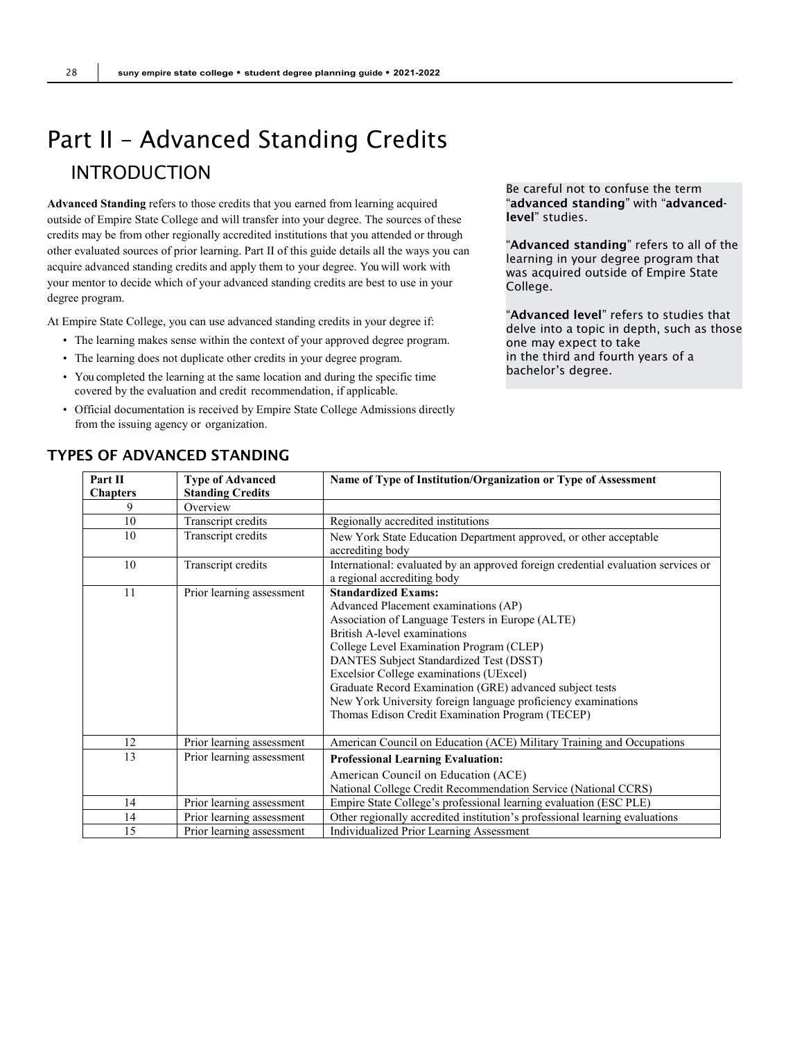# <span id="page-27-0"></span>Part II – Advanced Standing Credits INTRODUCTION

**Advanced Standing** refers to those credits that you earned from learning acquired outside of Empire State College and will transfer into your degree. The sources of these credits may be from other regionally accredited institutions that you attended or through other evaluated sources of prior learning. Part II of this guide details all the ways you can acquire advanced standing credits and apply them to your degree. You will work with your mentor to decide which of your advanced standing credits are best to use in your degree program.

At Empire State College, you can use advanced standing credits in your degree if:

- The learning makes sense within the context of your approved degree program.
- The learning does not duplicate other credits in your degree program.
- You completed the learning at the same location and during the specific time covered by the evaluation and credit recommendation, if applicable.
- Official documentation is received by Empire State College Admissions directly from the issuing agency or organization.

Be careful not to confuse the term "advanced standing" with "advancedlevel" studies.

"Advanced standing" refers to all of the learning in your degree program that was acquired outside of Empire State College.

"Advanced level" refers to studies that delve into a topic in depth, such as those one may expect to take in the third and fourth years of a bachelor's degree.

| Part II         | <b>Type of Advanced</b>   | Name of Type of Institution/Organization or Type of Assessment                                                                                                                                                                                                                                                                                                                                                                                                            |  |  |
|-----------------|---------------------------|---------------------------------------------------------------------------------------------------------------------------------------------------------------------------------------------------------------------------------------------------------------------------------------------------------------------------------------------------------------------------------------------------------------------------------------------------------------------------|--|--|
| <b>Chapters</b> | <b>Standing Credits</b>   |                                                                                                                                                                                                                                                                                                                                                                                                                                                                           |  |  |
| 9               | Overview                  |                                                                                                                                                                                                                                                                                                                                                                                                                                                                           |  |  |
| 10              | Transcript credits        | Regionally accredited institutions                                                                                                                                                                                                                                                                                                                                                                                                                                        |  |  |
| 10              | Transcript credits        | New York State Education Department approved, or other acceptable<br>accrediting body                                                                                                                                                                                                                                                                                                                                                                                     |  |  |
| 10              | Transcript credits        | International: evaluated by an approved foreign credential evaluation services or<br>a regional accrediting body                                                                                                                                                                                                                                                                                                                                                          |  |  |
| 11              | Prior learning assessment | <b>Standardized Exams:</b><br>Advanced Placement examinations (AP)<br>Association of Language Testers in Europe (ALTE)<br>British A-level examinations<br>College Level Examination Program (CLEP)<br>DANTES Subject Standardized Test (DSST)<br>Excelsior College examinations (UExcel)<br>Graduate Record Examination (GRE) advanced subject tests<br>New York University foreign language proficiency examinations<br>Thomas Edison Credit Examination Program (TECEP) |  |  |
| 12              | Prior learning assessment | American Council on Education (ACE) Military Training and Occupations                                                                                                                                                                                                                                                                                                                                                                                                     |  |  |
| 13              | Prior learning assessment | <b>Professional Learning Evaluation:</b><br>American Council on Education (ACE)<br>National College Credit Recommendation Service (National CCRS)                                                                                                                                                                                                                                                                                                                         |  |  |
| 14              | Prior learning assessment | Empire State College's professional learning evaluation (ESC PLE)                                                                                                                                                                                                                                                                                                                                                                                                         |  |  |
| 14              | Prior learning assessment | Other regionally accredited institution's professional learning evaluations                                                                                                                                                                                                                                                                                                                                                                                               |  |  |
| 15              | Prior learning assessment | Individualized Prior Learning Assessment                                                                                                                                                                                                                                                                                                                                                                                                                                  |  |  |

## TYPES OF ADVANCED STANDING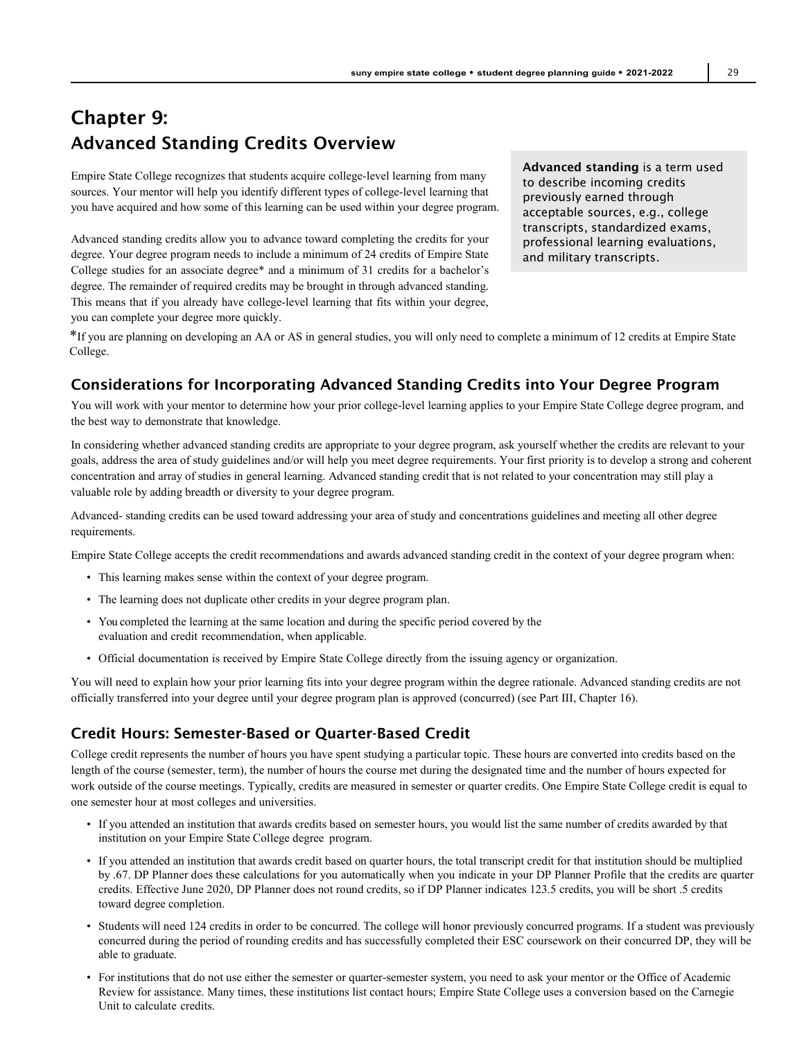## Chapter 9: Advanced Standing Credits Overview

Empire State College recognizes that students acquire college-level learning from many sources. Your mentor will help you identify different types of college-level learning that you have acquired and how some of this learning can be used within your degree program.

Advanced standing credits allow you to advance toward completing the credits for your degree. Your degree program needs to include a minimum of 24 credits of Empire State College studies for an associate degree\* and a minimum of 31 credits for a bachelor's degree. The remainder of required credits may be brought in through advanced standing. This means that if you already have college-level learning that fits within your degree, you can complete your degree more quickly.

Advanced standing is a term used to describe incoming credits previously earned through acceptable sources, e.g., college transcripts, standardized exams, professional learning evaluations, and military transcripts.

\*If you are planning on developing an AA or AS in general studies, you will only need to complete a minimum of 12 credits at Empire State College.

## Considerations for Incorporating Advanced Standing Credits into Your Degree Program

You will work with your mentor to determine how your prior college-level learning applies to your Empire State College degree program, and the best way to demonstrate that knowledge.

In considering whether advanced standing credits are appropriate to your degree program, ask yourself whether the credits are relevant to your goals, address the area of study guidelines and/or will help you meet degree requirements. Your first priority is to develop a strong and coherent concentration and array of studies in general learning. Advanced standing credit that is not related to your concentration may still play a valuable role by adding breadth or diversity to your degree program.

Advanced- standing credits can be used toward addressing your area of study and concentrations guidelines and meeting all other degree requirements.

Empire State College accepts the credit recommendations and awards advanced standing credit in the context of your degree program when:

- This learning makes sense within the context of your degree program.
- The learning does not duplicate other credits in your degree program plan.
- You completed the learning at the same location and during the specific period covered by the evaluation and credit recommendation, when applicable.
- Official documentation is received by Empire State College directly from the issuing agency or organization.

You will need to explain how your prior learning fits into your degree program within the degree rationale. Advanced standing credits are not officially transferred into your degree until your degree program plan is approved (concurred) (see Part III, Chapter 16).

## Credit Hours: Semester-Based or Quarter-Based Credit

College credit represents the number of hours you have spent studying a particular topic. These hours are converted into credits based on the length of the course (semester, term), the number of hours the course met during the designated time and the number of hours expected for work outside of the course meetings. Typically, credits are measured in semester or quarter credits. One Empire State College credit is equal to one semester hour at most colleges and universities.

- If you attended an institution that awards credits based on semester hours, you would list the same number of credits awarded by that institution on your Empire State College degree program.
- If you attended an institution that awards credit based on quarter hours, the total transcript credit for that institution should be multiplied by .67. DP Planner does these calculations for you automatically when you indicate in your DP Planner Profile that the credits are quarter credits. Effective June 2020, DP Planner does not round credits, so if DP Planner indicates 123.5 credits, you will be short .5 credits toward degree completion.
- Students will need 124 credits in order to be concurred. The college will honor previously concurred programs. If a student was previously concurred during the period of rounding credits and has successfully completed their ESC coursework on their concurred DP, they will be able to graduate.
- For institutions that do not use either the semester or quarter-semester system, you need to ask your mentor or the Office of Academic Review for assistance. Many times, these institutions list contact hours; Empire State College uses a conversion based on the Carnegie Unit to calculate credits.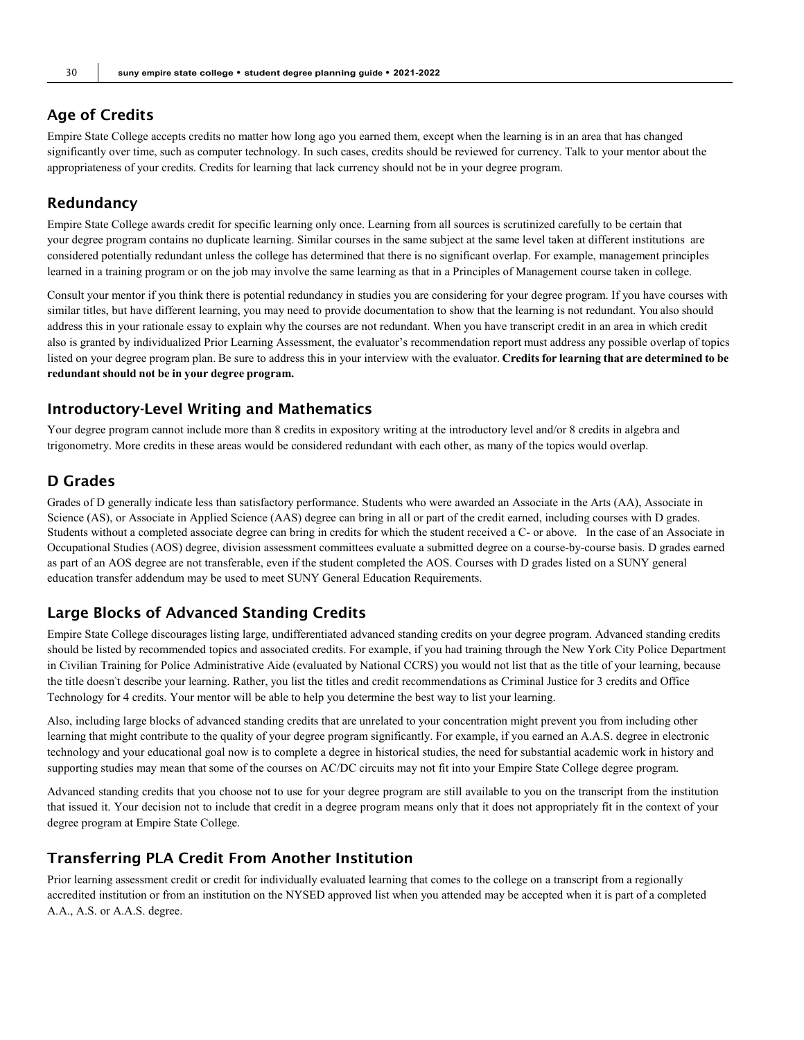## Age of Credits

Empire State College accepts credits no matter how long ago you earned them, except when the learning is in an area that has changed significantly over time, such as computer technology. In such cases, credits should be reviewed for currency. Talk to your mentor about the appropriateness of your credits. Credits for learning that lack currency should not be in your degree program.

## Redundancy

Empire State College awards credit for specific learning only once. Learning from all sources is scrutinized carefully to be certain that your degree program contains no duplicate learning. Similar courses in the same subject at the same level taken at different institutions are considered potentially redundant unless the college has determined that there is no significant overlap. For example, management principles learned in a training program or on the job may involve the same learning as that in a Principles of Management course taken in college.

Consult your mentor if you think there is potential redundancy in studies you are considering for your degree program. If you have courses with similar titles, but have different learning, you may need to provide documentation to show that the learning is not redundant. You also should address this in your rationale essay to explain why the courses are not redundant. When you have transcript credit in an area in which credit also is granted by individualized Prior Learning Assessment, the evaluator's recommendation report must address any possible overlap of topics listed on your degree program plan. Be sure to address this in your interview with the evaluator. **Credits for learning that are determined to be redundant should not be in your degree program.**

#### Introductory-Level Writing and Mathematics

Your degree program cannot include more than 8 credits in expository writing at the introductory level and/or 8 credits in algebra and trigonometry. More credits in these areas would be considered redundant with each other, as many of the topics would overlap.

## D Grades

Grades of D generally indicate less than satisfactory performance. Students who were awarded an Associate in the Arts (AA), Associate in Science (AS), or Associate in Applied Science (AAS) degree can bring in all or part of the credit earned, including courses with D grades. Students without a completed associate degree can bring in credits for which the student received a C- or above. In the case of an Associate in Occupational Studies (AOS) degree, division assessment committees evaluate a submitted degree on a course-by-course basis. D grades earned as part of an AOS degree are not transferable, even if the student completed the AOS. Courses with D grades listed on a SUNY general education transfer addendum may be used to meet SUNY General Education Requirements.

## Large Blocks of Advanced Standing Credits

Empire State College discourages listing large, undifferentiated advanced standing credits on your degree program. Advanced standing credits should be listed by recommended topics and associated credits. For example, if you had training through the New York City Police Department in Civilian Training for Police Administrative Aide (evaluated by National CCRS) you would not list that as the title of your learning, because the title doesn't describe your learning. Rather, you list the titles and credit recommendations as Criminal Justice for 3 credits and Office Technology for 4 credits. Your mentor will be able to help you determine the best way to list your learning.

Also, including large blocks of advanced standing credits that are unrelated to your concentration might prevent you from including other learning that might contribute to the quality of your degree program significantly. For example, if you earned an A.A.S. degree in electronic technology and your educational goal now is to complete a degree in historical studies, the need for substantial academic work in history and supporting studies may mean that some of the courses on AC/DC circuits may not fit into your Empire State College degree program.

Advanced standing credits that you choose not to use for your degree program are still available to you on the transcript from the institution that issued it. Your decision not to include that credit in a degree program means only that it does not appropriately fit in the context of your degree program at Empire State College.

## Transferring PLA Credit From Another Institution

Prior learning assessment credit or credit for individually evaluated learning that comes to the college on a transcript from a regionally accredited institution or from an institution on the NYSED approved list when you attended may be accepted when it is part of a completed A.A., A.S. or A.A.S. degree.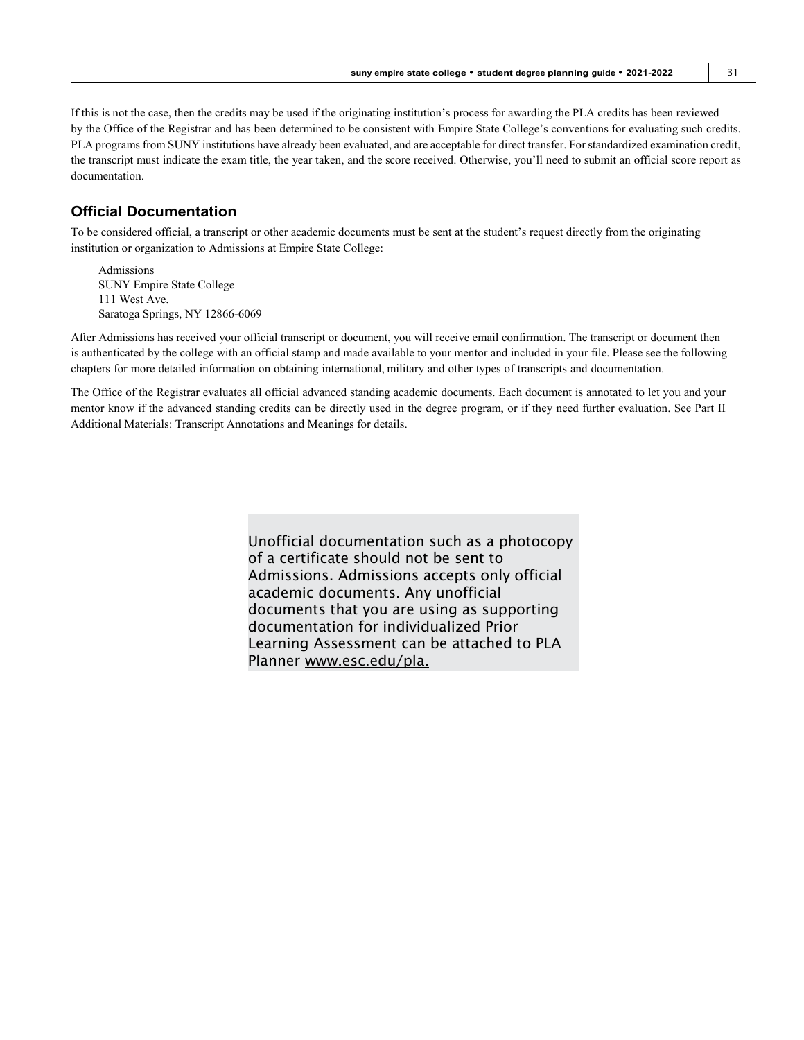If this is not the case, then the credits may be used if the originating institution's process for awarding the PLA credits has been reviewed by the Office of the Registrar and has been determined to be consistent with Empire State College's conventions for evaluating such credits. PLA programs from SUNY institutions have already been evaluated, and are acceptable for direct transfer. For standardized examination credit, the transcript must indicate the exam title, the year taken, and the score received. Otherwise, you'll need to submit an official score report as documentation.

### **Official Documentation**

To be considered official, a transcript or other academic documents must be sent at the student's request directly from the originating institution or organization to Admissions at Empire State College:

Admissions SUNY Empire State College 111 West Ave. Saratoga Springs, NY 12866-6069

After Admissions has received your official transcript or document, you will receive email confirmation. The transcript or document then is authenticated by the college with an official stamp and made available to your mentor and included in your file. Please see the following chapters for more detailed information on obtaining international, military and other types of transcripts and documentation.

The Office of the Registrar evaluates all official advanced standing academic documents. Each document is annotated to let you and your mentor know if the advanced standing credits can be directly used in the degree program, or if they need further evaluation. See Part II Additional Materials: Transcript Annotations and Meanings for details.

> Unofficial documentation such as a photocopy of a certificate should not be sent to Admissions. Admissions accepts only official academic documents. Any unofficial documents that you are using as supporting documentation for individualized Prior Learning Assessment can be attached to PLA Planner [www.esc.edu/pla.](http://www.esc.edu/pla)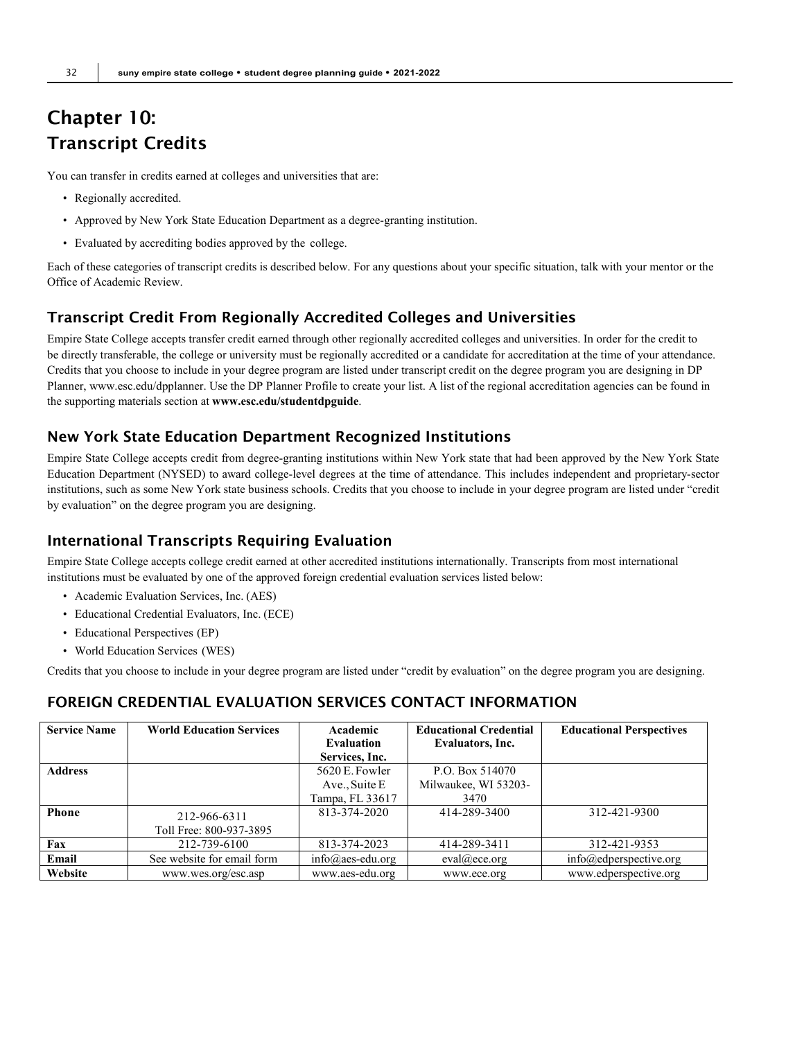## Chapter 10: Transcript Credits

You can transfer in credits earned at colleges and universities that are:

- Regionally accredited.
- Approved by New York State Education Department as a degree-granting institution.
- Evaluated by accrediting bodies approved by the college.

Each of these categories of transcript credits is described below. For any questions about your specific situation, talk with your mentor or the Office of Academic Review.

## Transcript Credit From Regionally Accredited Colleges and Universities

Empire State College accepts transfer credit earned through other regionally accredited colleges and universities. In order for the credit to be directly transferable, the college or university must be regionally accredited or a candidate for accreditation at the time of your attendance. Credits that you choose to include in your degree program are listed under transcript credit on the degree program you are designing in DP Planner, [www.esc.edu/dpplanner. U](http://www.esc.edu/dpplanner)se the DP Planner Profile to create your list. A list of the regional accreditation agencies can be found in the supporting materials section at **[www.esc.edu/studentdpguide](http://www.esc.edu/studentdpguide)**.

## New York State Education Department Recognized Institutions

Empire State College accepts credit from degree-granting institutions within New York state that had been approved by the New York State Education Department (NYSED) to award college-level degrees at the time of attendance. This includes independent and proprietary-sector institutions, such as some New York state business schools. Credits that you choose to include in your degree program are listed under "credit by evaluation" on the degree program you are designing.

## International Transcripts Requiring Evaluation

Empire State College accepts college credit earned at other accredited institutions internationally. Transcripts from most international institutions must be evaluated by one of the approved foreign credential evaluation services listed below:

- Academic Evaluation Services, Inc. (AES)
- Educational Credential Evaluators, Inc. (ECE)
- Educational Perspectives (EP)
- World Education Services (WES)

Credits that you choose to include in your degree program are listed under "credit by evaluation" on the degree program you are designing.

## FOREIGN CREDENTIAL EVALUATION SERVICES CONTACT INFORMATION

| <b>Service Name</b> | <b>World Education Services</b> | Academic                   | <b>Educational Credential</b> | <b>Educational Perspectives</b>  |
|---------------------|---------------------------------|----------------------------|-------------------------------|----------------------------------|
|                     |                                 | Evaluation                 | Evaluators, Inc.              |                                  |
|                     |                                 | Services, Inc.             |                               |                                  |
| <b>Address</b>      |                                 | 5620 E. Fowler             | P.O. Box 514070               |                                  |
|                     |                                 | Ave., Suite E              | Milwaukee, WI 53203-          |                                  |
|                     |                                 | Tampa, FL 33617            | 3470                          |                                  |
| <b>Phone</b>        | 212-966-6311                    | 813-374-2020               | 414-289-3400                  | 312-421-9300                     |
|                     | Toll Free: 800-937-3895         |                            |                               |                                  |
| Fax                 | 212-739-6100                    | 813-374-2023               | 414-289-3411                  | 312-421-9353                     |
| Email               | See website for email form      | $info(\omega)$ aes-edu.org | $eval@$ ece.org               | $info(\omega)$ edperspective.org |
| Website             | www.wes.org/esc.asp             | www.aes-edu.org            | www.ece.org                   | www.edperspective.org            |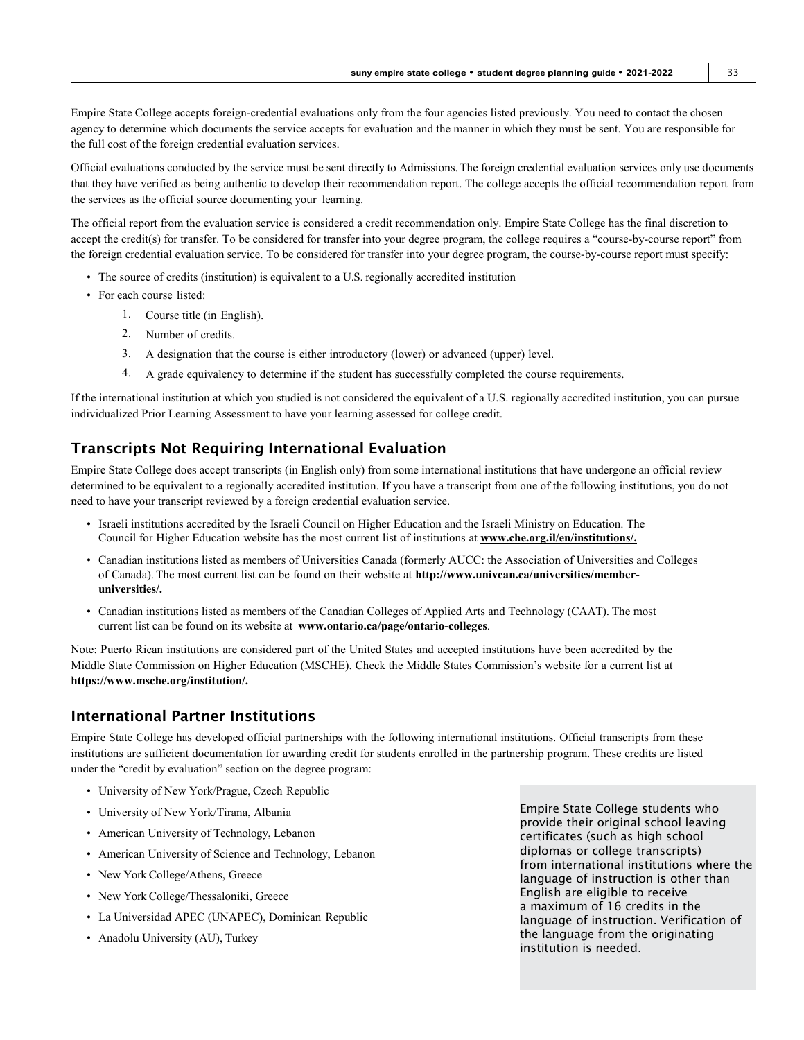Empire State College accepts foreign-credential evaluations only from the four agencies listed previously. You need to contact the chosen agency to determine which documents the service accepts for evaluation and the manner in which they must be sent. You are responsible for the full cost of the foreign credential evaluation services.

Official evaluations conducted by the service must be sent directly to Admissions.The foreign credential evaluation services only use documents that they have verified as being authentic to develop their recommendation report. The college accepts the official recommendation report from the services as the official source documenting your learning.

The official report from the evaluation service is considered a credit recommendation only. Empire State College has the final discretion to accept the credit(s) for transfer. To be considered for transfer into your degree program, the college requires a "course-by-course report" from the foreign credential evaluation service. To be considered for transfer into your degree program, the course-by-course report must specify:

- The source of credits (institution) is equivalent to a U.S. regionally accredited institution
- For each course listed:
	- 1. Course title (in English).
	- 2. Number of credits.
	- 3. A designation that the course is either introductory (lower) or advanced (upper) level.
	- 4. A grade equivalency to determine if the student has successfully completed the course requirements.

If the international institution at which you studied is not considered the equivalent of a U.S. regionally accredited institution, you can pursue individualized Prior Learning Assessment to have your learning assessed for college credit.

## Transcripts Not Requiring International Evaluation

Empire State College does accept transcripts (in English only) from some international institutions that have undergone an official review determined to be equivalent to a regionally accredited institution. If you have a transcript from one of the following institutions, you do not need to have your transcript reviewed by a foreign credential evaluation service.

- Israeli institutions accredited by the Israeli Council on Higher Education and the Israeli Ministry on Education. The Council for Higher Education website has the most current list of institutions at **[www.che.org.il/en/institutions/.](http://www.che.org.il/en/institutions/)**
- Canadian institutions listed as members of Universities Canada (formerly AUCC: the Association of Universities and Colleges of Canada). The most current list can be found on their website at **[http://www.univcan.ca/universities/member](http://www.univcan.ca/universities/member-universities/)[universities/.](http://www.univcan.ca/universities/member-universities/)**
- Canadian institutions listed as members of the Canadian Colleges of Applied Arts and Technology (CAAT). The most current list can be found on its website at **[www.ontario.ca/page/ontario-colleges](http://www.ontario.ca/page/ontario-colleges)**.

Note: Puerto Rican institutions are considered part of the United States and accepted institutions have been accredited by the Middle State Commission on Higher Education (MSCHE). Check the Middle States Commission's website for a current list at **https://www.msche.org/institution/.**

## International Partner Institutions

Empire State College has developed official partnerships with the following international institutions. Official transcripts from these institutions are sufficient documentation for awarding credit for students enrolled in the partnership program. These credits are listed under the "credit by evaluation" section on the degree program:

- University of New York/Prague, Czech Republic
- University of New York/Tirana, Albania
- American University of Technology, Lebanon
- American University of Science and Technology, Lebanon
- New York College/Athens, Greece
- New York College/Thessaloniki, Greece
- La Universidad APEC (UNAPEC), Dominican Republic
- Anadolu University (AU), Turkey

Empire State College students who provide their original school leaving certificates (such as high school diplomas or college transcripts) from international institutions where the language of instruction is other than English are eligible to receive a maximum of 16 credits in the language of instruction. Verification of the language from the originating institution is needed.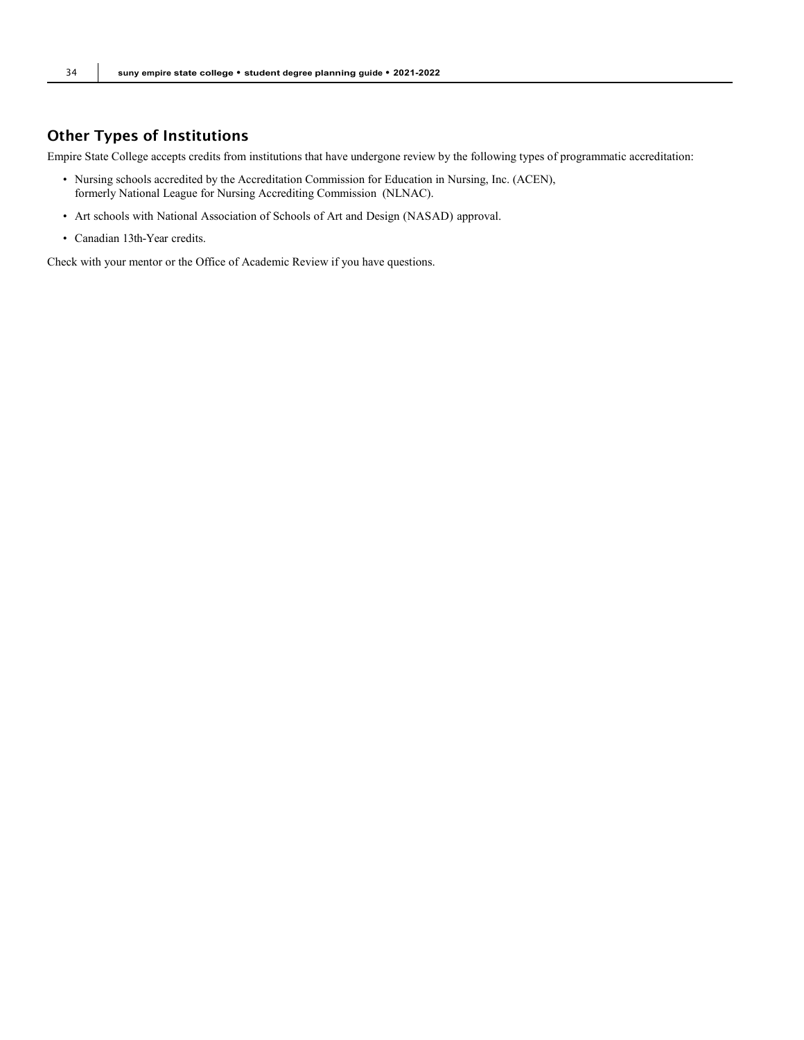## Other Types of Institutions

Empire State College accepts credits from institutions that have undergone review by the following types of programmatic accreditation:

- Nursing schools accredited by the Accreditation Commission for Education in Nursing, Inc. (ACEN), formerly National League for Nursing Accrediting Commission (NLNAC).
- Art schools with National Association of Schools of Art and Design (NASAD) approval.
- Canadian 13th-Year credits.

Check with your mentor or the Office of Academic Review if you have questions.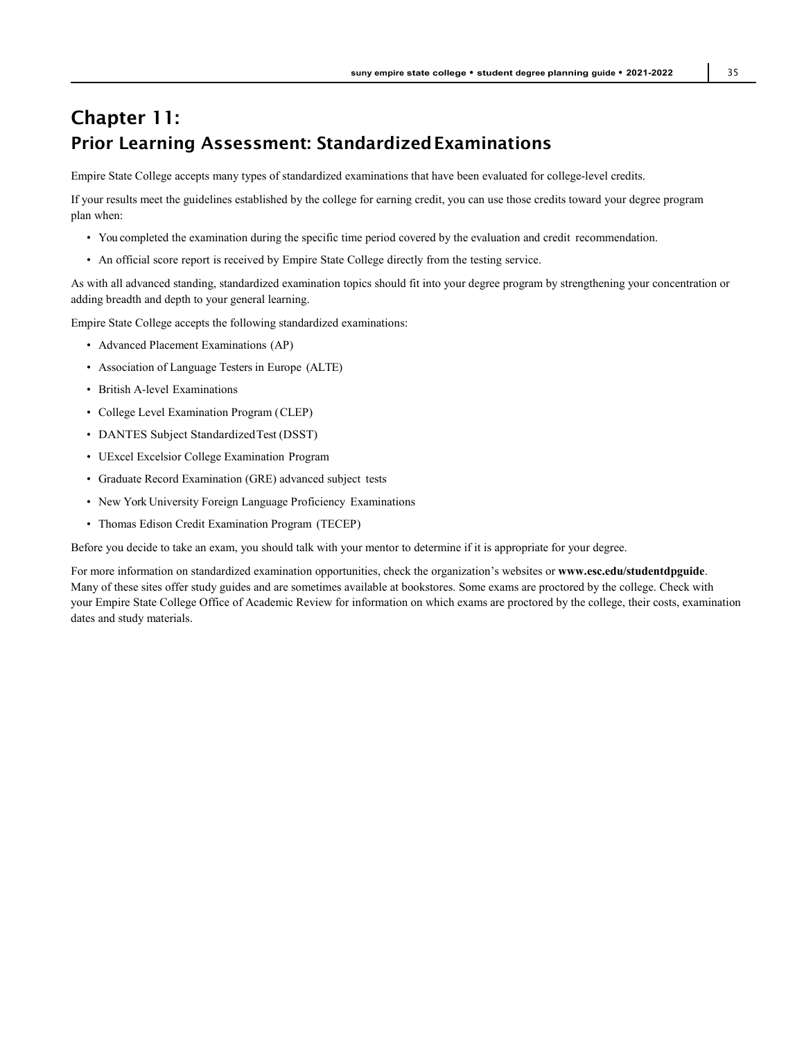## Chapter 11: **Prior Learning Assessment: Standardized Examinations**

Empire State College accepts many types of standardized examinations that have been evaluated for college-level credits.

If your results meet the guidelines established by the college for earning credit, you can use those credits toward your degree program plan when:

- You completed the examination during the specific time period covered by the evaluation and credit recommendation.
- An official score report is received by Empire State College directly from the testing service.

As with all advanced standing, standardized examination topics should fit into your degree program by strengthening your concentration or adding breadth and depth to your general learning.

Empire State College accepts the following standardized examinations:

- Advanced Placement Examinations (AP)
- Association of Language Testers in Europe (ALTE)
- British A-level Examinations
- College Level Examination Program (CLEP)
- DANTES Subject StandardizedTest (DSST)
- UExcel Excelsior College Examination Program
- Graduate Record Examination (GRE) advanced subject tests
- New York University Foreign Language Proficiency Examinations
- Thomas Edison Credit Examination Program (TECEP)

Before you decide to take an exam, you should talk with your mentor to determine if it is appropriate for your degree.

For more information on standardized examination opportunities, check the organization's websites or **[www.esc.edu/studentdpguide](http://www.esc.edu/studentdpguide)**. Many of these sites offer study guides and are sometimes available at bookstores. Some exams are proctored by the college. Check with your Empire State College Office of Academic Review for information on which exams are proctored by the college, their costs, examination dates and study materials.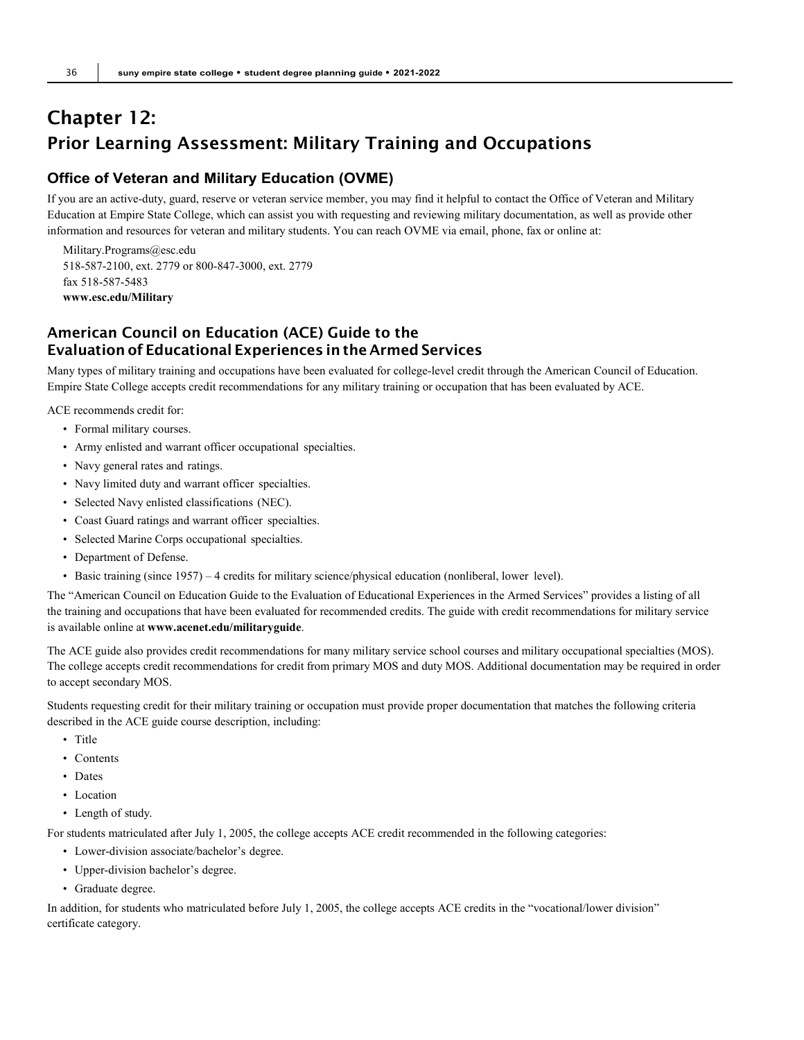## Chapter 12: Prior Learning Assessment: Military Training and Occupations

## **Office of Veteran and Military Education (OVME)**

If you are an active-duty, guard, reserve or veteran service member, you may find it helpful to contact the Office of Veteran and Military Education at Empire State College, which can assist you with requesting and reviewing military documentation, as well as provide other information and resources for veteran and military students. You can reach OVME via email, phone, fax or online at:

[Military.Progr](mailto:Military.Programs@esc.edu)[ams@esc.edu](mailto:ams@esc.edu) 518-587-2100, ext. 2779 or 800-847-3000, ext. 2779 fax 518-587-5483 **[www.esc.edu/Military](http://www.esc.edu/Military)**

## American Council on Education (ACE) Guide to the Evaluation of Educational Experiences in the Armed Services

Many types of military training and occupations have been evaluated for college-level credit through the American Council of Education. Empire State College accepts credit recommendations for any military training or occupation that has been evaluated by ACE.

ACE recommends credit for:

- Formal military courses.
- Army enlisted and warrant officer occupational specialties.
- Navy general rates and ratings.
- Navy limited duty and warrant officer specialties.
- Selected Navy enlisted classifications (NEC).
- Coast Guard ratings and warrant officer specialties.
- Selected Marine Corps occupational specialties.
- Department of Defense.
- Basic training (since 1957) 4 credits for military science/physical education (nonliberal, lower level).

The "American Council on Education Guide to the Evaluation of Educational Experiences in the Armed Services" provides a listing of all the training and occupations that have been evaluated for recommended credits. The guide with credit recommendations for military service is available online at **[www.acenet.edu/militaryguide](http://www.acenet.edu/militaryguide)**.

The ACE guide also provides credit recommendations for many military service school courses and military occupational specialties (MOS). The college accepts credit recommendations for credit from primary MOS and duty MOS. Additional documentation may be required in order to accept secondary MOS.

Students requesting credit for their military training or occupation must provide proper documentation that matches the following criteria described in the ACE guide course description, including:

- Title
- Contents
- Dates
- Location
- Length of study.

For students matriculated after July 1, 2005, the college accepts ACE credit recommended in the following categories:

- Lower-division associate/bachelor's degree.
- Upper-division bachelor's degree.
- Graduate degree.

In addition, for students who matriculated before July 1, 2005, the college accepts ACE credits in the "vocational/lower division" certificate category.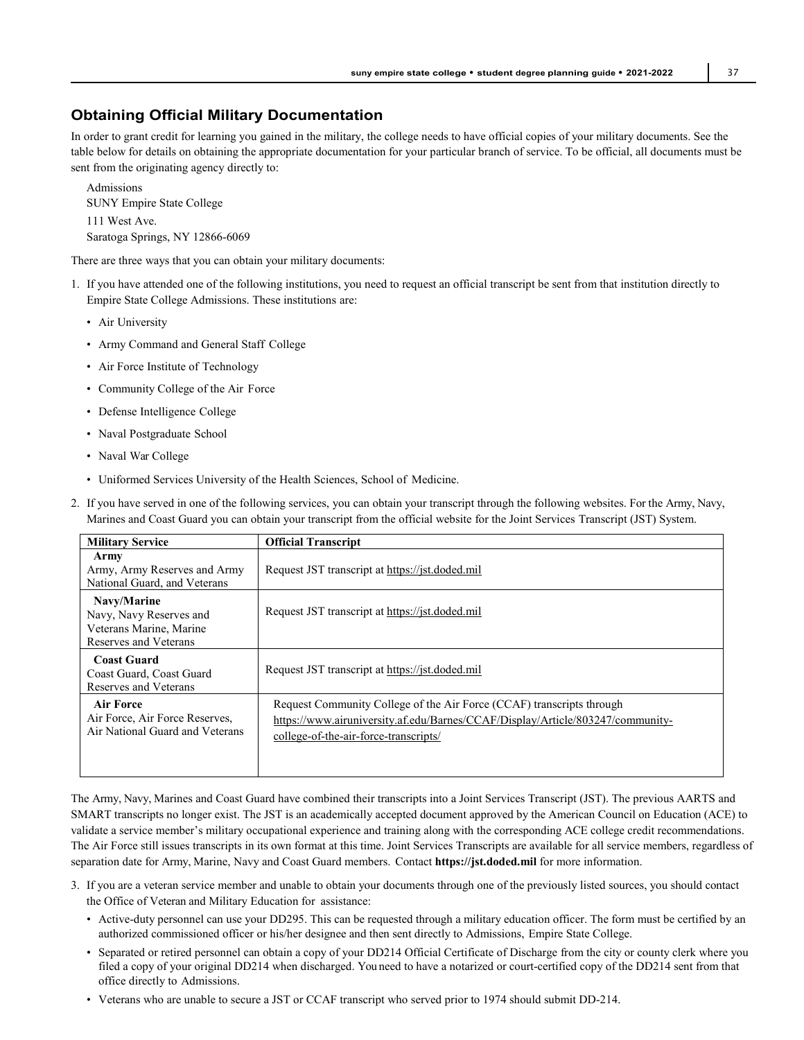### **Obtaining Official Military Documentation**

In order to grant credit for learning you gained in the military, the college needs to have official copies of your military documents. See the table below for details on obtaining the appropriate documentation for your particular branch of service. To be official, all documents must be sent from the originating agency directly to:

Admissions SUNY Empire State College 111 West Ave. Saratoga Springs, NY 12866-6069

There are three ways that you can obtain your military documents:

- 1. If you have attended one of the following institutions, you need to request an official transcript be sent from that institution directly to Empire State College Admissions. These institutions are:
	- Air University
	- Army Command and General Staff College
	- Air Force Institute of Technology
	- Community College of the Air Force
	- Defense Intelligence College
	- Naval Postgraduate School
	- Naval War College
	- Uniformed Services University of the Health Sciences, School of Medicine.
- 2. If you have served in one of the following services, you can obtain your transcript through the following websites. For the Army, Navy, Marines and Coast Guard you can obtain your transcript from the official website for the Joint Services Transcript (JST) System.

| <b>Military Service</b>                                                                    | <b>Official Transcript</b>                                                                                                                                                                       |
|--------------------------------------------------------------------------------------------|--------------------------------------------------------------------------------------------------------------------------------------------------------------------------------------------------|
| Army<br>Army, Army Reserves and Army<br>National Guard, and Veterans                       | Request JST transcript at https://jst.doded.mil                                                                                                                                                  |
| Navy/Marine<br>Navy, Navy Reserves and<br>Veterans Marine, Marine<br>Reserves and Veterans | Request JST transcript at https://jst.doded.mil                                                                                                                                                  |
| <b>Coast Guard</b><br>Coast Guard, Coast Guard<br>Reserves and Veterans                    | Request JST transcript at https://jst.doded.mil                                                                                                                                                  |
| Air Force<br>Air Force, Air Force Reserves,<br>Air National Guard and Veterans             | Request Community College of the Air Force (CCAF) transcripts through<br>https://www.airuniversity.af.edu/Barnes/CCAF/Display/Article/803247/community-<br>college-of-the-air-force-transcripts/ |

The Army, Navy, Marines and Coast Guard have combined their transcripts into a Joint Services Transcript (JST). The previous AARTS and SMART transcripts no longer exist. The JST is an academically accepted document approved by the American Council on Education (ACE) to validate a service member's military occupational experience and training along with the corresponding ACE college credit recommendations. The Air Force still issues transcripts in its own format at this time. Joint Services Transcripts are available for all service members, regardless of separation date for Army, Marine, Navy and Coast Guard members. Contact **https://jst.doded.mil** for more information.

- 3. If you are a veteran service member and unable to obtain your documents through one of the previously listed sources, you should contact the Office of Veteran and Military Education for assistance:
	- Active-duty personnel can use your DD295. This can be requested through a military education officer. The form must be certified by an authorized commissioned officer or his/her designee and then sent directly to Admissions, Empire State College.
	- Separated or retired personnel can obtain a copy of your DD214 Official Certificate of Discharge from the city or county clerk where you filed a copy of your original DD214 when discharged. You need to have a notarized or court-certified copy of the DD214 sent from that office directly to Admissions.
	- Veterans who are unable to secure a JST or CCAF transcript who served prior to 1974 should submit DD-214.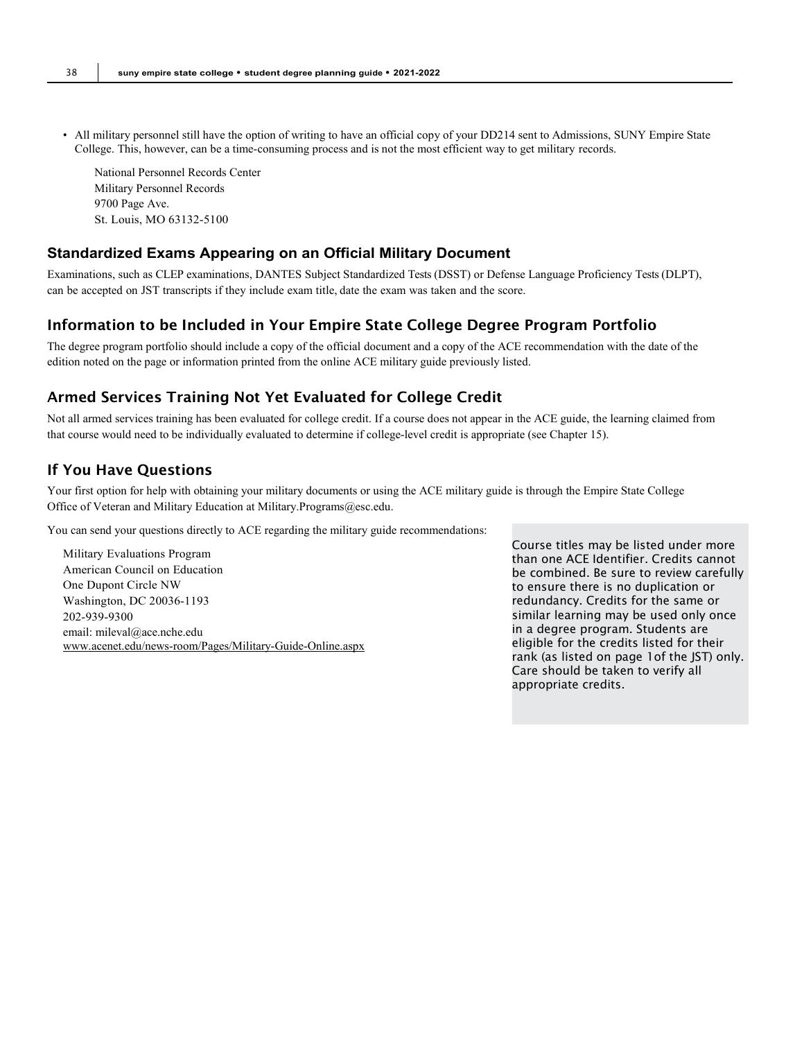• All military personnel still have the option of writing to have an official copy of your DD214 sent to Admissions, SUNY Empire State College. This, however, can be a time-consuming process and is not the most efficient way to get military records.

National Personnel Records Center Military Personnel Records 9700 Page Ave. St. Louis, MO 63132-5100

#### **Standardized Exams Appearing on an Official Military Document**

Examinations, such as CLEP examinations, DANTES Subject Standardized Tests (DSST) or Defense Language Proficiency Tests (DLPT), can be accepted on JST transcripts if they include exam title, date the exam was taken and the score.

#### Information to be Included in Your Empire State College Degree Program Portfolio

The degree program portfolio should include a copy of the official document and a copy of the ACE recommendation with the date of the edition noted on the page or information printed from the online ACE military guide previously listed.

## Armed Services Training Not Yet Evaluated for College Credit

Not all armed services training has been evaluated for college credit. If a course does not appear in the ACE guide, the learning claimed from that course would need to be individually evaluated to determine if college-level credit is appropriate (see Chapter 15).

## If You Have Questions

Your first option for help with obtaining your military documents or using the ACE military guide is through the Empire State College Office of Veteran and Military Education at Military.Programs@esc.edu.

You can send your questions directly to ACE regarding the military guide recommendations:

Military Evaluations Program American Council on Education One Dupont Circle NW Washington, DC 20036-1193 202-939-9300 email[: mileval@ace.nche.edu](mailto:mileval@ace.nche.edu) [www.acenet.edu/news-room/Pages/Military-Guide-Online.aspx](http://www.acenet.edu/news-room/Pages/Military-Guide-Online.aspx) Course titles may be listed under more than one ACE Identifier. Credits cannot be combined. Be sure to review carefully to ensure there is no duplication or redundancy. Credits for the same or similar learning may be used only once in a degree program. Students are eligible for the credits listed for their rank (as listed on page 1of the JST) only. Care should be taken to verify all appropriate credits.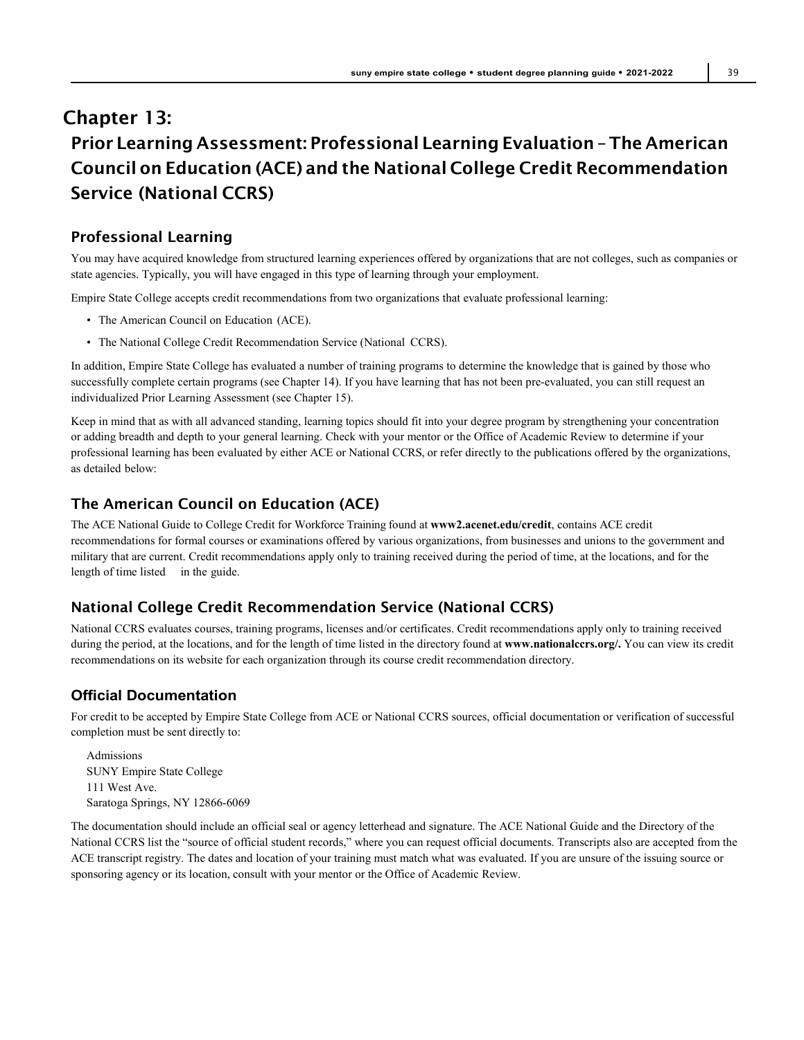## Chapter 13: Prior Learning Assessment: Professional Learning Evaluation – The American Council on Education (ACE) and the National College Credit Recommendation Service (National CCRS)

## Professional Learning

You may have acquired knowledge from structured learning experiences offered by organizations that are not colleges, such as companies or state agencies. Typically, you will have engaged in this type of learning through your employment.

Empire State College accepts credit recommendations from two organizations that evaluate professional learning:

- The American Council on Education (ACE).
- The National College Credit Recommendation Service (National CCRS).

In addition, Empire State College has evaluated a number of training programs to determine the knowledge that is gained by those who successfully complete certain programs (see Chapter 14). If you have learning that has not been pre-evaluated, you can still request an individualized Prior Learning Assessment (see Chapter 15).

Keep in mind that as with all advanced standing, learning topics should fit into your degree program by strengthening your concentration or adding breadth and depth to your general learning. Check with your mentor or the Office of Academic Review to determine if your professional learning has been evaluated by either ACE or National CCRS, or refer directly to the publications offered by the organizations, as detailed below:

## The American Council on Education (ACE)

The ACE National Guide to College Credit for Workforce Training found at **www2.acenet.edu/credit**, contains ACE credit recommendations for formal courses or examinations offered by various organizations, from businesses and unions to the government and military that are current. Credit recommendations apply only to training received during the period of time, at the locations, and for the length of time listed in the guide.

## National College Credit Recommendation Service (National CCRS)

National CCRS evaluates courses, training programs, licenses and/or certificates. Credit recommendations apply only to training received during the period, at the locations, and for the length of time listed in the directory found at **[www.nationalccrs.org/.](http://www.nationalccrs.org/)** You can view its credit recommendations on its website for each organization through its course credit recommendation directory.

## **Official Documentation**

For credit to be accepted by Empire State College from ACE or National CCRS sources, official documentation or verification of successful completion must be sent directly to:

Admissions SUNY Empire State College 111 West Ave. Saratoga Springs, NY 12866-6069

The documentation should include an official seal or agency letterhead and signature. The ACE National Guide and the Directory of the National CCRS list the "source of official student records," where you can request official documents. Transcripts also are accepted from the ACE transcript registry. The dates and location of your training must match what was evaluated. If you are unsure of the issuing source or sponsoring agency or its location, consult with your mentor or the Office of Academic Review.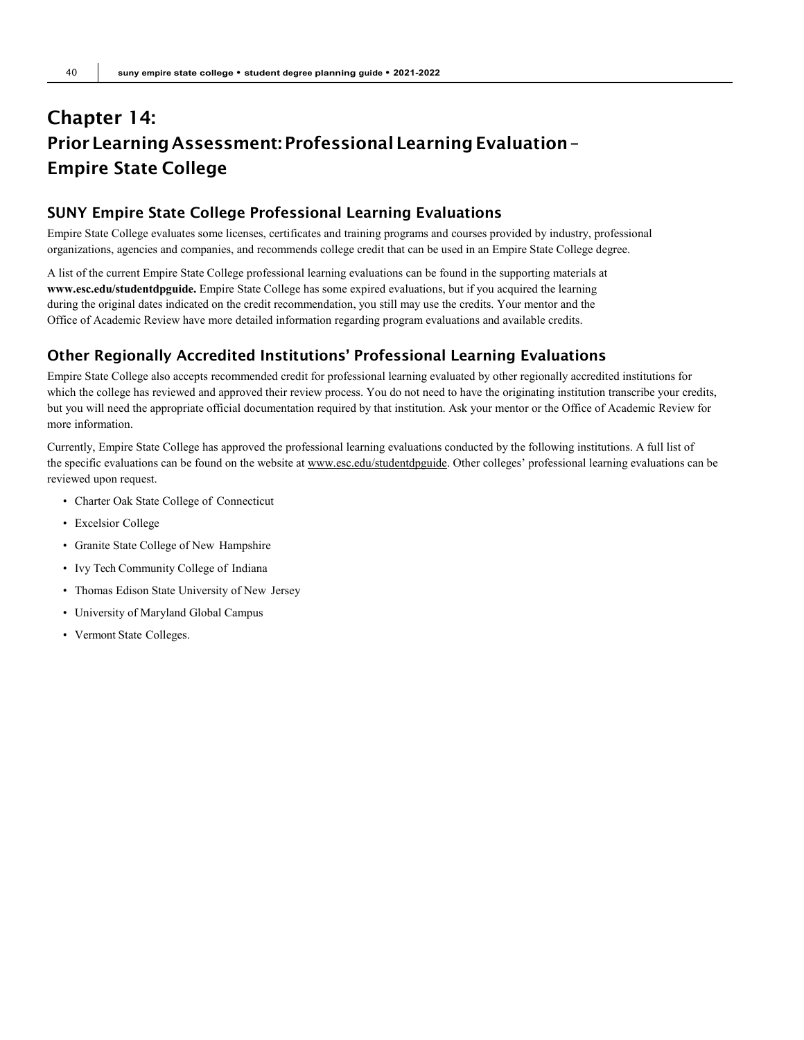## Chapter 14: Prior Learning Assessment: Professional Learning Evaluation -Empire State College

## SUNY Empire State College Professional Learning Evaluations

Empire State College evaluates some licenses, certificates and training programs and courses provided by industry, professional organizations, agencies and companies, and recommends college credit that can be used in an Empire State College degree.

A list of the current Empire State College professional learning evaluations can be found in the supporting materials at **[www.esc.edu/studentdpguide.](http://www.esc.edu/studentdpguide)** Empire State College has some expired evaluations, but if you acquired the learning during the original dates indicated on the credit recommendation, you still may use the credits. Your mentor and the Office of Academic Review have more detailed information regarding program evaluations and available credits.

## Other Regionally Accredited Institutions' Professional Learning Evaluations

Empire State College also accepts recommended credit for professional learning evaluated by other regionally accredited institutions for which the college has reviewed and approved their review process. You do not need to have the originating institution transcribe your credits, but you will need the appropriate official documentation required by that institution. Ask your mentor or the Office of Academic Review for more information.

Currently, Empire State College has approved the professional learning evaluations conducted by the following institutions. A full list of the specific evaluations can be found on the website a[t www.esc.edu/studentdpguide. O](http://www.esc.edu/studentdpguide)ther colleges' professional learning evaluations can be reviewed upon request.

- Charter Oak State College of Connecticut
- Excelsior College
- Granite State College of New Hampshire
- Ivy Tech Community College of Indiana
- Thomas Edison State University of New Jersey
- University of Maryland Global Campus
- Vermont State Colleges.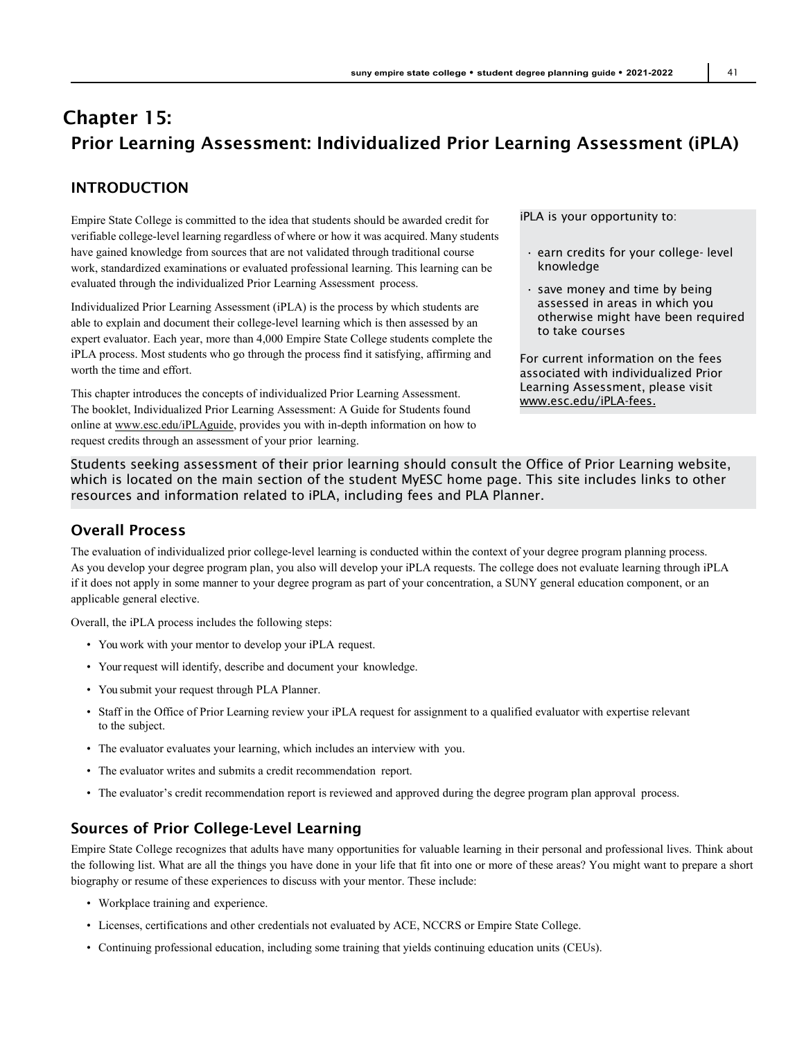## Chapter 15: Prior Learning Assessment: Individualized Prior Learning Assessment (iPLA)

## INTRODUCTION

Empire State College is committed to the idea that students should be awarded credit for verifiable college-level learning regardless of where or how it was acquired. Many students have gained knowledge from sources that are not validated through traditional course work, standardized examinations or evaluated professional learning. This learning can be evaluated through the individualized Prior Learning Assessment process.

Individualized Prior Learning Assessment (iPLA) is the process by which students are able to explain and document their college-level learning which is then assessed by an expert evaluator. Each year, more than 4,000 Empire State College students complete the iPLA process. Most students who go through the process find it satisfying, affirming and worth the time and effort.

This chapter introduces the concepts of individualized Prior Learning Assessment. The booklet, Individualized Prior Learning Assessment: A Guide for Students found online a[t www.esc.edu/iPLAguide, p](http://www.esc.edu/iPLAguide)rovides you with in-depth information on how to request credits through an assessment of your prior learning.

iPLA is your opportunity to:

- earn credits for your college- level knowledge
- save money and time by being assessed in areas in which you otherwise might have been required to take courses

For current information on the fees associated with individualized Prior Learning Assessment, please visit [www.esc.edu/iPLA-fees.](http://www.esc.edu/iPLA-fees)

Students seeking assessment of their prior learning should consult the Office of Prior Learning website, which is located on the main section of the student MyESC home page. This site includes links to other resources and information related to iPLA, including fees and PLA Planner.

## Overall Process

The evaluation of individualized prior college-level learning is conducted within the context of your degree program planning process. As you develop your degree program plan, you also will develop your iPLA requests. The college does not evaluate learning through iPLA if it does not apply in some manner to your degree program as part of your concentration, a SUNY general education component, or an applicable general elective.

Overall, the iPLA process includes the following steps:

- You work with your mentor to develop your iPLA request.
- Your request will identify, describe and document your knowledge.
- You submit your request through PLA Planner.
- Staff in the Office of Prior Learning review your iPLA request for assignment to a qualified evaluator with expertise relevant to the subject.
- The evaluator evaluates your learning, which includes an interview with you.
- The evaluator writes and submits a credit recommendation report.
- The evaluator's credit recommendation report is reviewed and approved during the degree program plan approval process.

## Sources of Prior College-Level Learning

Empire State College recognizes that adults have many opportunities for valuable learning in their personal and professional lives. Think about the following list. What are all the things you have done in your life that fit into one or more of these areas? You might want to prepare a short biography or resume of these experiences to discuss with your mentor. These include:

- Workplace training and experience.
- Licenses, certifications and other credentials not evaluated by ACE, NCCRS or Empire State College.
- Continuing professional education, including some training that yields continuing education units (CEUs).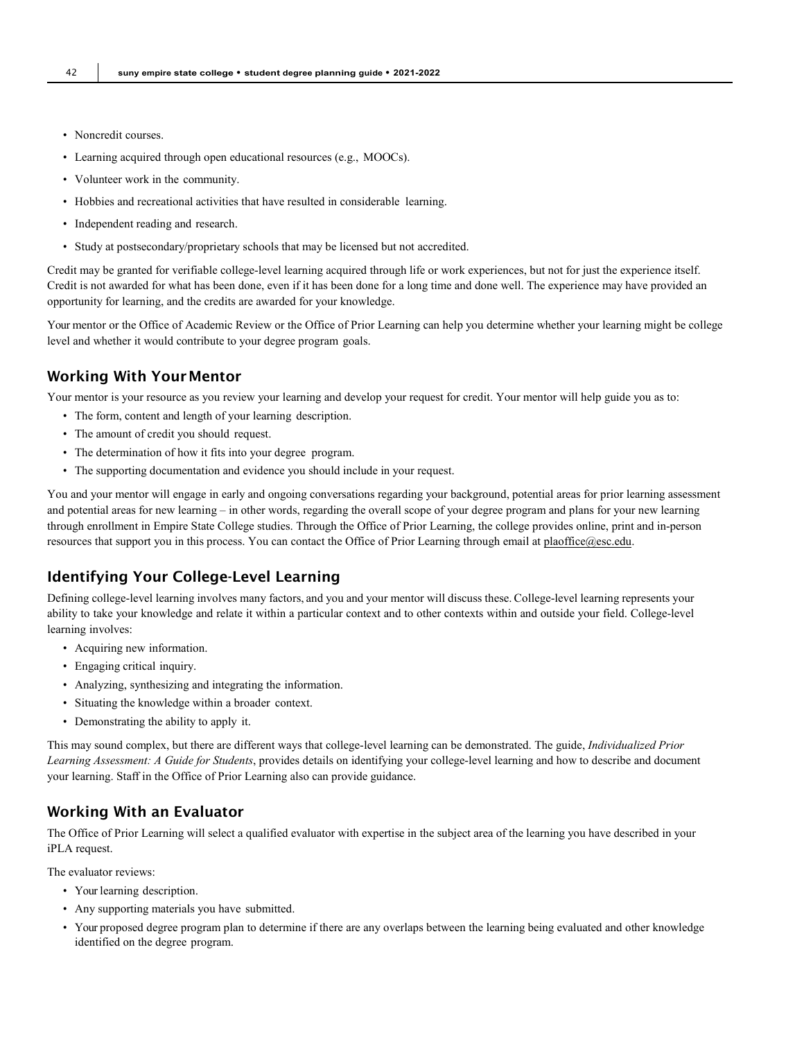- Noncredit courses.
- Learning acquired through open educational resources (e.g., MOOCs).
- Volunteer work in the community.
- Hobbies and recreational activities that have resulted in considerable learning.
- Independent reading and research.
- Study at postsecondary/proprietary schools that may be licensed but not accredited.

Credit may be granted for verifiable college-level learning acquired through life or work experiences, but not for just the experience itself. Credit is not awarded for what has been done, even if it has been done for a long time and done well. The experience may have provided an opportunity for learning, and the credits are awarded for your knowledge.

Your mentor or the Office of Academic Review or the Office of Prior Learning can help you determine whether your learning might be college level and whether it would contribute to your degree program goals.

#### Working With Your Mentor

Your mentor is your resource as you review your learning and develop your request for credit. Your mentor will help guide you as to:

- The form, content and length of your learning description.
- The amount of credit you should request.
- The determination of how it fits into your degree program.
- The supporting documentation and evidence you should include in your request.

You and your mentor will engage in early and ongoing conversations regarding your background, potential areas for prior learning assessment and potential areas for new learning – in other words, regarding the overall scope of your degree program and plans for your new learning through enrollment in Empire State College studies. Through the Office of Prior Learning, the college provides online, print and in-person resources that support you in this process. You can contact the Office of Prior Learning through email at [plaoffice@esc.edu.](mailto:plaoffice@esc.edu)

## Identifying Your College-Level Learning

Defining college-level learning involves many factors, and you and your mentor will discuss these. College-level learning represents your ability to take your knowledge and relate it within a particular context and to other contexts within and outside your field. College-level learning involves:

- Acquiring new information.
- Engaging critical inquiry.
- Analyzing, synthesizing and integrating the information.
- Situating the knowledge within a broader context.
- Demonstrating the ability to apply it.

This may sound complex, but there are different ways that college-level learning can be demonstrated. The guide, *Individualized Prior Learning Assessment: A Guide for Students*, provides details on identifying your college-level learning and how to describe and document your learning. Staff in the Office of Prior Learning also can provide guidance.

## Working With an Evaluator

The Office of Prior Learning will select a qualified evaluator with expertise in the subject area of the learning you have described in your iPLA request.

The evaluator reviews:

- Your learning description.
- Any supporting materials you have submitted.
- Your proposed degree program plan to determine if there are any overlaps between the learning being evaluated and other knowledge identified on the degree program.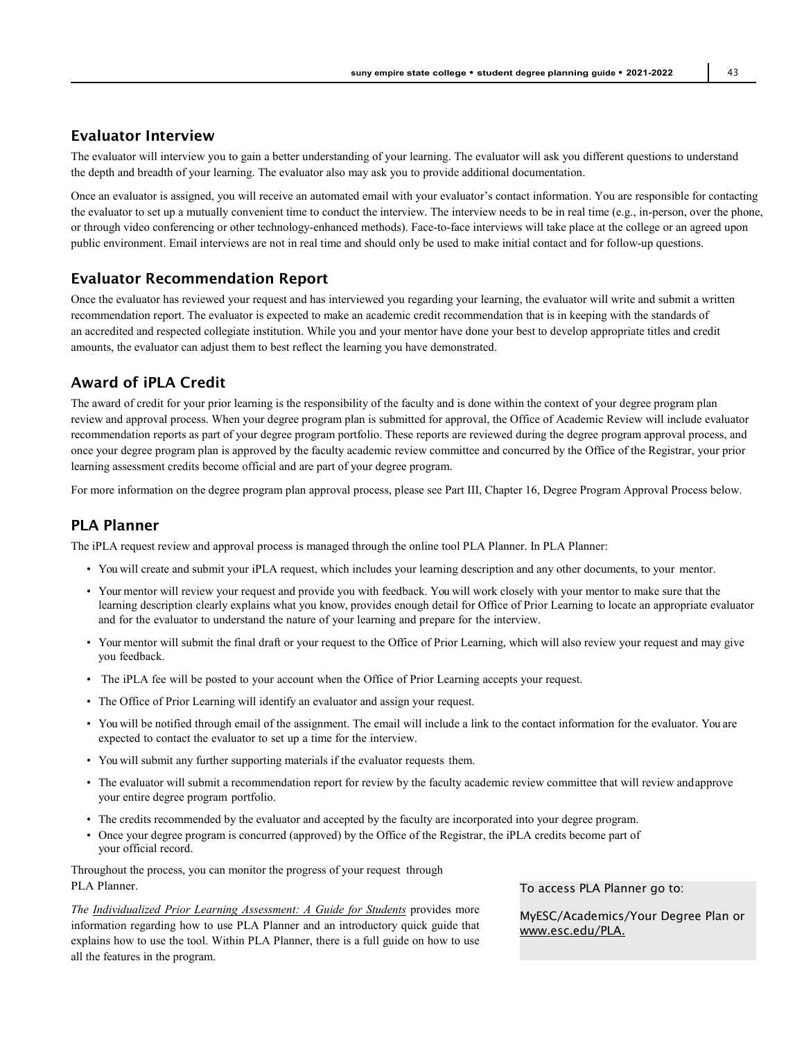## Evaluator Interview

The evaluator will interview you to gain a better understanding of your learning. The evaluator will ask you different questions to understand the depth and breadth of your learning. The evaluator also may ask you to provide additional documentation.

Once an evaluator is assigned, you will receive an automated email with your evaluator's contact information. You are responsible for contacting the evaluator to set up a mutually convenient time to conduct the interview. The interview needs to be in real time (e.g., in-person, over the phone, or through video conferencing or other technology-enhanced methods). Face-to-face interviews will take place at the college or an agreed upon public environment. Email interviews are not in real time and should only be used to make initial contact and for follow-up questions.

## Evaluator Recommendation Report

Once the evaluator has reviewed your request and has interviewed you regarding your learning, the evaluator will write and submit a written recommendation report. The evaluator is expected to make an academic credit recommendation that is in keeping with the standards of an accredited and respected collegiate institution. While you and your mentor have done your best to develop appropriate titles and credit amounts, the evaluator can adjust them to best reflect the learning you have demonstrated.

## Award of iPLA Credit

The award of credit for your prior learning is the responsibility of the faculty and is done within the context of your degree program plan review and approval process. When your degree program plan is submitted for approval, the Office of Academic Review will include evaluator recommendation reports as part of your degree program portfolio. These reports are reviewed during the degree program approval process, and once your degree program plan is approved by the faculty academic review committee and concurred by the Office of the Registrar, your prior learning assessment credits become official and are part of your degree program.

For more information on the degree program plan approval process, please see Part III, Chapter 16, Degree Program Approval Process below.

## PLA Planner

The iPLA request review and approval process is managed through the online tool PLA Planner. In PLA Planner:

- You will create and submit your iPLA request, which includes your learning description and any other documents, to your mentor.
- Your mentor will review your request and provide you with feedback. You will work closely with your mentor to make sure that the learning description clearly explains what you know, provides enough detail for Office of Prior Learning to locate an appropriate evaluator and for the evaluator to understand the nature of your learning and prepare for the interview.
- Your mentor will submit the final draft or your request to the Office of Prior Learning, which will also review your request and may give you feedback.
- The iPLA fee will be posted to your account when the Office of Prior Learning accepts your request.
- The Office of Prior Learning will identify an evaluator and assign your request.
- You will be notified through email of the assignment. The email will include a link to the contact information for the evaluator. You are expected to contact the evaluator to set up a time for the interview.
- You will submit any further supporting materials if the evaluator requests them.
- The evaluator will submit a recommendation report for review by the faculty academic review committee that will review andapprove your entire degree program portfolio.
- The credits recommended by the evaluator and accepted by the faculty are incorporated into your degree program.
- Once your degree program is concurred (approved) by the Office of the Registrar, the iPLA credits become part of your official record.

Throughout the process, you can monitor the progress of your request through PLA Planner.

*The [Individualized Prior Learning Assessment: A Guide for Students](https://www.esc.edu/media/academic-affairs/ocar/2013-14/iPLA-2013-2014.pdf)* provides more information regarding how to use PLA Planner and an introductory quick guide that explains how to use the tool. Within PLA Planner, there is a full guide on how to use all the features in the program.

To access PLA Planner go to:

MyESC/Academics/Your Degree Plan or [www.esc.edu/PLA.](http://www.esc.edu/PLA)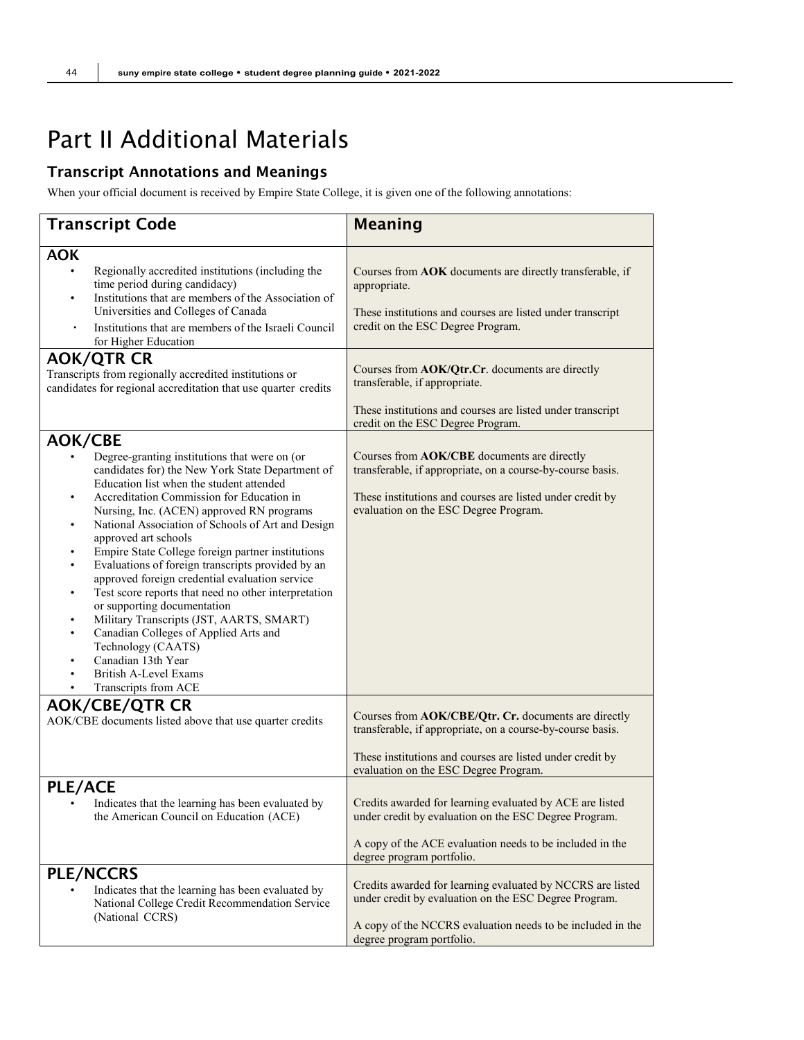# Part II Additional Materials

## Transcript Annotations and Meanings

When your official document is received by Empire State College, it is given one of the following annotations:

| <b>Transcript Code</b>                                                                                                                                                                                                                                                                                                                                                                                                                                                                                                                                                                                                                                                                                                                                                                                                         | <b>Meaning</b>                                                                                                                                                                                                           |
|--------------------------------------------------------------------------------------------------------------------------------------------------------------------------------------------------------------------------------------------------------------------------------------------------------------------------------------------------------------------------------------------------------------------------------------------------------------------------------------------------------------------------------------------------------------------------------------------------------------------------------------------------------------------------------------------------------------------------------------------------------------------------------------------------------------------------------|--------------------------------------------------------------------------------------------------------------------------------------------------------------------------------------------------------------------------|
| <b>AOK</b><br>Regionally accredited institutions (including the<br>time period during candidacy)<br>Institutions that are members of the Association of<br>٠<br>Universities and Colleges of Canada<br>Institutions that are members of the Israeli Council<br>for Higher Education                                                                                                                                                                                                                                                                                                                                                                                                                                                                                                                                            | Courses from AOK documents are directly transferable, if<br>appropriate.<br>These institutions and courses are listed under transcript<br>credit on the ESC Degree Program.                                              |
| <b>AOK/QTR CR</b><br>Transcripts from regionally accredited institutions or<br>candidates for regional accreditation that use quarter credits                                                                                                                                                                                                                                                                                                                                                                                                                                                                                                                                                                                                                                                                                  | Courses from AOK/Qtr.Cr. documents are directly<br>transferable, if appropriate.<br>These institutions and courses are listed under transcript<br>credit on the ESC Degree Program.                                      |
| <b>AOK/CBE</b><br>Degree-granting institutions that were on (or<br>candidates for) the New York State Department of<br>Education list when the student attended<br>Accreditation Commission for Education in<br>$\bullet$<br>Nursing, Inc. (ACEN) approved RN programs<br>National Association of Schools of Art and Design<br>٠<br>approved art schools<br>Empire State College foreign partner institutions<br>٠<br>Evaluations of foreign transcripts provided by an<br>approved foreign credential evaluation service<br>Test score reports that need no other interpretation<br>٠<br>or supporting documentation<br>Military Transcripts (JST, AARTS, SMART)<br>Canadian Colleges of Applied Arts and<br>٠<br>Technology (CAATS)<br>Canadian 13th Year<br>$\bullet$<br>British A-Level Exams<br>Transcripts from ACE<br>٠ | Courses from AOK/CBE documents are directly<br>transferable, if appropriate, on a course-by-course basis.<br>These institutions and courses are listed under credit by<br>evaluation on the ESC Degree Program.          |
| <b>AOK/CBE/QTR CR</b><br>AOK/CBE documents listed above that use quarter credits                                                                                                                                                                                                                                                                                                                                                                                                                                                                                                                                                                                                                                                                                                                                               | Courses from AOK/CBE/Qtr. Cr. documents are directly<br>transferable, if appropriate, on a course-by-course basis.<br>These institutions and courses are listed under credit by<br>evaluation on the ESC Degree Program. |
| <b>PLE/ACE</b><br>Indicates that the learning has been evaluated by<br>٠<br>the American Council on Education (ACE)                                                                                                                                                                                                                                                                                                                                                                                                                                                                                                                                                                                                                                                                                                            | Credits awarded for learning evaluated by ACE are listed<br>under credit by evaluation on the ESC Degree Program.<br>A copy of the ACE evaluation needs to be included in the<br>degree program portfolio.               |
| <b>PLE/NCCRS</b><br>Indicates that the learning has been evaluated by<br>National College Credit Recommendation Service<br>(National CCRS)                                                                                                                                                                                                                                                                                                                                                                                                                                                                                                                                                                                                                                                                                     | Credits awarded for learning evaluated by NCCRS are listed<br>under credit by evaluation on the ESC Degree Program.<br>A copy of the NCCRS evaluation needs to be included in the<br>degree program portfolio.           |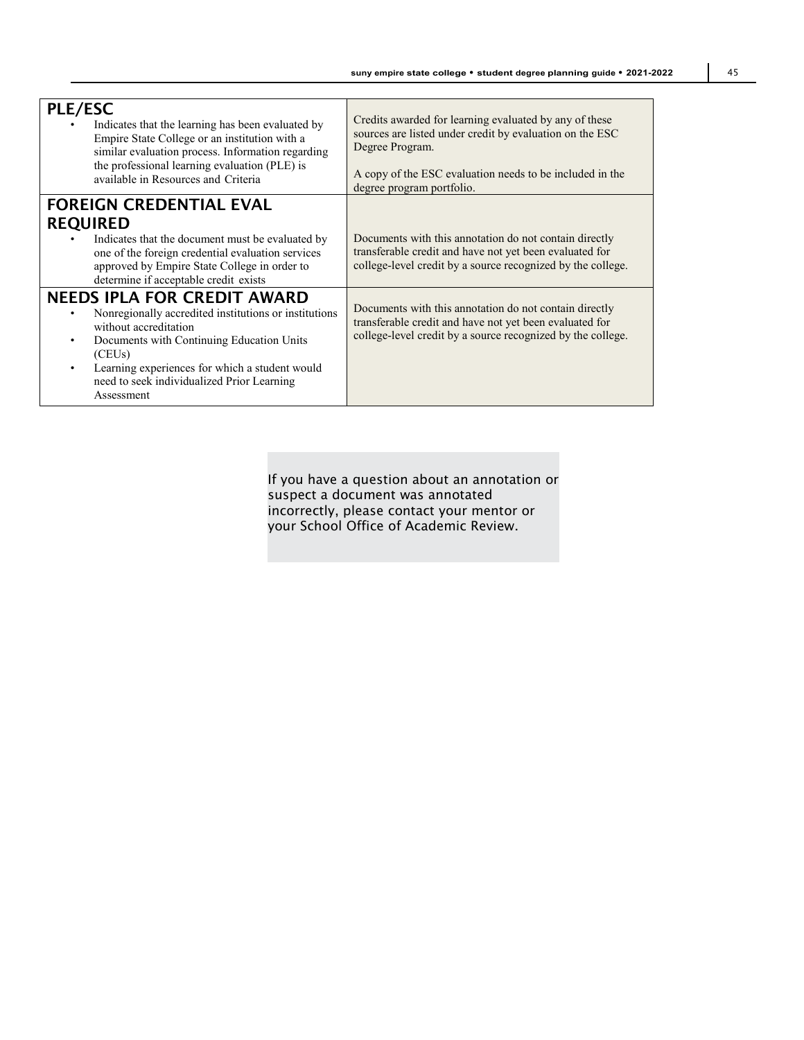| <b>PLE/ESC</b><br>Indicates that the learning has been evaluated by<br>Empire State College or an institution with a<br>similar evaluation process. Information regarding<br>the professional learning evaluation (PLE) is<br>available in Resources and Criteria                                      | Credits awarded for learning evaluated by any of these<br>sources are listed under credit by evaluation on the ESC<br>Degree Program.<br>A copy of the ESC evaluation needs to be included in the<br>degree program portfolio. |
|--------------------------------------------------------------------------------------------------------------------------------------------------------------------------------------------------------------------------------------------------------------------------------------------------------|--------------------------------------------------------------------------------------------------------------------------------------------------------------------------------------------------------------------------------|
| <b>FOREIGN CREDENTIAL EVAL</b>                                                                                                                                                                                                                                                                         |                                                                                                                                                                                                                                |
| <b>REQUIRED</b>                                                                                                                                                                                                                                                                                        |                                                                                                                                                                                                                                |
| Indicates that the document must be evaluated by<br>one of the foreign credential evaluation services<br>approved by Empire State College in order to<br>determine if acceptable credit exists                                                                                                         | Documents with this annotation do not contain directly<br>transferable credit and have not yet been evaluated for<br>college-level credit by a source recognized by the college.                                               |
| <b>NEEDS IPLA FOR CREDIT AWARD</b><br>Nonregionally accredited institutions or institutions<br>without accreditation<br>Documents with Continuing Education Units<br>(CEUs)<br>Learning experiences for which a student would<br>$\bullet$<br>need to seek individualized Prior Learning<br>Assessment | Documents with this annotation do not contain directly<br>transferable credit and have not yet been evaluated for<br>college-level credit by a source recognized by the college.                                               |

If you have a question about an annotation or suspect a document was annotated incorrectly, please contact your mentor or your School Office of Academic Review.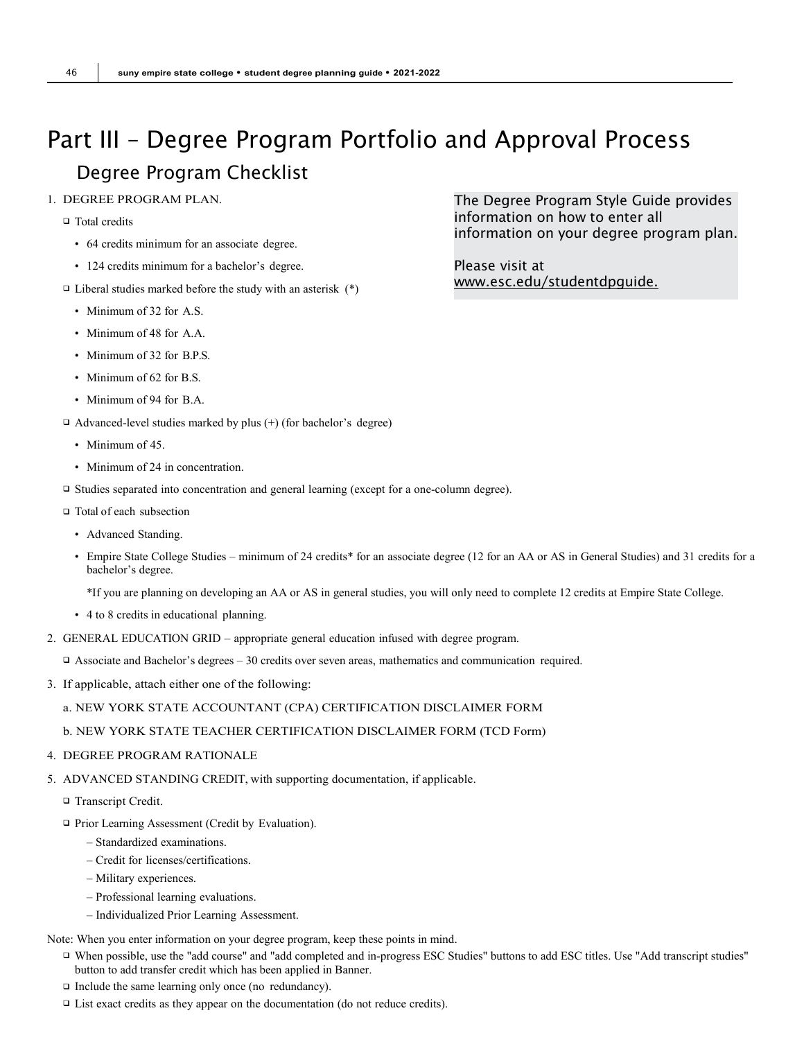# <span id="page-45-1"></span><span id="page-45-0"></span>Part III – Degree Program Portfolio and Approval Process Degree Program Checklist

- 1. DEGREE PROGRAM PLAN.
	- □ Total credits
		- 64 credits minimum for an associate degree.
		- 124 credits minimum for a bachelor's degree.
	- $\Box$  Liberal studies marked before the study with an asterisk  $(*)$ 
		- Minimum of 32 for A.S.
		- Minimum of 48 for A.A.
		- Minimum of 32 for B.P.S.
		- Minimum of 62 for B.S.
		- Minimum of 94 for B.A.
	- $\Box$  Advanced-level studies marked by plus (+) (for bachelor's degree)
		- Minimum of 45.
		- Minimum of 24 in concentration.
	- Studies separated into concentration and general learning (except for a one-column degree).
	- □ Total of each subsection
		- Advanced Standing.
		- Empire State College Studies minimum of 24 credits\* for an associate degree (12 for an AA or AS in General Studies) and 31 credits for a bachelor's degree.

\*If you are planning on developing an AA or AS in general studies, you will only need to complete 12 credits at Empire State College.

- 4 to 8 credits in educational planning.
- 2. GENERAL EDUCATION GRID appropriate general education infused with degree program.
	- Associate and Bachelor's degrees 30 credits over seven areas, mathematics and communication required.
- 3. If applicable, attach either one of the following:

#### a. NEW YORK STATE ACCOUNTANT (CPA) CERTIFICATION DISCLAIMER FORM

#### b. NEW YORK STATE TEACHER CERTIFICATION DISCLAIMER FORM (TCD Form)

#### 4. DEGREE PROGRAM RATIONALE

- 5. ADVANCED STANDING CREDIT, with supporting documentation, if applicable.
	- □ Transcript Credit.
	- □ Prior Learning Assessment (Credit by Evaluation).
		- Standardized examinations.
		- Credit for licenses/certifications.
		- Military experiences.
		- Professional learning evaluations.
		- Individualized Prior Learning Assessment.

Note: When you enter information on your degree program, keep these points in mind.

- When possible, use the "add course" and "add completed and in-progress ESC Studies" buttons to add ESC titles. Use "Add transcript studies" button to add transfer credit which has been applied in Banner.
- $\Box$  Include the same learning only once (no redundancy).
- □ List exact credits as they appear on the documentation (do not reduce credits).

The Degree Program Style Guide provides information on how to enter all information on your degree program plan.

Please visit at [www.esc.edu/studentdpguide.](http://www.esc.edu/studentdpguide)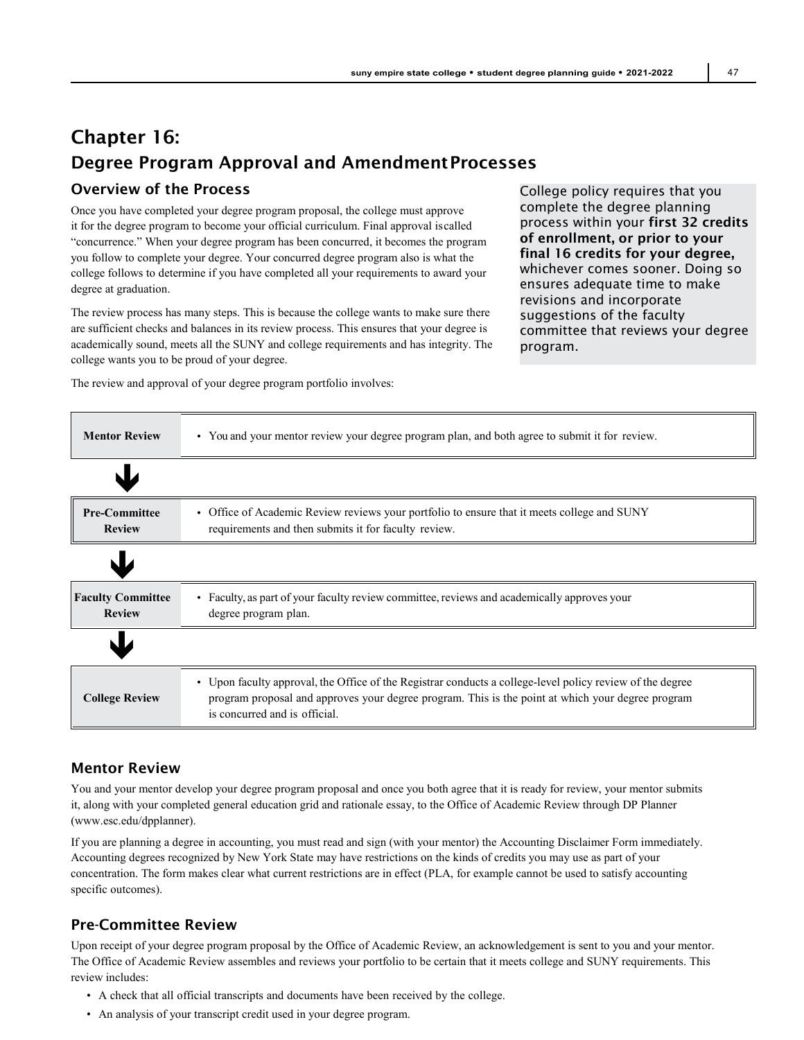# Chapter 16: Degree Program Approval and AmendmentProcesses

## Overview of the Process

Once you have completed your degree program proposal, the college must approve it for the degree program to become your official curriculum. Final approval iscalled "concurrence." When your degree program has been concurred, it becomes the program you follow to complete your degree. Your concurred degree program also is what the college follows to determine if you have completed all your requirements to award your degree at graduation.

The review process has many steps. This is because the college wants to make sure there are sufficient checks and balances in its review process. This ensures that your degree is academically sound, meets all the SUNY and college requirements and has integrity. The college wants you to be proud of your degree.

The review and approval of your degree program portfolio involves:

College policy requires that you complete the degree planning process within your first 32 credits of enrollment, or prior to your final 16 credits for your degree, whichever comes sooner. Doing so ensures adequate time to make revisions and incorporate suggestions of the faculty committee that reviews your degree program.

| <b>Mentor Review</b>                      | • You and your mentor review your degree program plan, and both agree to submit it for review.                                                                                                                                                  |
|-------------------------------------------|-------------------------------------------------------------------------------------------------------------------------------------------------------------------------------------------------------------------------------------------------|
|                                           |                                                                                                                                                                                                                                                 |
| <b>Pre-Committee</b><br><b>Review</b>     | • Office of Academic Review reviews your portfolio to ensure that it meets college and SUNY<br>requirements and then submits it for faculty review.                                                                                             |
|                                           |                                                                                                                                                                                                                                                 |
| <b>Faculty Committee</b><br><b>Review</b> | • Faculty, as part of your faculty review committee, reviews and academically approves your<br>degree program plan.                                                                                                                             |
|                                           |                                                                                                                                                                                                                                                 |
| <b>College Review</b>                     | • Upon faculty approval, the Office of the Registrar conducts a college-level policy review of the degree<br>program proposal and approves your degree program. This is the point at which your degree program<br>is concurred and is official. |

## Mentor Review

You and your mentor develop your degree program proposal and once you both agree that it is ready for review, your mentor submits it, along with your completed general education grid and rationale essay, to the Office of Academic Review through DP Planner [\(www.esc.edu/dpplanner\).](http://www.esc.edu/dpplanner))

If you are planning a degree in accounting, you must read and sign (with your mentor) the Accounting Disclaimer Form immediately. Accounting degrees recognized by New York State may have restrictions on the kinds of credits you may use as part of your concentration. The form makes clear what current restrictions are in effect (PLA, for example cannot be used to satisfy accounting specific outcomes).

## Pre-Committee Review

Upon receipt of your degree program proposal by the Office of Academic Review, an acknowledgement is sent to you and your mentor. The Office of Academic Review assembles and reviews your portfolio to be certain that it meets college and SUNY requirements. This review includes:

- A check that all official transcripts and documents have been received by the college.
- An analysis of your transcript credit used in your degree program.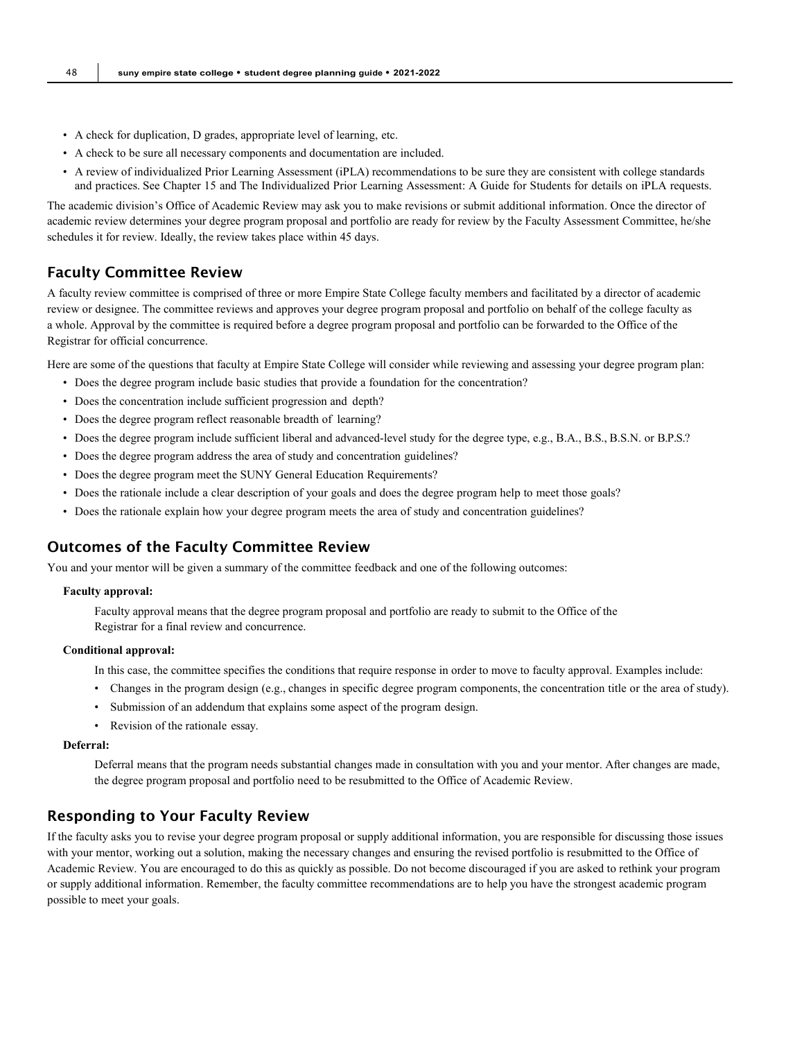- A check for duplication, D grades, appropriate level of learning, etc.
- A check to be sure all necessary components and documentation are included.
- A review of individualized Prior Learning Assessment (iPLA) recommendations to be sure they are consistent with college standards and practices. See Chapter 15 and The Individualized Prior Learning Assessment: A Guide for Students for details on iPLA requests.

The academic division's Office of Academic Review may ask you to make revisions or submit additional information. Once the director of academic review determines your degree program proposal and portfolio are ready for review by the Faculty Assessment Committee, he/she schedules it for review. Ideally, the review takes place within 45 days.

### Faculty Committee Review

A faculty review committee is comprised of three or more Empire State College faculty members and facilitated by a director of academic review or designee. The committee reviews and approves your degree program proposal and portfolio on behalf of the college faculty as a whole. Approval by the committee is required before a degree program proposal and portfolio can be forwarded to the Office of the Registrar for official concurrence.

Here are some of the questions that faculty at Empire State College will consider while reviewing and assessing your degree program plan:

- Does the degree program include basic studies that provide a foundation for the concentration?
- Does the concentration include sufficient progression and depth?
- Does the degree program reflect reasonable breadth of learning?
- Does the degree program include sufficient liberal and advanced-level study for the degree type, e.g., B.A., B.S., B.S.N. or B.P.S.?
- Does the degree program address the area of study and concentration guidelines?
- Does the degree program meet the SUNY General Education Requirements?
- Does the rationale include a clear description of your goals and does the degree program help to meet those goals?
- Does the rationale explain how your degree program meets the area of study and concentration guidelines?

#### Outcomes of the Faculty Committee Review

You and your mentor will be given a summary of the committee feedback and one of the following outcomes:

#### **Faculty approval:**

Faculty approval means that the degree program proposal and portfolio are ready to submit to the Office of the Registrar for a final review and concurrence.

#### **Conditional approval:**

In this case, the committee specifies the conditions that require response in order to move to faculty approval. Examples include:

- Changes in the program design (e.g., changes in specific degree program components, the concentration title or the area of study).
- Submission of an addendum that explains some aspect of the program design.
- Revision of the rationale essay.

#### **Deferral:**

Deferral means that the program needs substantial changes made in consultation with you and your mentor. After changes are made, the degree program proposal and portfolio need to be resubmitted to the Office of Academic Review.

## Responding to Your Faculty Review

If the faculty asks you to revise your degree program proposal or supply additional information, you are responsible for discussing those issues with your mentor, working out a solution, making the necessary changes and ensuring the revised portfolio is resubmitted to the Office of Academic Review. You are encouraged to do this as quickly as possible. Do not become discouraged if you are asked to rethink your program or supply additional information. Remember, the faculty committee recommendations are to help you have the strongest academic program possible to meet your goals.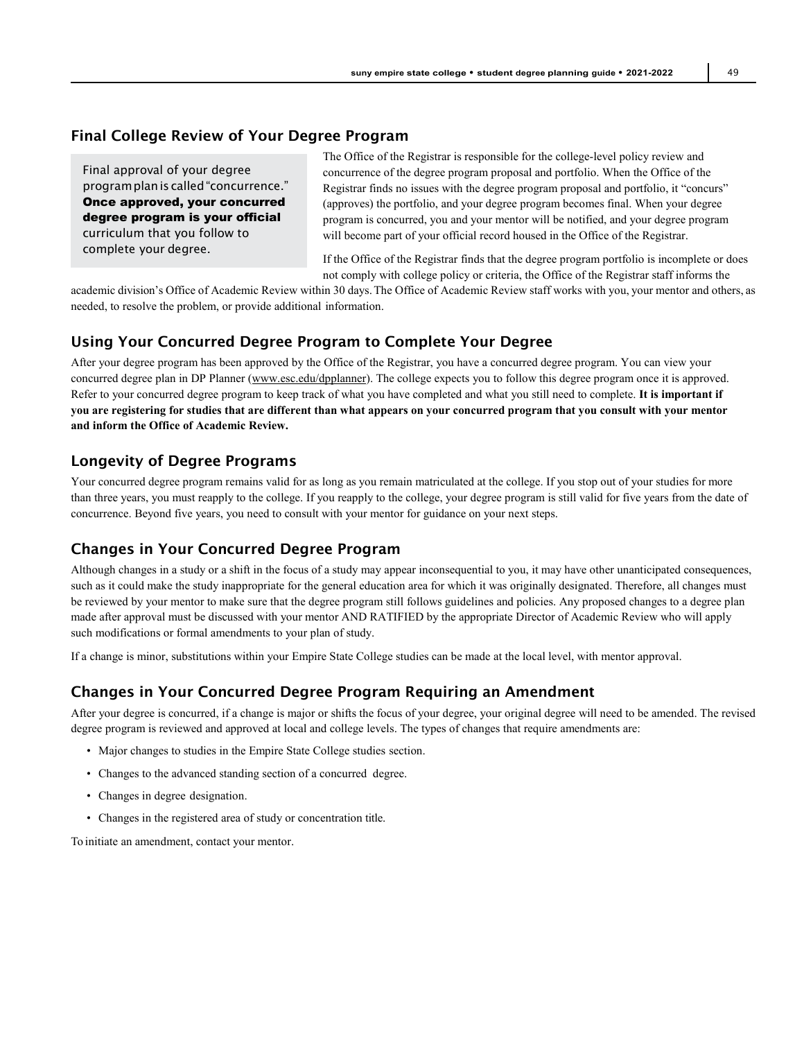#### Final College Review of Your Degree Program

Final approval of your degree programplanis called"concurrence." Once approved, your concurred degree program is your official curriculum that you follow to complete your degree.

The Office of the Registrar is responsible for the college-level policy review and concurrence of the degree program proposal and portfolio. When the Office of the Registrar finds no issues with the degree program proposal and portfolio, it "concurs" (approves) the portfolio, and your degree program becomes final. When your degree program is concurred, you and your mentor will be notified, and your degree program will become part of your official record housed in the Office of the Registrar.

If the Office of the Registrar finds that the degree program portfolio is incomplete or does not comply with college policy or criteria, the Office of the Registrar staff informs the

academic division's Office of Academic Review within 30 days.The Office of Academic Review staff works with you, your mentor and others, as needed, to resolve the problem, or provide additional information.

### Using Your Concurred Degree Program to Complete Your Degree

After your degree program has been approved by the Office of the Registrar, you have a concurred degree program. You can view your concurred degree plan in DP Planner [\(www.esc.edu/dpplanner\)](http://www.esc.edu/dpplanner). The college expects you to follow this degree program once it is approved. Refer to your concurred degree program to keep track of what you have completed and what you still need to complete. **It is important if you are registering for studies that are different than what appears on your concurred program that you consult with your mentor and inform the Office of Academic Review.**

#### Longevity of Degree Programs

Your concurred degree program remains valid for as long as you remain matriculated at the college. If you stop out of your studies for more than three years, you must reapply to the college. If you reapply to the college, your degree program is still valid for five years from the date of concurrence. Beyond five years, you need to consult with your mentor for guidance on your next steps.

## Changes in Your Concurred Degree Program

Although changes in a study or a shift in the focus of a study may appear inconsequential to you, it may have other unanticipated consequences, such as it could make the study inappropriate for the general education area for which it was originally designated. Therefore, all changes must be reviewed by your mentor to make sure that the degree program still follows guidelines and policies. Any proposed changes to a degree plan made after approval must be discussed with your mentor AND RATIFIED by the appropriate Director of Academic Review who will apply such modifications or formal amendments to your plan of study.

If a change is minor, substitutions within your Empire State College studies can be made at the local level, with mentor approval.

#### Changes in Your Concurred Degree Program Requiring an Amendment

After your degree is concurred, if a change is major or shifts the focus of your degree, your original degree will need to be amended. The revised degree program is reviewed and approved at local and college levels. The types of changes that require amendments are:

- Major changes to studies in the Empire State College studies section.
- Changes to the advanced standing section of a concurred degree.
- Changes in degree designation.
- Changes in the registered area of study or concentration title.

To initiate an amendment, contact your mentor.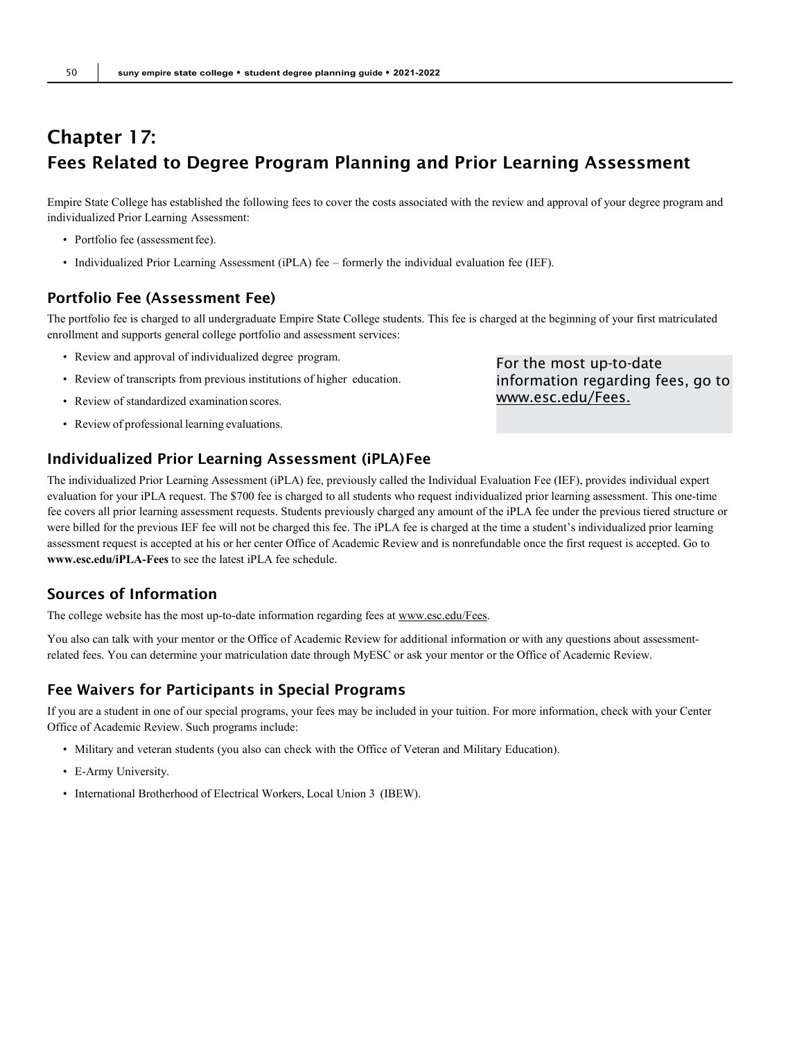## Chapter 17: Fees Related to Degree Program Planning and Prior Learning Assessment

Empire State College has established the following fees to cover the costs associated with the review and approval of your degree program and individualized Prior Learning Assessment:

- Portfolio fee (assessment fee).
- Individualized Prior Learning Assessment (iPLA) fee formerly the individual evaluation fee (IEF).

## Portfolio Fee (Assessment Fee)

The portfolio fee is charged to all undergraduate Empire State College students. This fee is charged at the beginning of your first matriculated enrollment and supports general college portfolio and assessment services:

- Review and approval of individualized degree program.
- Review of transcripts from previous institutions of higher education.
- Review of standardized examination scores.
- Review of professional learning evaluations.

## Individualized Prior Learning Assessment (iPLA)Fee

The individualized Prior Learning Assessment (iPLA) fee, previously called the Individual Evaluation Fee (IEF), provides individual expert evaluation for your iPLA request. The \$700 fee is charged to all students who request individualized prior learning assessment. This one-time fee covers all prior learning assessment requests. Students previously charged any amount of the iPLA fee under the previous tiered structure or were billed for the previous IEF fee will not be charged this fee. The iPLA fee is charged at the time a student's individualized prior learning assessment request is accepted at his or her center Office of Academic Review and is nonrefundable once the first request is accepted. Go to **[www.esc.edu/iPLA-Fees](http://www.esc.edu/iPLA-Fees)** to see the latest iPLA fee schedule.

## Sources of Information

The college website has the most up-to-date information regarding fees a[t www.esc.edu/Fees.](http://www.esc.edu/Fees)

You also can talk with your mentor or the Office of Academic Review for additional information or with any questions about assessmentrelated fees. You can determine your matriculation date through MyESC or ask your mentor or the Office of Academic Review.

## Fee Waivers for Participants in Special Programs

If you are a student in one of our special programs, your fees may be included in your tuition. For more information, check with your Center Office of Academic Review. Such programs include:

- Military and veteran students (you also can check with the Office of Veteran and Military Education).
- E-Army University.
- International Brotherhood of Electrical Workers, Local Union 3 (IBEW).

For the most up-to-date information regarding fees, go to [www.esc.edu/Fees.](http://www.esc.edu/Fees)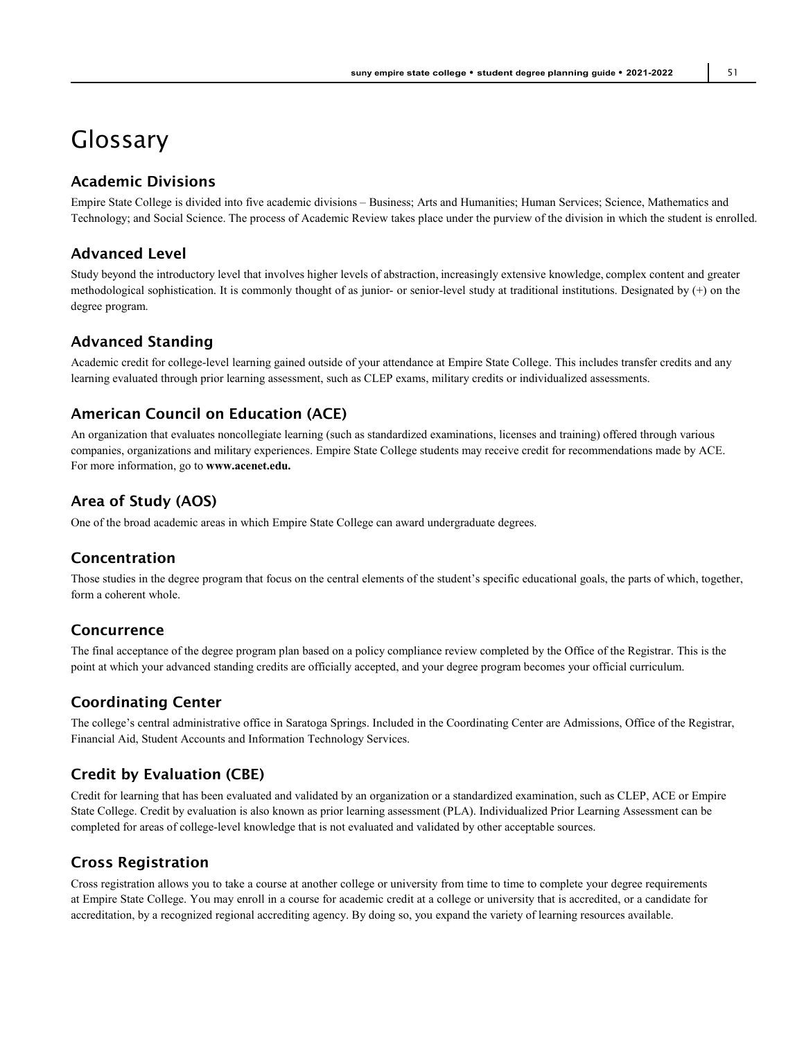# <span id="page-50-0"></span>Glossary

## Academic Divisions

Empire State College is divided into five academic divisions – Business; Arts and Humanities; Human Services; Science, Mathematics and Technology; and Social Science. The process of Academic Review takes place under the purview of the division in which the student is enrolled.

## Advanced Level

Study beyond the introductory level that involves higher levels of abstraction, increasingly extensive knowledge, complex content and greater methodological sophistication. It is commonly thought of as junior- or senior-level study at traditional institutions. Designated by (+) on the degree program.

## Advanced Standing

Academic credit for college-level learning gained outside of your attendance at Empire State College. This includes transfer credits and any learning evaluated through prior learning assessment, such as CLEP exams, military credits or individualized assessments.

## American Council on Education (ACE)

An organization that evaluates noncollegiate learning (such as standardized examinations, licenses and training) offered through various companies, organizations and military experiences. Empire State College students may receive credit for recommendations made by ACE. For more information, go to **[www.acenet.edu.](http://www.acenet.edu/)**

## Area of Study (AOS)

One of the broad academic areas in which Empire State College can award undergraduate degrees.

## Concentration

Those studies in the degree program that focus on the central elements of the student's specific educational goals, the parts of which, together, form a coherent whole.

## Concurrence

The final acceptance of the degree program plan based on a policy compliance review completed by the Office of the Registrar. This is the point at which your advanced standing credits are officially accepted, and your degree program becomes your official curriculum.

## Coordinating Center

The college's central administrative office in Saratoga Springs. Included in the Coordinating Center are Admissions, Office of the Registrar, Financial Aid, Student Accounts and Information Technology Services.

## Credit by Evaluation (CBE)

Credit for learning that has been evaluated and validated by an organization or a standardized examination, such as CLEP, ACE or Empire State College. Credit by evaluation is also known as prior learning assessment (PLA). Individualized Prior Learning Assessment can be completed for areas of college-level knowledge that is not evaluated and validated by other acceptable sources.

## Cross Registration

Cross registration allows you to take a course at another college or university from time to time to complete your degree requirements at Empire State College. You may enroll in a course for academic credit at a college or university that is accredited, or a candidate for accreditation, by a recognized regional accrediting agency. By doing so, you expand the variety of learning resources available.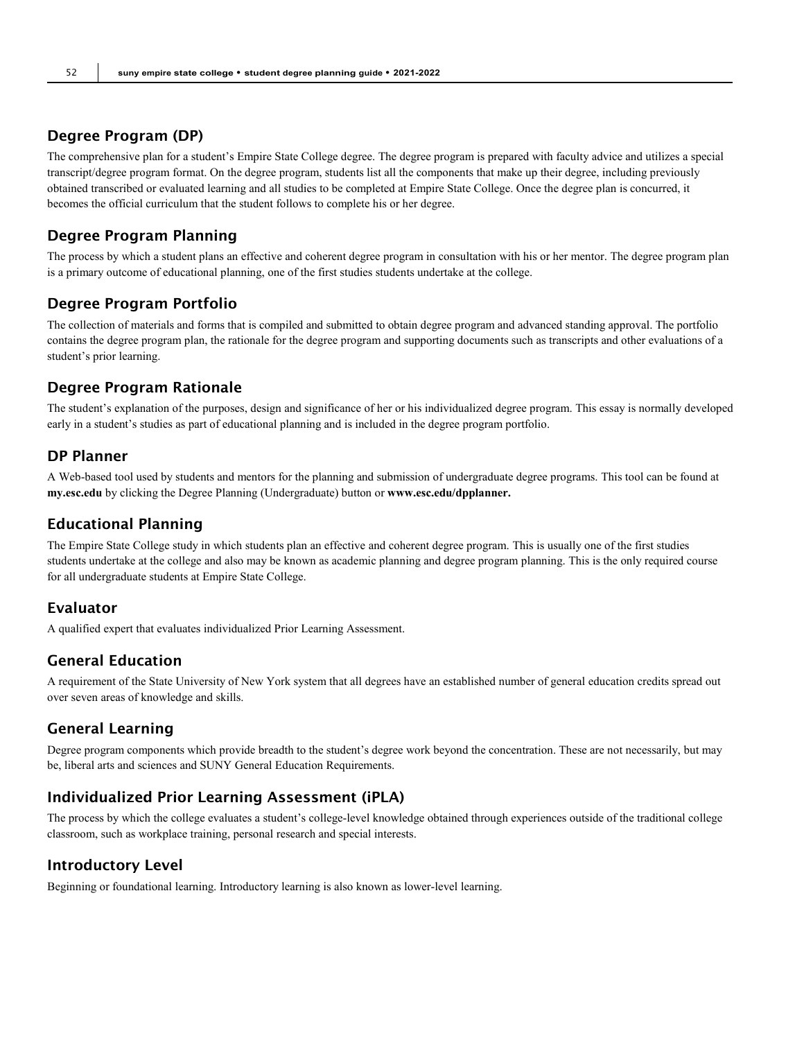## Degree Program (DP)

The comprehensive plan for a student's Empire State College degree. The degree program is prepared with faculty advice and utilizes a special transcript/degree program format. On the degree program, students list all the components that make up their degree, including previously obtained transcribed or evaluated learning and all studies to be completed at Empire State College. Once the degree plan is concurred, it becomes the official curriculum that the student follows to complete his or her degree.

### Degree Program Planning

The process by which a student plans an effective and coherent degree program in consultation with his or her mentor. The degree program plan is a primary outcome of educational planning, one of the first studies students undertake at the college.

### Degree Program Portfolio

The collection of materials and forms that is compiled and submitted to obtain degree program and advanced standing approval. The portfolio contains the degree program plan, the rationale for the degree program and supporting documents such as transcripts and other evaluations of a student's prior learning.

## Degree Program Rationale

The student's explanation of the purposes, design and significance of her or his individualized degree program. This essay is normally developed early in a student's studies as part of educational planning and is included in the degree program portfolio.

## DP Planner

A Web-based tool used by students and mentors for the planning and submission of undergraduate degree programs. This tool can be found at **my.esc.edu** by clicking the Degree Planning (Undergraduate) button or **[www.esc.edu/dpplanner.](http://www.esc.edu/dpplanner)**

#### Educational Planning

The Empire State College study in which students plan an effective and coherent degree program. This is usually one of the first studies students undertake at the college and also may be known as academic planning and degree program planning. This is the only required course for all undergraduate students at Empire State College.

#### Evaluator

A qualified expert that evaluates individualized Prior Learning Assessment.

## General Education

A requirement of the State University of New York system that all degrees have an established number of general education credits spread out over seven areas of knowledge and skills.

## General Learning

Degree program components which provide breadth to the student's degree work beyond the concentration. These are not necessarily, but may be, liberal arts and sciences and SUNY General Education Requirements.

#### Individualized Prior Learning Assessment (iPLA)

The process by which the college evaluates a student's college-level knowledge obtained through experiences outside of the traditional college classroom, such as workplace training, personal research and special interests.

## Introductory Level

Beginning or foundational learning. Introductory learning is also known as lower-level learning.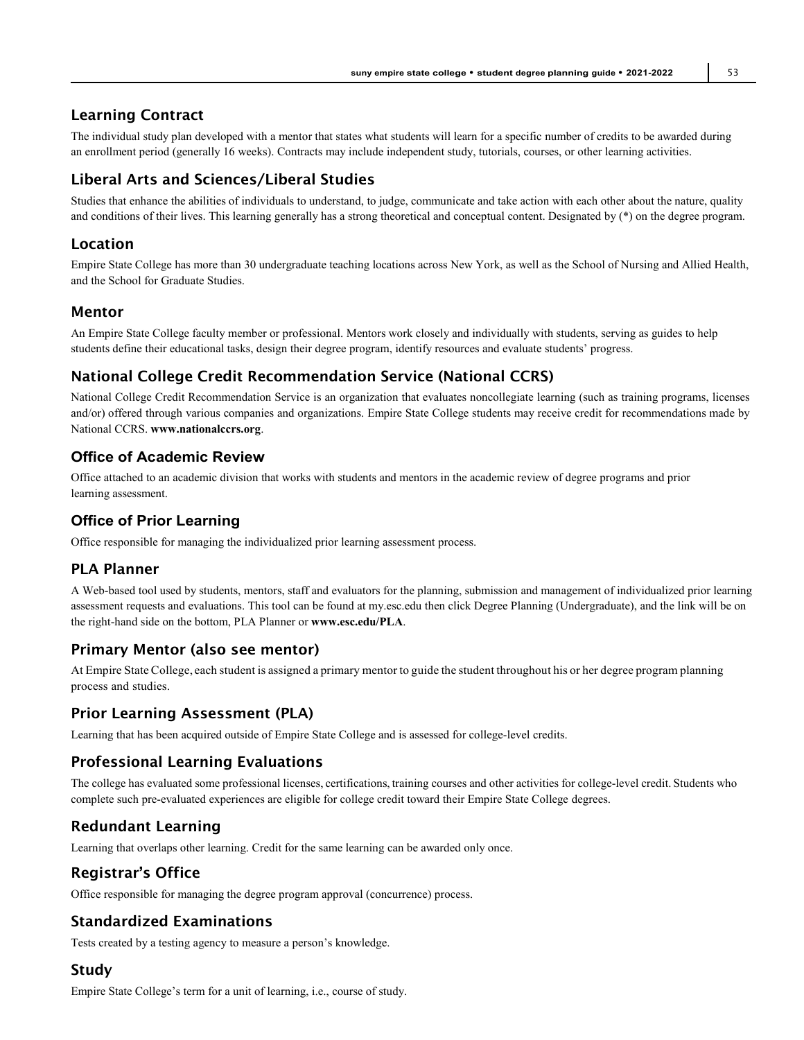## Learning Contract

The individual study plan developed with a mentor that states what students will learn for a specific number of credits to be awarded during an enrollment period (generally 16 weeks). Contracts may include independent study, tutorials, courses, or other learning activities.

## Liberal Arts and Sciences/Liberal Studies

Studies that enhance the abilities of individuals to understand, to judge, communicate and take action with each other about the nature, quality and conditions of their lives. This learning generally has a strong theoretical and conceptual content. Designated by (\*) on the degree program.

### Location

Empire State College has more than 30 undergraduate teaching locations across New York, as well as the School of Nursing and Allied Health, and the School for Graduate Studies.

#### Mentor

An Empire State College faculty member or professional. Mentors work closely and individually with students, serving as guides to help students define their educational tasks, design their degree program, identify resources and evaluate students' progress.

## National College Credit Recommendation Service (National CCRS)

National College Credit Recommendation Service is an organization that evaluates noncollegiate learning (such as training programs, licenses and/or) offered through various companies and organizations. Empire State College students may receive credit for recommendations made by National CCRS. **[www.nationalccrs.org](http://www.nationalccrs.org/)**.

### **Office of Academic Review**

Office attached to an academic division that works with students and mentors in the academic review of degree programs and prior learning assessment.

## **Office of Prior Learning**

Office responsible for managing the individualized prior learning assessment process.

## PLA Planner

A Web-based tool used by students, mentors, staff and evaluators for the planning, submission and management of individualized prior learning assessment requests and evaluations. This tool can be found at my.esc.edu then click Degree Planning (Undergraduate), and the link will be on the right-hand side on the bottom, PLA Planner or **[www.esc.edu/PLA](http://www.esc.edu/PLA)**.

## Primary Mentor (also see mentor)

At Empire State College, each student is assigned a primary mentor to guide the student throughout his or her degree program planning process and studies.

#### Prior Learning Assessment (PLA)

Learning that has been acquired outside of Empire State College and is assessed for college-level credits.

## Professional Learning Evaluations

The college has evaluated some professional licenses, certifications, training courses and other activities for college-level credit. Students who complete such pre-evaluated experiences are eligible for college credit toward their Empire State College degrees.

## Redundant Learning

Learning that overlaps other learning. Credit for the same learning can be awarded only once.

## Registrar's Office

Office responsible for managing the degree program approval (concurrence) process.

## Standardized Examinations

Tests created by a testing agency to measure a person's knowledge.

#### Study

Empire State College's term for a unit of learning, i.e., course of study.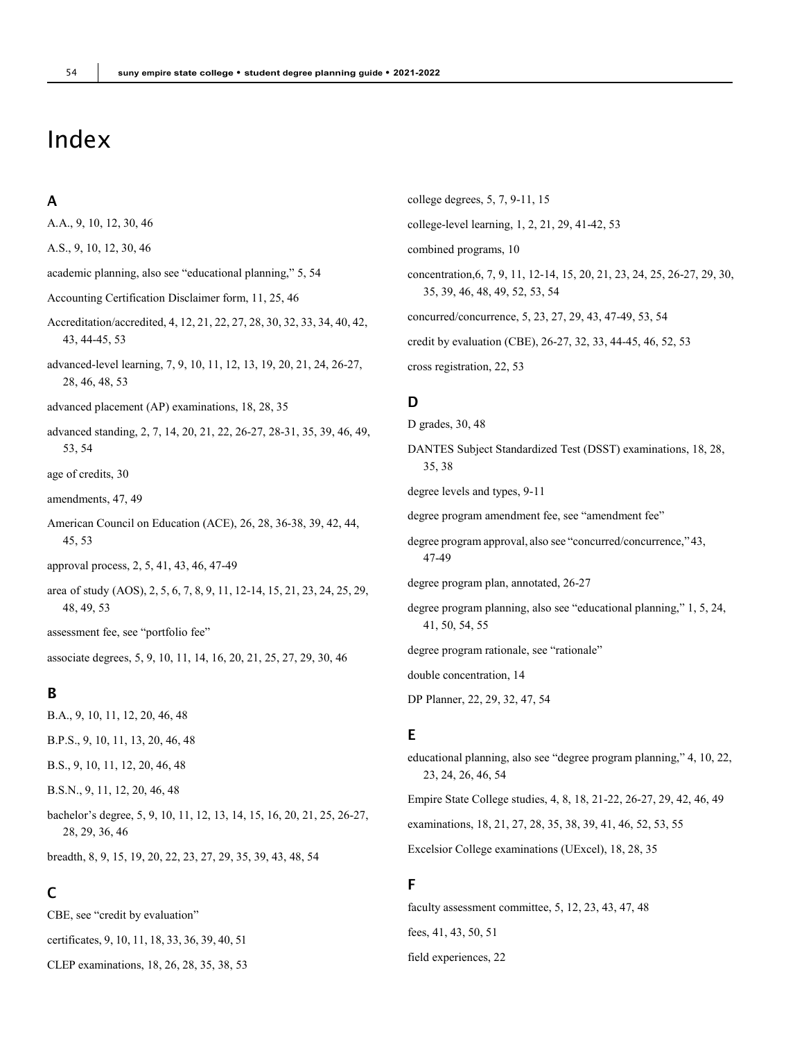# <span id="page-53-0"></span>Index

#### A

A.A., 9, 10, 12, 30, 46

A.S., 9, 10, 12, 30, 46

academic planning, also see "educational planning," 5, 54

- Accounting Certification Disclaimer form, 11, 25, 46
- Accreditation/accredited, 4, 12, 21, 22, 27, 28, 30, 32, 33, 34, 40, 42, 43, 44-45, 53
- advanced-level learning, 7, 9, 10, 11, 12, 13, 19, 20, 21, 24, 26-27, 28, 46, 48, 53
- advanced placement (AP) examinations, 18, 28, 35
- advanced standing, 2, 7, 14, 20, 21, 22, 26-27, 28-31, 35, 39, 46, 49, 53, 54
- age of credits, 30
- amendments, 47, 49
- American Council on Education (ACE), 26, 28, 36-38, 39, 42, 44, 45, 53
- approval process, 2, 5, 41, 43, 46, 47-49
- area of study (AOS), 2, 5, 6, 7, 8, 9, 11, 12-14, 15, 21, 23, 24, 25, 29, 48, 49, 53
- assessment fee, see "portfolio fee"

associate degrees, 5, 9, 10, 11, 14, 16, 20, 21, 25, 27, 29, 30, 46

#### B

- B.A., 9, 10, 11, 12, 20, 46, 48
- B.P.S., 9, 10, 11, 13, 20, 46, 48

B.S., 9, 10, 11, 12, 20, 46, 48

- B.S.N., 9, 11, 12, 20, 46, 48
- bachelor's degree, 5, 9, 10, 11, 12, 13, 14, 15, 16, 20, 21, 25, 26-27, 28, 29, 36, 46

breadth, 8, 9, 15, 19, 20, 22, 23, 27, 29, 35, 39, 43, 48, 54

## C

CBE, see "credit by evaluation" certificates, 9, 10, 11, 18, 33, 36, 39, 40, 51 CLEP examinations, 18, 26, 28, 35, 38, 53 college degrees, 5, 7, 9-11, 15 college-level learning, 1, 2, 21, 29, 41-42, 53 combined programs, 10 concentration,6, 7, 9, 11, 12-14, 15, 20, 21, 23, 24, 25, 26-27, 29, 30, 35, 39, 46, 48, 49, 52, 53, 54 concurred/concurrence, 5, 23, 27, 29, 43, 47-49, 53, 54 credit by evaluation (CBE), 26-27, 32, 33, 44-45, 46, 52, 53 cross registration, 22, 53

## $\mathbf D$

D grades, 30, 48 DANTES Subject Standardized Test (DSST) examinations, 18, 28, 35, 38 degree levels and types, 9-11 degree program amendment fee, see "amendment fee" degree program approval, also see "concurred/concurrence,"43, 47-49 degree program plan, annotated, 26-27 degree program planning, also see "educational planning," 1, 5, 24, 41, 50, 54, 55 degree program rationale, see "rationale" double concentration, 14 DP Planner, 22, 29, 32, 47, 54 E educational planning, also see "degree program planning," 4, 10, 22, 23, 24, 26, 46, 54

Empire State College studies, 4, 8, 18, 21-22, 26-27, 29, 42, 46, 49

examinations, 18, 21, 27, 28, 35, 38, 39, 41, 46, 52, 53, 55

Excelsior College examinations (UExcel), 18, 28, 35

#### F

faculty assessment committee, 5, 12, 23, 43, 47, 48 fees, 41, 43, 50, 51 field experiences, 22